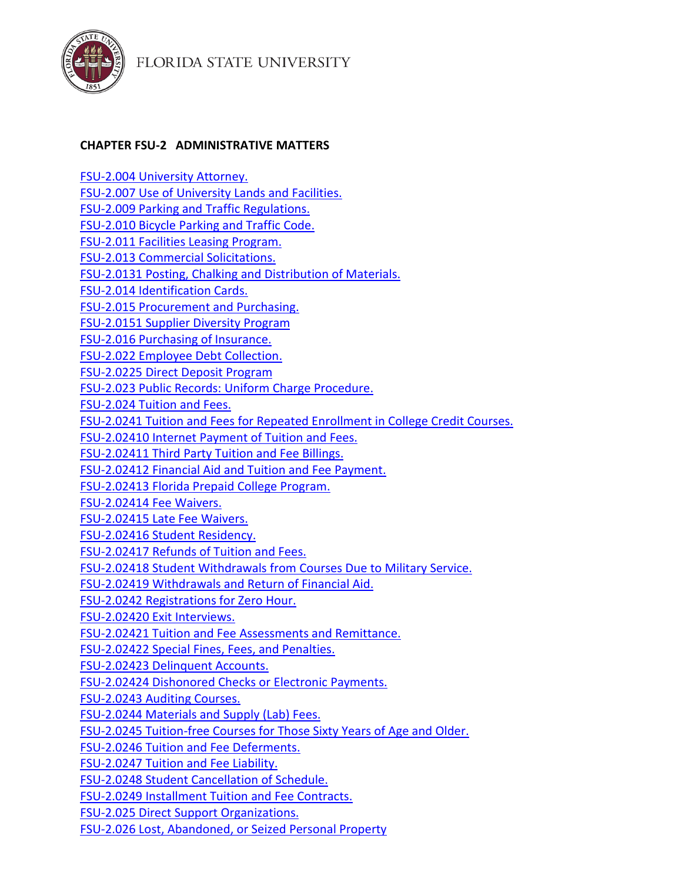



## **CHAPTER FSU-2 ADMINISTRATIVE MATTERS**

<span id="page-0-0"></span>[FSU-2.004 University Attorney.](#page-0-0) [FSU-2.007 Use of University Lands and Facilities.](#page-1-0) [FSU-2.009 Parking and Traffic Regulations.](#page-12-0) [FSU-2.010 Bicycle Parking and Traffic Code.](#page-36-0) [FSU-2.011 Facilities Leasing Program.](#page-40-0) [FSU-2.013 Commercial Solicitations.](#page-43-0) [FSU-2.0131 Posting, Chalking and Distribution of Materials.](#page-46-0) [FSU-2.014 Identification Cards.](#page-52-0) [FSU-2.015 Procurement and Purchasing.](#page-53-0) [FSU-2.0151 Supplier Diversity Program](#page-76-0) [FSU-2.016 Purchasing of Insurance.](#page-77-0) [FSU-2.022 Employee Debt Collection.](#page-77-1) [FSU-2.0225 Direct Deposit Program](#page-82-0) [FSU-2.023 Public Records: Uniform Charge Procedure.](#page-83-0) [FSU-2.024 Tuition and Fees.](#page-87-0) [FSU-2.0241 Tuition and Fees for Repeated Enrollment in College Credit Courses.](#page-95-0) [FSU-2.02410 Internet Payment of Tuition and Fees.](#page-95-1) [FSU-2.02411 Third Party Tuition and Fee Billings.](#page-96-0) [FSU-2.02412 Financial Aid and Tuition and Fee Payment.](#page-97-0) [FSU-2.02413 Florida Prepaid College Program.](#page-97-1) [FSU-2.02414 Fee Waivers.](#page-98-0) [FSU-2.02415 Late Fee Waivers.](#page-101-0) [FSU-2.02416 Student Residency.](#page-102-0) [FSU-2.02417 Refunds of Tuition and Fees.](#page-105-0) [FSU-2.02418 Student Withdrawals from Courses Due to Military Service.](#page-106-0) [FSU-2.02419 Withdrawals and Return of Financial Aid.](#page-107-0) [FSU-2.0242 Registrations for Zero Hour.](#page-108-0) [FSU-2.02420 Exit Interviews.](#page-108-1) FSU-2.02421 Tuition and [Fee Assessments and Remittance.](#page-109-0) [FSU-2.02422 Special Fines, Fees, and Penalties.](#page-109-1) [FSU-2.02423 Delinquent Accounts.](#page-113-0) [FSU-2.02424 Dishonored Checks or Electronic Payments.](#page-114-0) [FSU-2.0243 Auditing Courses.](#page-115-0) [FSU-2.0244 Materials and Supply \(Lab\) Fees.](#page-115-1) [FSU-2.0245 Tuition-free Courses for Those Sixty Years of Age and Older.](#page-115-2) [FSU-2.0246 Tuition and Fee Deferments.](#page-116-0) [FSU-2.0247 Tuition and Fee Liability.](#page-117-0) [FSU-2.0248 Student Cancellation of Schedule.](#page-118-0) [FSU-2.0249 Installment Tuition and Fee Contracts.](#page-119-0) [FSU-2.025 Direct Support Organizations.](#page-120-0) [FSU-2.026 Lost, Abandoned, or Seized Personal Property](#page-124-0)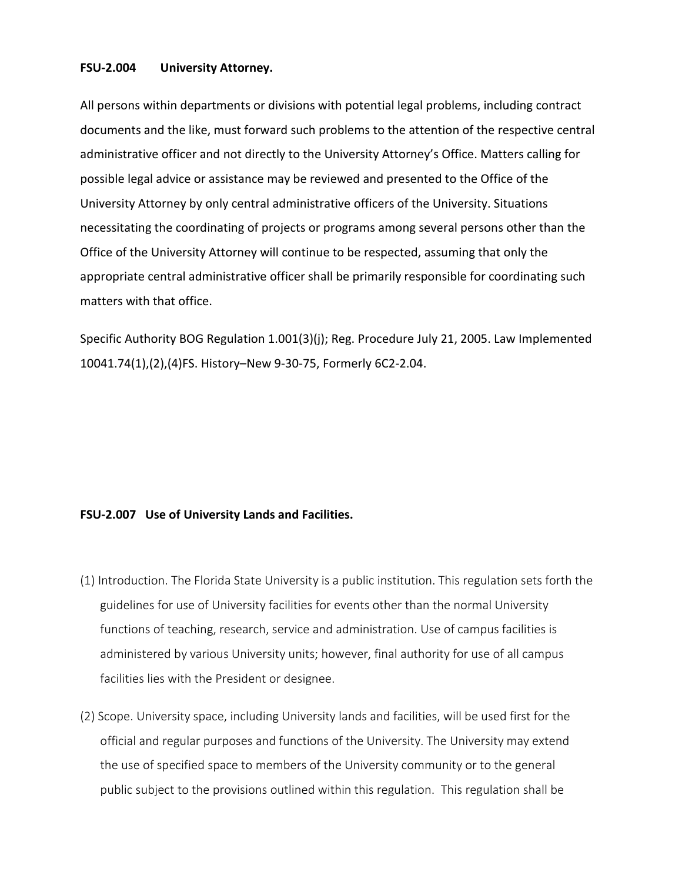## **FSU-2.004 University Attorney.**

All persons within departments or divisions with potential legal problems, including contract documents and the like, must forward such problems to the attention of the respective central administrative officer and not directly to the University Attorney's Office. Matters calling for possible legal advice or assistance may be reviewed and presented to the Office of the University Attorney by only central administrative officers of the University. Situations necessitating the coordinating of projects or programs among several persons other than the Office of the University Attorney will continue to be respected, assuming that only the appropriate central administrative officer shall be primarily responsible for coordinating such matters with that office.

Specific Authority BOG Regulation 1.001(3)(j); Reg. Procedure July 21, 2005. Law Implemented 10041.74(1),(2),(4)FS. History–New 9-30-75, Formerly 6C2-2.04.

## <span id="page-1-0"></span>**FSU-2.007 Use of University Lands and Facilities.**

- (1) Introduction. The Florida State University is a public institution. This regulation sets forth the guidelines for use of University facilities for events other than the normal University functions of teaching, research, service and administration. Use of campus facilities is administered by various University units; however, final authority for use of all campus facilities lies with the President or designee.
- (2) Scope. University space, including University lands and facilities, will be used first for the official and regular purposes and functions of the University. The University may extend the use of specified space to members of the University community or to the general public subject to the provisions outlined within this regulation. This regulation shall be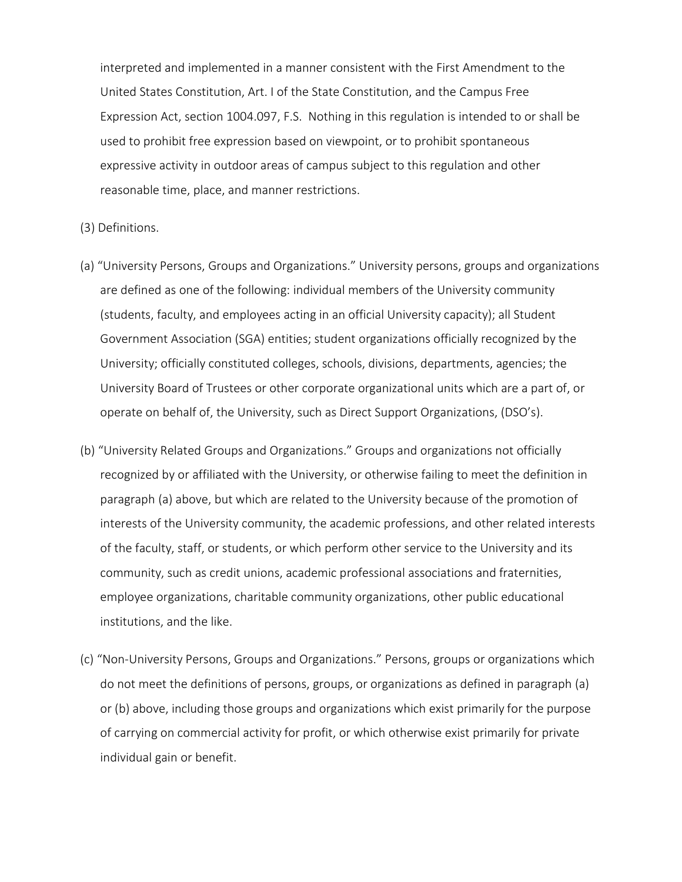interpreted and implemented in a manner consistent with the First Amendment to the United States Constitution, Art. I of the State Constitution, and the Campus Free Expression Act, section 1004.097, F.S. Nothing in this regulation is intended to or shall be used to prohibit free expression based on viewpoint, or to prohibit spontaneous expressive activity in outdoor areas of campus subject to this regulation and other reasonable time, place, and manner restrictions.

- (3) Definitions.
- (a) "University Persons, Groups and Organizations." University persons, groups and organizations are defined as one of the following: individual members of the University community (students, faculty, and employees acting in an official University capacity); all Student Government Association (SGA) entities; student organizations officially recognized by the University; officially constituted colleges, schools, divisions, departments, agencies; the University Board of Trustees or other corporate organizational units which are a part of, or operate on behalf of, the University, such as Direct Support Organizations, (DSO's).
- (b) "University Related Groups and Organizations." Groups and organizations not officially recognized by or affiliated with the University, or otherwise failing to meet the definition in paragraph (a) above, but which are related to the University because of the promotion of interests of the University community, the academic professions, and other related interests of the faculty, staff, or students, or which perform other service to the University and its community, such as credit unions, academic professional associations and fraternities, employee organizations, charitable community organizations, other public educational institutions, and the like.
- (c) "Non-University Persons, Groups and Organizations." Persons, groups or organizations which do not meet the definitions of persons, groups, or organizations as defined in paragraph (a) or (b) above, including those groups and organizations which exist primarily for the purpose of carrying on commercial activity for profit, or which otherwise exist primarily for private individual gain or benefit.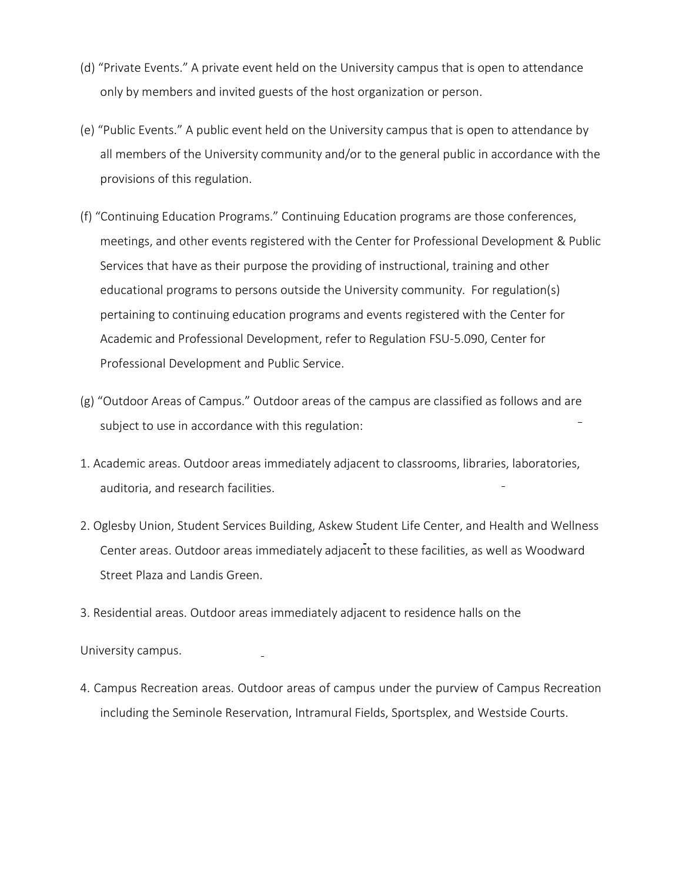- (d) "Private Events." A private event held on the University campus that is open to attendance only by members and invited guests of the host organization or person.
- (e) "Public Events." A public event held on the University campus that is open to attendance by all members of the University community and/or to the general public in accordance with the provisions of this regulation.
- (f) "Continuing Education Programs." Continuing Education programs are those conferences, meetings, and other events registered with the Center for Professional Development & Public Services that have as their purpose the providing of instructional, training and other educational programs to persons outside the University community. For regulation(s) pertaining to continuing education programs and events registered with the Center for Academic and Professional Development, refer to Regulation FSU-5.090, Center for Professional Development and Public Service.
- (g) "Outdoor Areas of Campus." Outdoor areas of the campus are classified as follows and are subject to use in accordance with this regulation:
- 1. Academic areas. Outdoor areas immediately adjacent to classrooms, libraries, laboratories, auditoria, and research facilities.
- 2. Oglesby Union, Student Services Building, Askew Student Life Center, and Health and Wellness Center areas. Outdoor areas immediately adjacent to these facilities, as well as Woodward Street Plaza and Landis Green.
- 3. Residential areas. Outdoor areas immediately adjacent to residence halls on the

University campus.

4. Campus Recreation areas. Outdoor areas of campus under the purview of Campus Recreation including the Seminole Reservation, Intramural Fields, Sportsplex, and Westside Courts.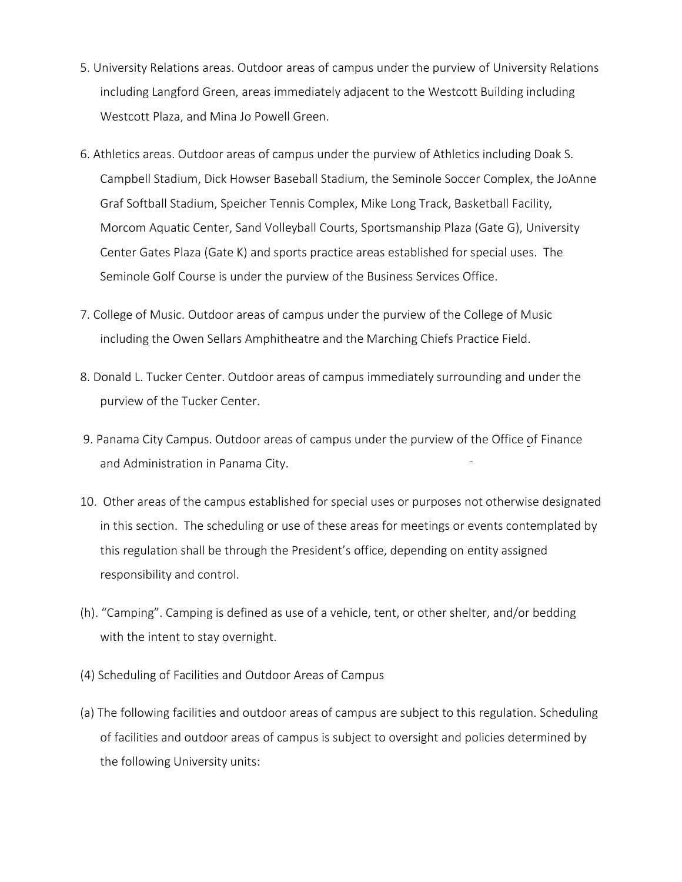- 5. University Relations areas. Outdoor areas of campus under the purview of University Relations including Langford Green, areas immediately adjacent to the Westcott Building including Westcott Plaza, and Mina Jo Powell Green.
- 6. Athletics areas. Outdoor areas of campus under the purview of Athletics including Doak S. Campbell Stadium, Dick Howser Baseball Stadium, the Seminole Soccer Complex, the JoAnne Graf Softball Stadium, Speicher Tennis Complex, Mike Long Track, Basketball Facility, Morcom Aquatic Center, Sand Volleyball Courts, Sportsmanship Plaza (Gate G), University Center Gates Plaza (Gate K) and sports practice areas established for special uses. The Seminole Golf Course is under the purview of the Business Services Office.
- 7. College of Music. Outdoor areas of campus under the purview of the College of Music including the Owen Sellars Amphitheatre and the Marching Chiefs Practice Field.
- 8. Donald L. Tucker Center. Outdoor areas of campus immediately surrounding and under the purview of the Tucker Center.
- 9. Panama City Campus. Outdoor areas of campus under the purview of the Office of Finance and Administration in Panama City.
- 10. Other areas of the campus established for special uses or purposes not otherwise designated in this section. The scheduling or use of these areas for meetings or events contemplated by this regulation shall be through the President's office, depending on entity assigned responsibility and control.
- (h). "Camping". Camping is defined as use of a vehicle, tent, or other shelter, and/or bedding with the intent to stay overnight.
- (4) Scheduling of Facilities and Outdoor Areas of Campus
- (a) The following facilities and outdoor areas of campus are subject to this regulation. Scheduling of facilities and outdoor areas of campus is subject to oversight and policies determined by the following University units: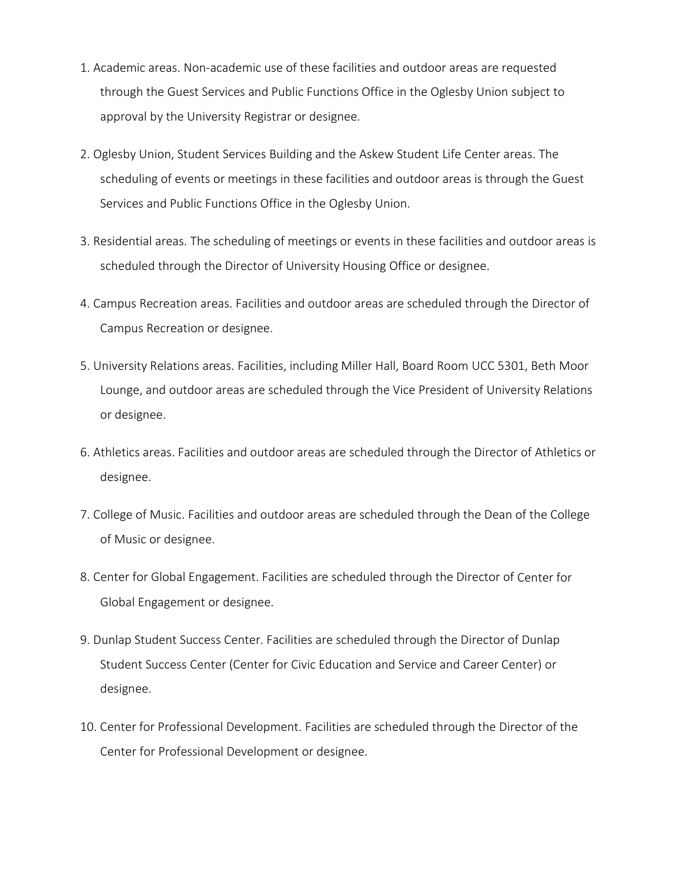- 1. Academic areas. Non-academic use of these facilities and outdoor areas are requested through the Guest Services and Public Functions Office in the Oglesby Union subject to approval by the University Registrar or designee.
- 2. Oglesby Union, Student Services Building and the Askew Student Life Center areas. The scheduling of events or meetings in these facilities and outdoor areas is through the Guest Services and Public Functions Office in the Oglesby Union.
- 3. Residential areas. The scheduling of meetings or events in these facilities and outdoor areas is scheduled through the Director of University Housing Office or designee.
- 4. Campus Recreation areas. Facilities and outdoor areas are scheduled through the Director of Campus Recreation or designee.
- 5. University Relations areas. Facilities, including Miller Hall, Board Room UCC 5301, Beth Moor Lounge, and outdoor areas are scheduled through the Vice President of University Relations or designee.
- 6. Athletics areas. Facilities and outdoor areas are scheduled through the Director of Athletics or designee.
- 7. College of Music. Facilities and outdoor areas are scheduled through the Dean of the College of Music or designee.
- 8. Center for Global Engagement. Facilities are scheduled through the Director of Center for Global Engagement or designee.
- 9. Dunlap Student Success Center. Facilities are scheduled through the Director of Dunlap Student Success Center (Center for Civic Education and Service and Career Center) or designee.
- 10. Center for Professional Development. Facilities are scheduled through the Director of the Center for Professional Development or designee.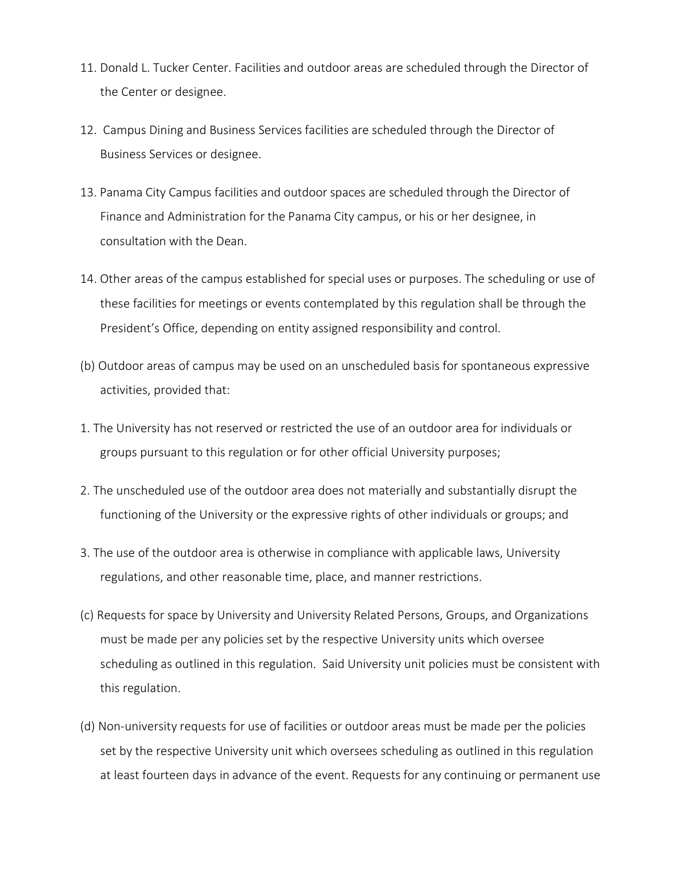- 11. Donald L. Tucker Center. Facilities and outdoor areas are scheduled through the Director of the Center or designee.
- 12. Campus Dining and Business Services facilities are scheduled through the Director of Business Services or designee.
- 13. Panama City Campus facilities and outdoor spaces are scheduled through the Director of Finance and Administration for the Panama City campus, or his or her designee, in consultation with the Dean.
- 14. Other areas of the campus established for special uses or purposes. The scheduling or use of these facilities for meetings or events contemplated by this regulation shall be through the President's Office, depending on entity assigned responsibility and control.
- (b) Outdoor areas of campus may be used on an unscheduled basis for spontaneous expressive activities, provided that:
- 1. The University has not reserved or restricted the use of an outdoor area for individuals or groups pursuant to this regulation or for other official University purposes;
- 2. The unscheduled use of the outdoor area does not materially and substantially disrupt the functioning of the University or the expressive rights of other individuals or groups; and
- 3. The use of the outdoor area is otherwise in compliance with applicable laws, University regulations, and other reasonable time, place, and manner restrictions.
- (c) Requests for space by University and University Related Persons, Groups, and Organizations must be made per any policies set by the respective University units which oversee scheduling as outlined in this regulation. Said University unit policies must be consistent with this regulation.
- (d) Non-university requests for use of facilities or outdoor areas must be made per the policies set by the respective University unit which oversees scheduling as outlined in this regulation at least fourteen days in advance of the event. Requests for any continuing or permanent use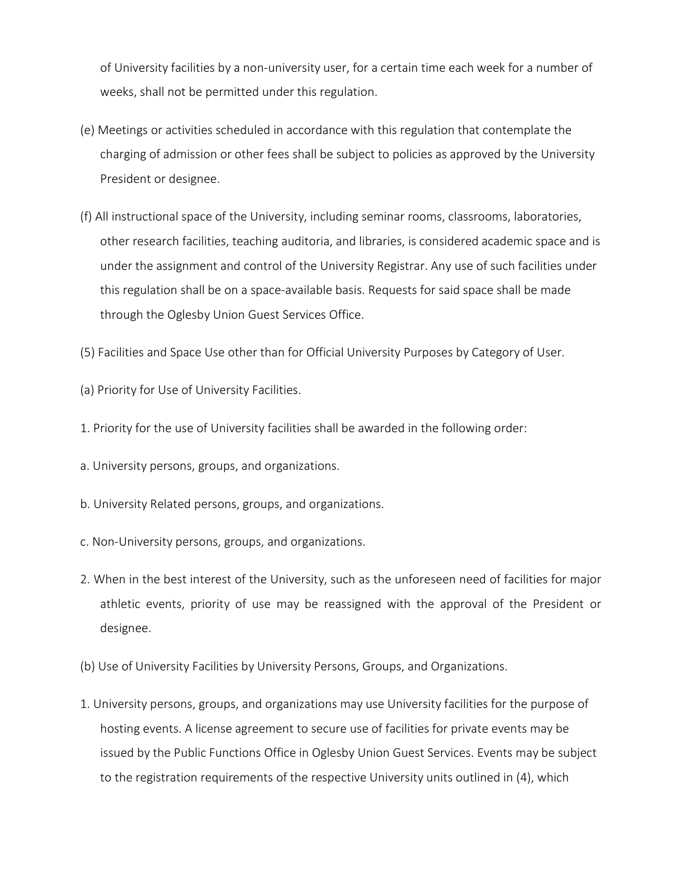of University facilities by a non-university user, for a certain time each week for a number of weeks, shall not be permitted under this regulation.

- (e) Meetings or activities scheduled in accordance with this regulation that contemplate the charging of admission or other fees shall be subject to policies as approved by the University President or designee.
- (f) All instructional space of the University, including seminar rooms, classrooms, laboratories, other research facilities, teaching auditoria, and libraries, is considered academic space and is under the assignment and control of the University Registrar. Any use of such facilities under this regulation shall be on a space-available basis. Requests for said space shall be made through the Oglesby Union Guest Services Office.
- (5) Facilities and Space Use other than for Official University Purposes by Category of User.
- (a) Priority for Use of University Facilities.
- 1. Priority for the use of University facilities shall be awarded in the following order:
- a. University persons, groups, and organizations.
- b. University Related persons, groups, and organizations.
- c. Non-University persons, groups, and organizations.
- 2. When in the best interest of the University, such as the unforeseen need of facilities for major athletic events, priority of use may be reassigned with the approval of the President or designee.
- (b) Use of University Facilities by University Persons, Groups, and Organizations.
- 1. University persons, groups, and organizations may use University facilities for the purpose of hosting events. A license agreement to secure use of facilities for private events may be issued by the Public Functions Office in Oglesby Union Guest Services. Events may be subject to the registration requirements of the respective University units outlined in (4), which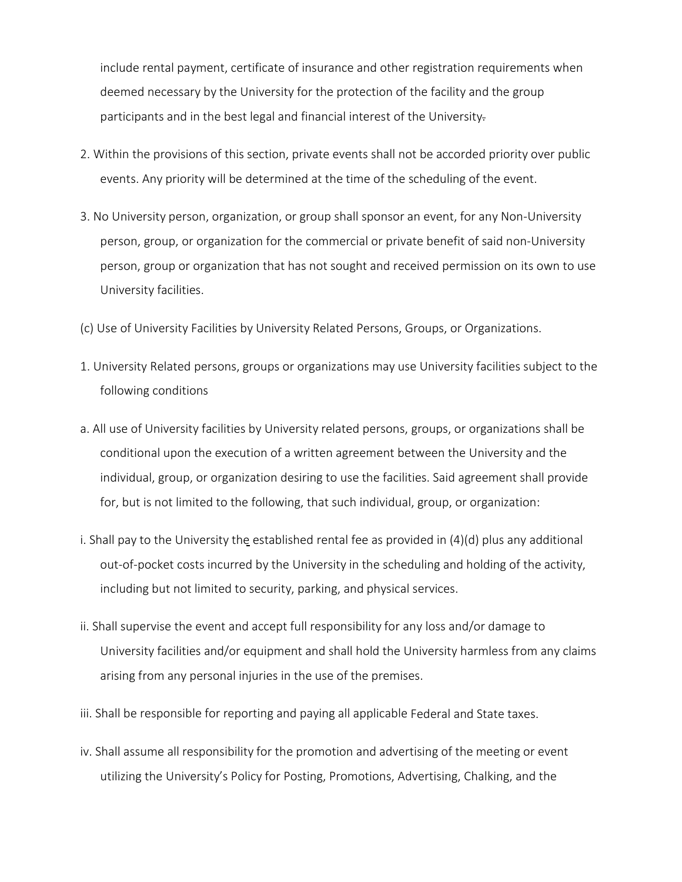include rental payment, certificate of insurance and other registration requirements when deemed necessary by the University for the protection of the facility and the group participants and in the best legal and financial interest of the University.

- 2. Within the provisions of this section, private events shall not be accorded priority over public events. Any priority will be determined at the time of the scheduling of the event.
- 3. No University person, organization, or group shall sponsor an event, for any Non-University person, group, or organization for the commercial or private benefit of said non-University person, group or organization that has not sought and received permission on its own to use University facilities.
- (c) Use of University Facilities by University Related Persons, Groups, or Organizations.
- 1. University Related persons, groups or organizations may use University facilities subject to the following conditions
- a. All use of University facilities by University related persons, groups, or organizations shall be conditional upon the execution of a written agreement between the University and the individual, group, or organization desiring to use the facilities. Said agreement shall provide for, but is not limited to the following, that such individual, group, or organization:
- i. Shall pay to the University the established rental fee as provided in (4)(d) plus any additional out-of-pocket costs incurred by the University in the scheduling and holding of the activity, including but not limited to security, parking, and physical services.
- ii. Shall supervise the event and accept full responsibility for any loss and/or damage to University facilities and/or equipment and shall hold the University harmless from any claims arising from any personal injuries in the use of the premises.
- iii. Shall be responsible for reporting and paying all applicable Federal and State taxes.
- iv. Shall assume all responsibility for the promotion and advertising of the meeting or event utilizing the University's Policy for Posting, Promotions, Advertising, Chalking, and the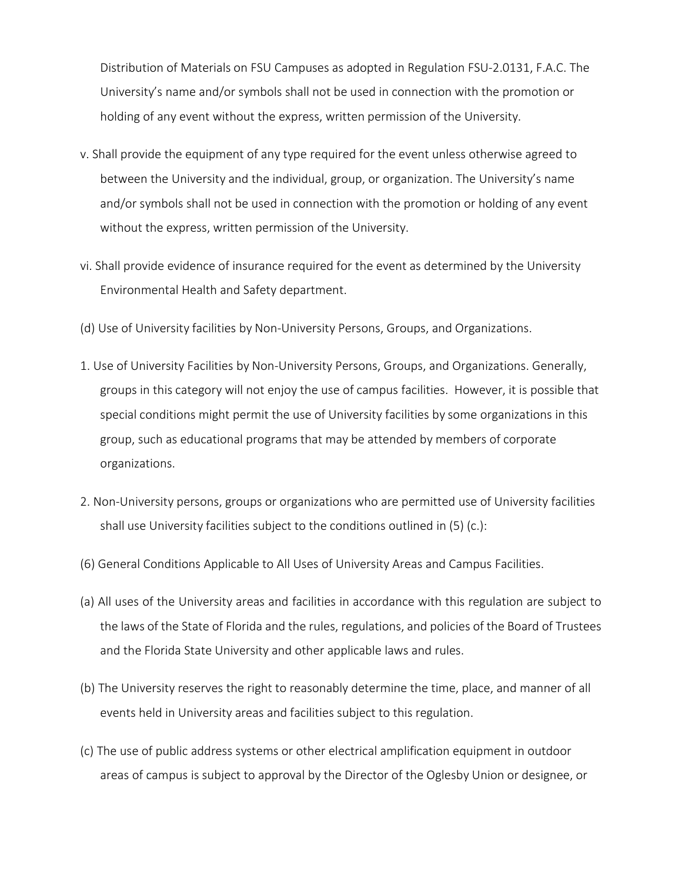Distribution of Materials on FSU Campuses as adopted in Regulation FSU-2.0131, F.A.C. The University's name and/or symbols shall not be used in connection with the promotion or holding of any event without the express, written permission of the University.

- v. Shall provide the equipment of any type required for the event unless otherwise agreed to between the University and the individual, group, or organization. The University's name and/or symbols shall not be used in connection with the promotion or holding of any event without the express, written permission of the University.
- vi. Shall provide evidence of insurance required for the event as determined by the University Environmental Health and Safety department.
- (d) Use of University facilities by Non-University Persons, Groups, and Organizations.
- 1. Use of University Facilities by Non-University Persons, Groups, and Organizations. Generally, groups in this category will not enjoy the use of campus facilities. However, it is possible that special conditions might permit the use of University facilities by some organizations in this group, such as educational programs that may be attended by members of corporate organizations.
- 2. Non-University persons, groups or organizations who are permitted use of University facilities shall use University facilities subject to the conditions outlined in (5) (c.):
- (6) General Conditions Applicable to All Uses of University Areas and Campus Facilities.
- (a) All uses of the University areas and facilities in accordance with this regulation are subject to the laws of the State of Florida and the rules, regulations, and policies of the Board of Trustees and the Florida State University and other applicable laws and rules.
- (b) The University reserves the right to reasonably determine the time, place, and manner of all events held in University areas and facilities subject to this regulation.
- (c) The use of public address systems or other electrical amplification equipment in outdoor areas of campus is subject to approval by the Director of the Oglesby Union or designee, or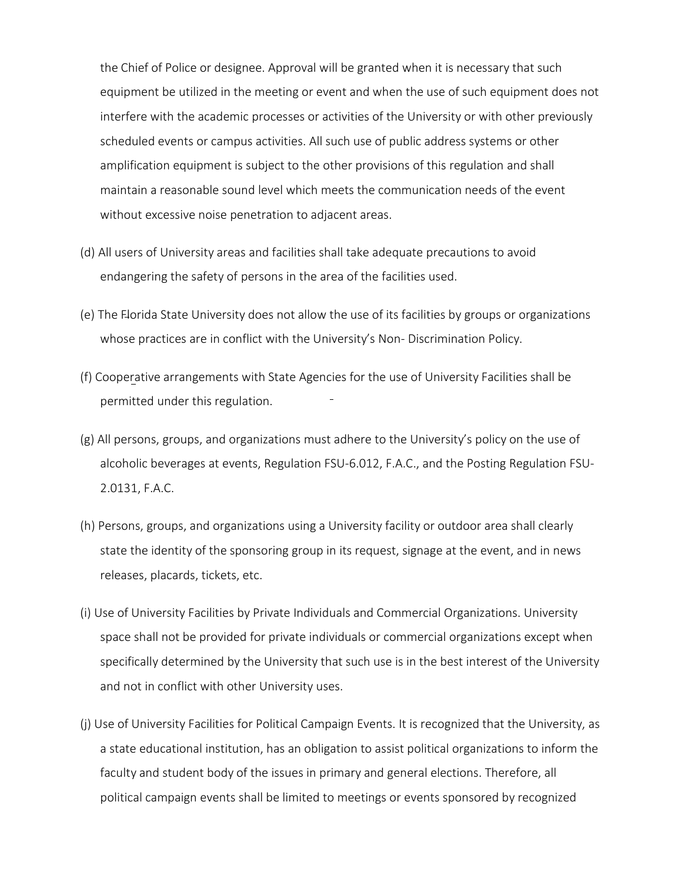the Chief of Police or designee. Approval will be granted when it is necessary that such equipment be utilized in the meeting or event and when the use of such equipment does not interfere with the academic processes or activities of the University or with other previously scheduled events or campus activities. All such use of public address systems or other amplification equipment is subject to the other provisions of this regulation and shall maintain a reasonable sound level which meets the communication needs of the event without excessive noise penetration to adjacent areas.

- (d) All users of University areas and facilities shall take adequate precautions to avoid endangering the safety of persons in the area of the facilities used.
- (e) The Florida State University does not allow the use of its facilities by groups or organizations whose practices are in conflict with the University's Non- Discrimination Policy.
- (f) Cooperative arrangements with State Agencies for the use of University Facilities shall be permitted under this regulation.
- (g) All persons, groups, and organizations must adhere to the University's policy on the use of alcoholic beverages at events, Regulation FSU-6.012, F.A.C., and the Posting Regulation FSU-2.0131, F.A.C.
- (h) Persons, groups, and organizations using a University facility or outdoor area shall clearly state the identity of the sponsoring group in its request, signage at the event, and in news releases, placards, tickets, etc.
- (i) Use of University Facilities by Private Individuals and Commercial Organizations. University space shall not be provided for private individuals or commercial organizations except when specifically determined by the University that such use is in the best interest of the University and not in conflict with other University uses.
- (j) Use of University Facilities for Political Campaign Events. It is recognized that the University, as a state educational institution, has an obligation to assist political organizations to inform the faculty and student body of the issues in primary and general elections. Therefore, all political campaign events shall be limited to meetings or events sponsored by recognized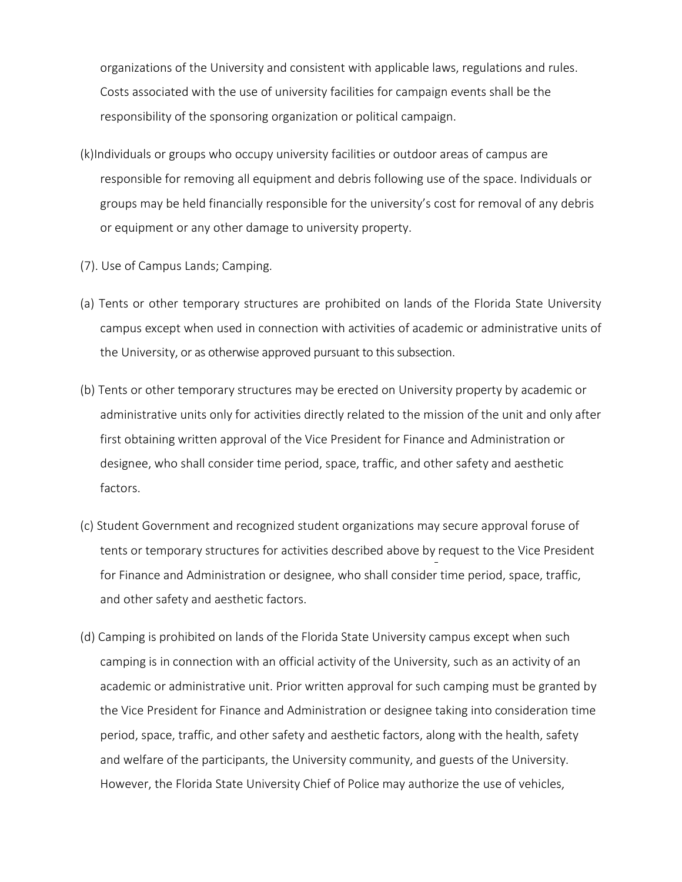organizations of the University and consistent with applicable laws, regulations and rules. Costs associated with the use of university facilities for campaign events shall be the responsibility of the sponsoring organization or political campaign.

- (k)Individuals or groups who occupy university facilities or outdoor areas of campus are responsible for removing all equipment and debris following use of the space. Individuals or groups may be held financially responsible for the university's cost for removal of any debris or equipment or any other damage to university property.
- (7). Use of Campus Lands; Camping.
- (a) Tents or other temporary structures are prohibited on lands of the Florida State University campus except when used in connection with activities of academic or administrative units of the University, or as otherwise approved pursuant to this subsection.
- (b) Tents or other temporary structures may be erected on University property by academic or administrative units only for activities directly related to the mission of the unit and only after first obtaining written approval of the Vice President for Finance and Administration or designee, who shall consider time period, space, traffic, and other safety and aesthetic factors.
- (c) Student Government and recognized student organizations may secure approval foruse of tents or temporary structures for activities described above by request to the Vice President for Finance and Administration or designee, who shall consider time period, space, traffic, and other safety and aesthetic factors.
- (d) Camping is prohibited on lands of the Florida State University campus except when such camping is in connection with an official activity of the University, such as an activity of an academic or administrative unit. Prior written approval for such camping must be granted by the Vice President for Finance and Administration or designee taking into consideration time period, space, traffic, and other safety and aesthetic factors, along with the health, safety and welfare of the participants, the University community, and guests of the University. However, the Florida State University Chief of Police may authorize the use of vehicles,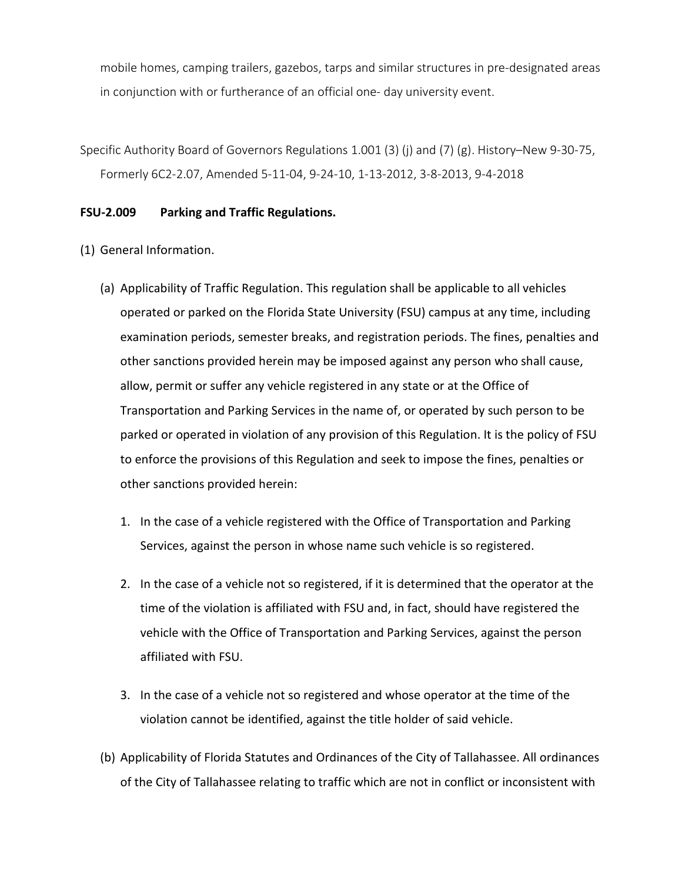mobile homes, camping trailers, gazebos, tarps and similar structures in pre-designated areas in conjunction with or furtherance of an official one- day university event.

Specific Authority Board of Governors Regulations 1.001 (3) (j) and (7) (g). History–New 9-30-75, Formerly 6C2-2.07, Amended 5-11-04, 9-24-10, 1-13-2012, 3-8-2013, 9-4-2018

## <span id="page-12-0"></span>**FSU-2.009 Parking and Traffic Regulations.**

(1) General Information.

- (a) Applicability of Traffic Regulation. This regulation shall be applicable to all vehicles operated or parked on the Florida State University (FSU) campus at any time, including examination periods, semester breaks, and registration periods. The fines, penalties and other sanctions provided herein may be imposed against any person who shall cause, allow, permit or suffer any vehicle registered in any state or at the Office of Transportation and Parking Services in the name of, or operated by such person to be parked or operated in violation of any provision of this Regulation. It is the policy of FSU to enforce the provisions of this Regulation and seek to impose the fines, penalties or other sanctions provided herein:
	- 1. In the case of a vehicle registered with the Office of Transportation and Parking Services, against the person in whose name such vehicle is so registered.
	- 2. In the case of a vehicle not so registered, if it is determined that the operator at the time of the violation is affiliated with FSU and, in fact, should have registered the vehicle with the Office of Transportation and Parking Services, against the person affiliated with FSU.
	- 3. In the case of a vehicle not so registered and whose operator at the time of the violation cannot be identified, against the title holder of said vehicle.
- (b) Applicability of Florida Statutes and Ordinances of the City of Tallahassee. All ordinances of the City of Tallahassee relating to traffic which are not in conflict or inconsistent with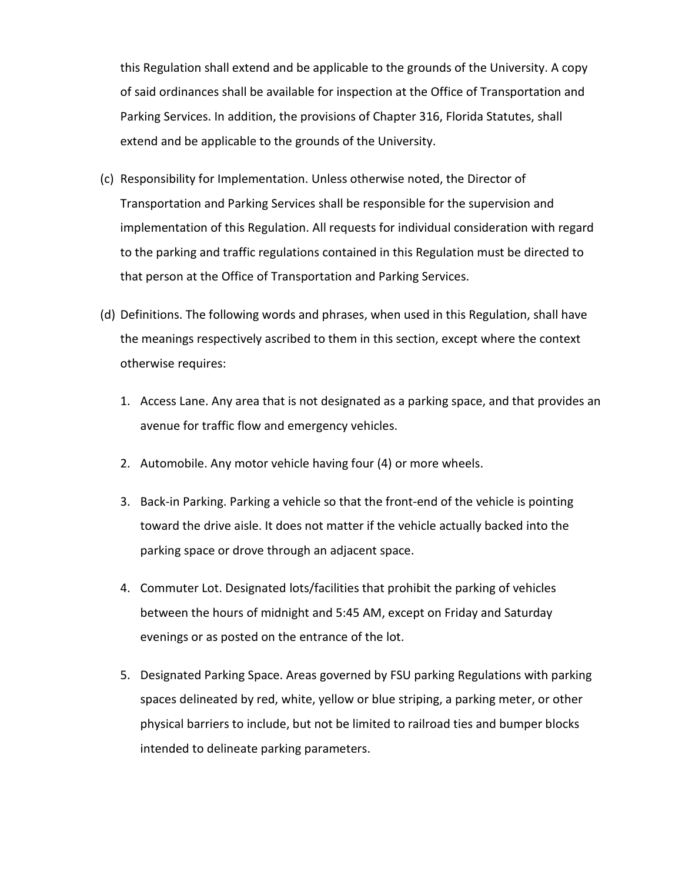this Regulation shall extend and be applicable to the grounds of the University. A copy of said ordinances shall be available for inspection at the Office of Transportation and Parking Services. In addition, the provisions of Chapter 316, Florida Statutes, shall extend and be applicable to the grounds of the University.

- (c) Responsibility for Implementation. Unless otherwise noted, the Director of Transportation and Parking Services shall be responsible for the supervision and implementation of this Regulation. All requests for individual consideration with regard to the parking and traffic regulations contained in this Regulation must be directed to that person at the Office of Transportation and Parking Services.
- (d) Definitions. The following words and phrases, when used in this Regulation, shall have the meanings respectively ascribed to them in this section, except where the context otherwise requires:
	- 1. Access Lane. Any area that is not designated as a parking space, and that provides an avenue for traffic flow and emergency vehicles.
	- 2. Automobile. Any motor vehicle having four (4) or more wheels.
	- 3. Back-in Parking. Parking a vehicle so that the front-end of the vehicle is pointing toward the drive aisle. It does not matter if the vehicle actually backed into the parking space or drove through an adjacent space.
	- 4. Commuter Lot. Designated lots/facilities that prohibit the parking of vehicles between the hours of midnight and 5:45 AM, except on Friday and Saturday evenings or as posted on the entrance of the lot.
	- 5. Designated Parking Space. Areas governed by FSU parking Regulations with parking spaces delineated by red, white, yellow or blue striping, a parking meter, or other physical barriers to include, but not be limited to railroad ties and bumper blocks intended to delineate parking parameters.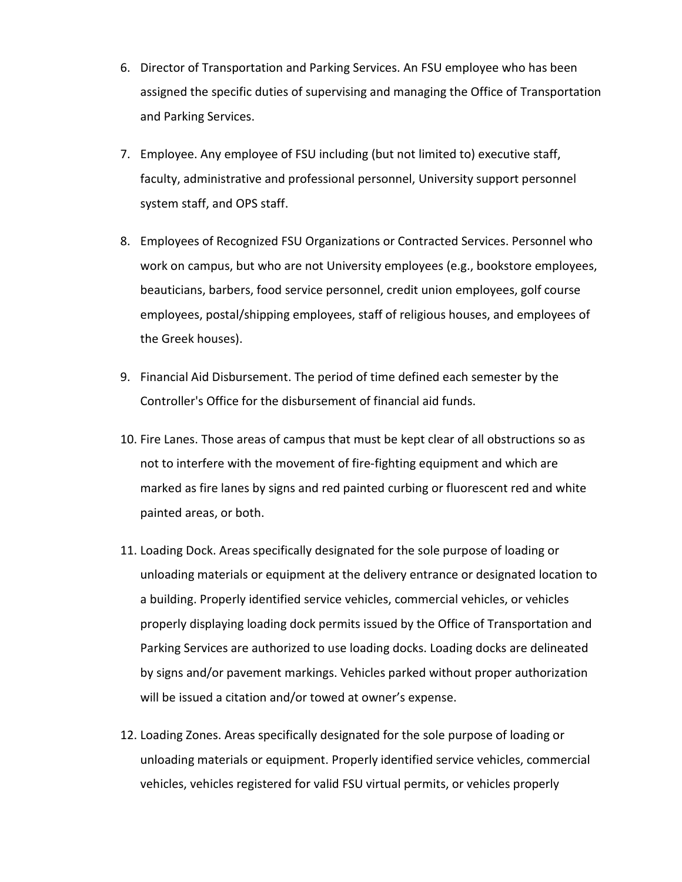- 6. Director of Transportation and Parking Services. An FSU employee who has been assigned the specific duties of supervising and managing the Office of Transportation and Parking Services.
- 7. Employee. Any employee of FSU including (but not limited to) executive staff, faculty, administrative and professional personnel, University support personnel system staff, and OPS staff.
- 8. Employees of Recognized FSU Organizations or Contracted Services. Personnel who work on campus, but who are not University employees (e.g., bookstore employees, beauticians, barbers, food service personnel, credit union employees, golf course employees, postal/shipping employees, staff of religious houses, and employees of the Greek houses).
- 9. Financial Aid Disbursement. The period of time defined each semester by the Controller's Office for the disbursement of financial aid funds.
- 10. Fire Lanes. Those areas of campus that must be kept clear of all obstructions so as not to interfere with the movement of fire-fighting equipment and which are marked as fire lanes by signs and red painted curbing or fluorescent red and white painted areas, or both.
- 11. Loading Dock. Areas specifically designated for the sole purpose of loading or unloading materials or equipment at the delivery entrance or designated location to a building. Properly identified service vehicles, commercial vehicles, or vehicles properly displaying loading dock permits issued by the Office of Transportation and Parking Services are authorized to use loading docks. Loading docks are delineated by signs and/or pavement markings. Vehicles parked without proper authorization will be issued a citation and/or towed at owner's expense.
- 12. Loading Zones. Areas specifically designated for the sole purpose of loading or unloading materials or equipment. Properly identified service vehicles, commercial vehicles, vehicles registered for valid FSU virtual permits, or vehicles properly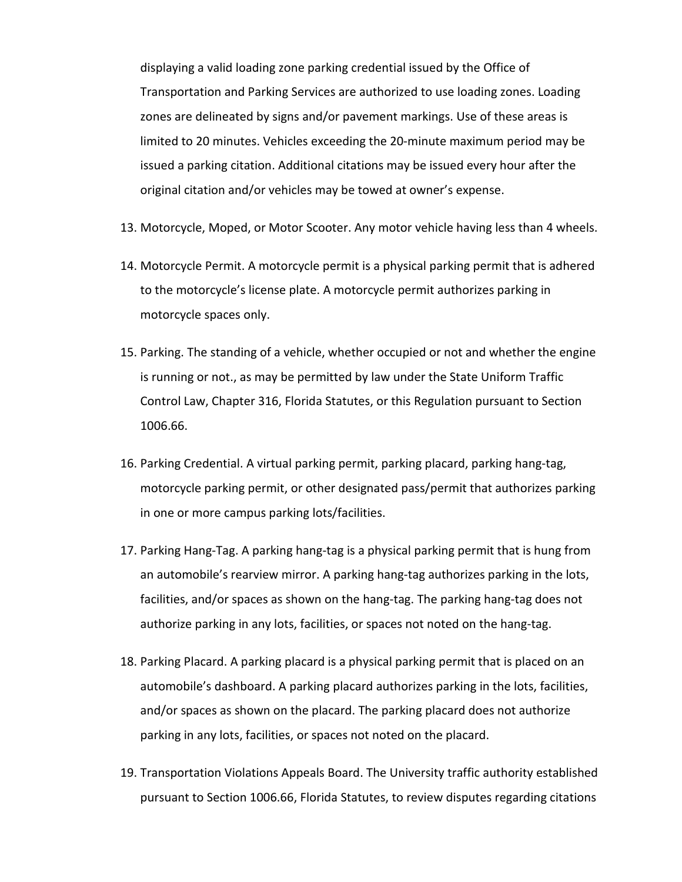displaying a valid loading zone parking credential issued by the Office of Transportation and Parking Services are authorized to use loading zones. Loading zones are delineated by signs and/or pavement markings. Use of these areas is limited to 20 minutes. Vehicles exceeding the 20-minute maximum period may be issued a parking citation. Additional citations may be issued every hour after the original citation and/or vehicles may be towed at owner's expense.

- 13. Motorcycle, Moped, or Motor Scooter. Any motor vehicle having less than 4 wheels.
- 14. Motorcycle Permit. A motorcycle permit is a physical parking permit that is adhered to the motorcycle's license plate. A motorcycle permit authorizes parking in motorcycle spaces only.
- 15. Parking. The standing of a vehicle, whether occupied or not and whether the engine is running or not., as may be permitted by law under the State Uniform Traffic Control Law, Chapter 316, Florida Statutes, or this Regulation pursuant to Section 1006.66.
- 16. Parking Credential. A virtual parking permit, parking placard, parking hang-tag, motorcycle parking permit, or other designated pass/permit that authorizes parking in one or more campus parking lots/facilities.
- 17. Parking Hang-Tag. A parking hang-tag is a physical parking permit that is hung from an automobile's rearview mirror. A parking hang-tag authorizes parking in the lots, facilities, and/or spaces as shown on the hang-tag. The parking hang-tag does not authorize parking in any lots, facilities, or spaces not noted on the hang-tag.
- 18. Parking Placard. A parking placard is a physical parking permit that is placed on an automobile's dashboard. A parking placard authorizes parking in the lots, facilities, and/or spaces as shown on the placard. The parking placard does not authorize parking in any lots, facilities, or spaces not noted on the placard.
- 19. Transportation Violations Appeals Board. The University traffic authority established pursuant to Section 1006.66, Florida Statutes, to review disputes regarding citations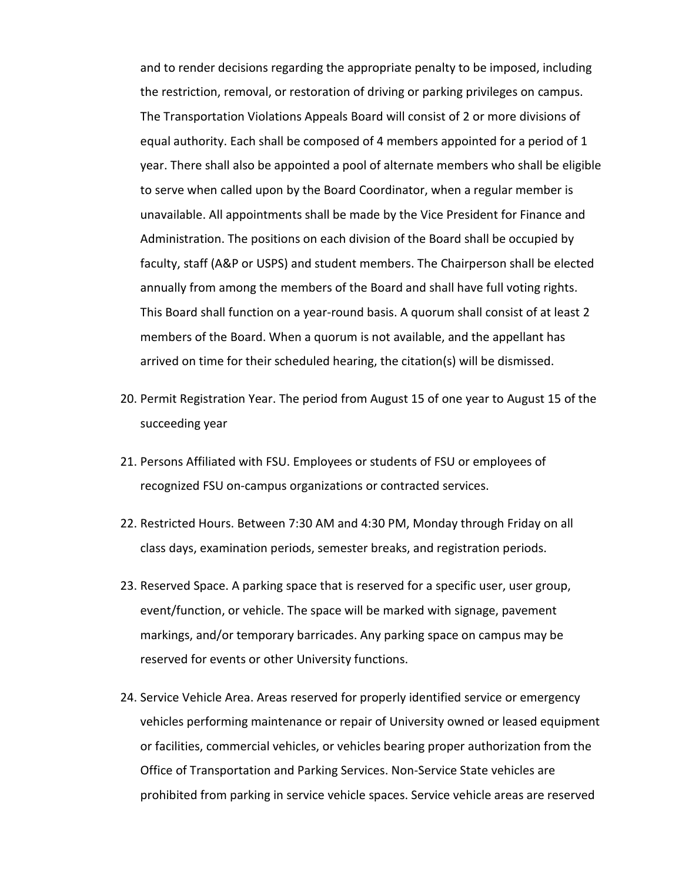and to render decisions regarding the appropriate penalty to be imposed, including the restriction, removal, or restoration of driving or parking privileges on campus. The Transportation Violations Appeals Board will consist of 2 or more divisions of equal authority. Each shall be composed of 4 members appointed for a period of 1 year. There shall also be appointed a pool of alternate members who shall be eligible to serve when called upon by the Board Coordinator, when a regular member is unavailable. All appointments shall be made by the Vice President for Finance and Administration. The positions on each division of the Board shall be occupied by faculty, staff (A&P or USPS) and student members. The Chairperson shall be elected annually from among the members of the Board and shall have full voting rights. This Board shall function on a year-round basis. A quorum shall consist of at least 2 members of the Board. When a quorum is not available, and the appellant has arrived on time for their scheduled hearing, the citation(s) will be dismissed.

- 20. Permit Registration Year. The period from August 15 of one year to August 15 of the succeeding year
- 21. Persons Affiliated with FSU. Employees or students of FSU or employees of recognized FSU on-campus organizations or contracted services.
- 22. Restricted Hours. Between 7:30 AM and 4:30 PM, Monday through Friday on all class days, examination periods, semester breaks, and registration periods.
- 23. Reserved Space. A parking space that is reserved for a specific user, user group, event/function, or vehicle. The space will be marked with signage, pavement markings, and/or temporary barricades. Any parking space on campus may be reserved for events or other University functions.
- 24. Service Vehicle Area. Areas reserved for properly identified service or emergency vehicles performing maintenance or repair of University owned or leased equipment or facilities, commercial vehicles, or vehicles bearing proper authorization from the Office of Transportation and Parking Services. Non-Service State vehicles are prohibited from parking in service vehicle spaces. Service vehicle areas are reserved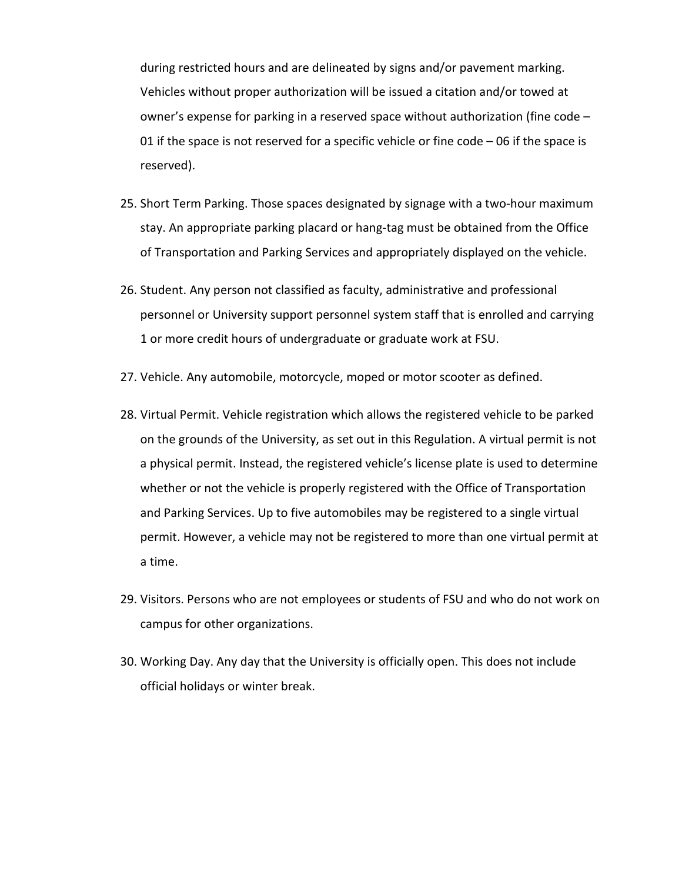during restricted hours and are delineated by signs and/or pavement marking. Vehicles without proper authorization will be issued a citation and/or towed at owner's expense for parking in a reserved space without authorization (fine code – 01 if the space is not reserved for a specific vehicle or fine code – 06 if the space is reserved).

- 25. Short Term Parking. Those spaces designated by signage with a two-hour maximum stay. An appropriate parking placard or hang-tag must be obtained from the Office of Transportation and Parking Services and appropriately displayed on the vehicle.
- 26. Student. Any person not classified as faculty, administrative and professional personnel or University support personnel system staff that is enrolled and carrying 1 or more credit hours of undergraduate or graduate work at FSU.
- 27. Vehicle. Any automobile, motorcycle, moped or motor scooter as defined.
- 28. Virtual Permit. Vehicle registration which allows the registered vehicle to be parked on the grounds of the University, as set out in this Regulation. A virtual permit is not a physical permit. Instead, the registered vehicle's license plate is used to determine whether or not the vehicle is properly registered with the Office of Transportation and Parking Services. Up to five automobiles may be registered to a single virtual permit. However, a vehicle may not be registered to more than one virtual permit at a time.
- 29. Visitors. Persons who are not employees or students of FSU and who do not work on campus for other organizations.
- 30. Working Day. Any day that the University is officially open. This does not include official holidays or winter break.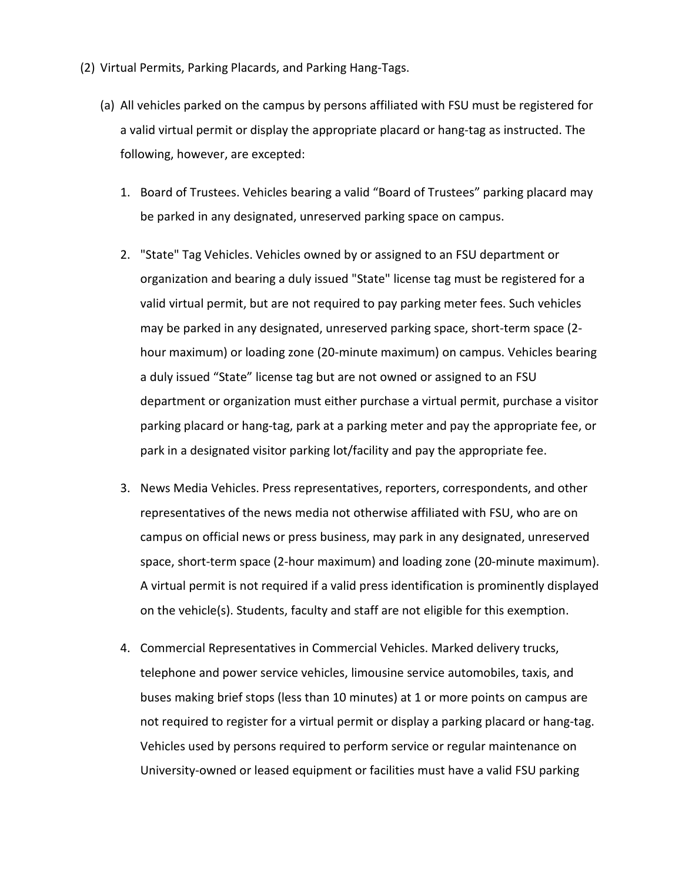- (2) Virtual Permits, Parking Placards, and Parking Hang-Tags.
	- (a) All vehicles parked on the campus by persons affiliated with FSU must be registered for a valid virtual permit or display the appropriate placard or hang-tag as instructed. The following, however, are excepted:
		- 1. Board of Trustees. Vehicles bearing a valid "Board of Trustees" parking placard may be parked in any designated, unreserved parking space on campus.
		- 2. "State" Tag Vehicles. Vehicles owned by or assigned to an FSU department or organization and bearing a duly issued "State" license tag must be registered for a valid virtual permit, but are not required to pay parking meter fees. Such vehicles may be parked in any designated, unreserved parking space, short-term space (2 hour maximum) or loading zone (20-minute maximum) on campus. Vehicles bearing a duly issued "State" license tag but are not owned or assigned to an FSU department or organization must either purchase a virtual permit, purchase a visitor parking placard or hang-tag, park at a parking meter and pay the appropriate fee, or park in a designated visitor parking lot/facility and pay the appropriate fee.
		- 3. News Media Vehicles. Press representatives, reporters, correspondents, and other representatives of the news media not otherwise affiliated with FSU, who are on campus on official news or press business, may park in any designated, unreserved space, short-term space (2-hour maximum) and loading zone (20-minute maximum). A virtual permit is not required if a valid press identification is prominently displayed on the vehicle(s). Students, faculty and staff are not eligible for this exemption.
		- 4. Commercial Representatives in Commercial Vehicles. Marked delivery trucks, telephone and power service vehicles, limousine service automobiles, taxis, and buses making brief stops (less than 10 minutes) at 1 or more points on campus are not required to register for a virtual permit or display a parking placard or hang-tag. Vehicles used by persons required to perform service or regular maintenance on University-owned or leased equipment or facilities must have a valid FSU parking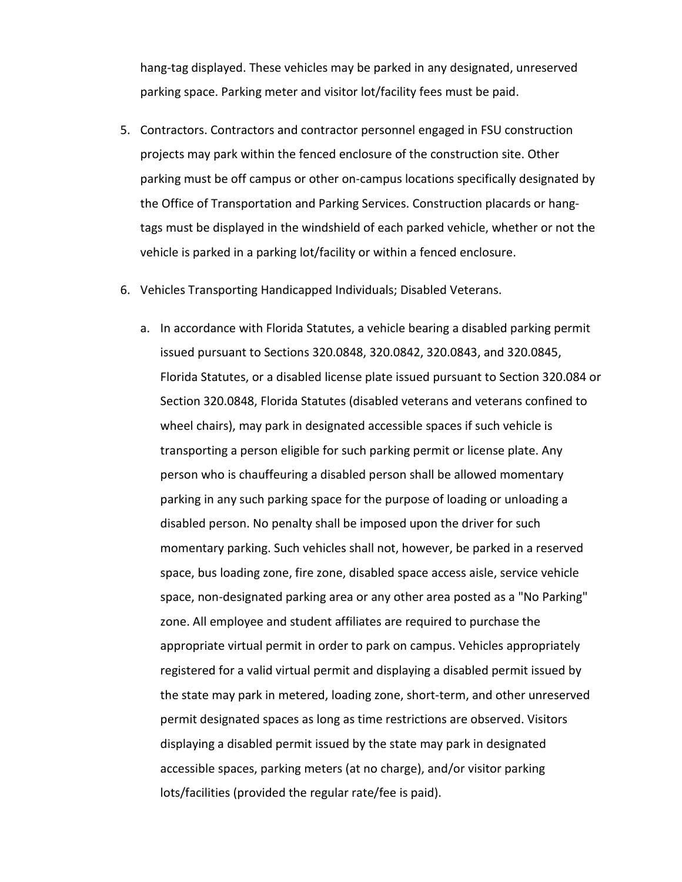hang-tag displayed. These vehicles may be parked in any designated, unreserved parking space. Parking meter and visitor lot/facility fees must be paid.

- 5. Contractors. Contractors and contractor personnel engaged in FSU construction projects may park within the fenced enclosure of the construction site. Other parking must be off campus or other on-campus locations specifically designated by the Office of Transportation and Parking Services. Construction placards or hangtags must be displayed in the windshield of each parked vehicle, whether or not the vehicle is parked in a parking lot/facility or within a fenced enclosure.
- 6. Vehicles Transporting Handicapped Individuals; Disabled Veterans.
	- a. In accordance with Florida Statutes, a vehicle bearing a disabled parking permit issued pursuant to Sections 320.0848, 320.0842, 320.0843, and 320.0845, Florida Statutes, or a disabled license plate issued pursuant to Section 320.084 or Section 320.0848, Florida Statutes (disabled veterans and veterans confined to wheel chairs), may park in designated accessible spaces if such vehicle is transporting a person eligible for such parking permit or license plate. Any person who is chauffeuring a disabled person shall be allowed momentary parking in any such parking space for the purpose of loading or unloading a disabled person. No penalty shall be imposed upon the driver for such momentary parking. Such vehicles shall not, however, be parked in a reserved space, bus loading zone, fire zone, disabled space access aisle, service vehicle space, non-designated parking area or any other area posted as a "No Parking" zone. All employee and student affiliates are required to purchase the appropriate virtual permit in order to park on campus. Vehicles appropriately registered for a valid virtual permit and displaying a disabled permit issued by the state may park in metered, loading zone, short-term, and other unreserved permit designated spaces as long as time restrictions are observed. Visitors displaying a disabled permit issued by the state may park in designated accessible spaces, parking meters (at no charge), and/or visitor parking lots/facilities (provided the regular rate/fee is paid).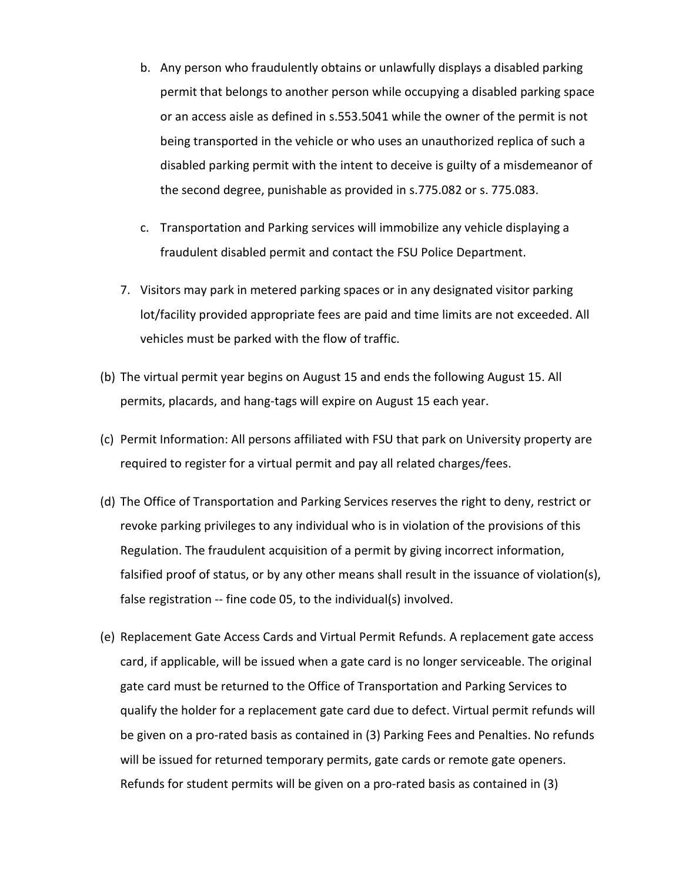- b. Any person who fraudulently obtains or unlawfully displays a disabled parking permit that belongs to another person while occupying a disabled parking space or an access aisle as defined in s.553.5041 while the owner of the permit is not being transported in the vehicle or who uses an unauthorized replica of such a disabled parking permit with the intent to deceive is guilty of a misdemeanor of the second degree, punishable as provided in s.775.082 or s. 775.083.
- c. Transportation and Parking services will immobilize any vehicle displaying a fraudulent disabled permit and contact the FSU Police Department.
- 7. Visitors may park in metered parking spaces or in any designated visitor parking lot/facility provided appropriate fees are paid and time limits are not exceeded. All vehicles must be parked with the flow of traffic.
- (b) The virtual permit year begins on August 15 and ends the following August 15. All permits, placards, and hang-tags will expire on August 15 each year.
- (c) Permit Information: All persons affiliated with FSU that park on University property are required to register for a virtual permit and pay all related charges/fees.
- (d) The Office of Transportation and Parking Services reserves the right to deny, restrict or revoke parking privileges to any individual who is in violation of the provisions of this Regulation. The fraudulent acquisition of a permit by giving incorrect information, falsified proof of status, or by any other means shall result in the issuance of violation(s), false registration -- fine code 05, to the individual(s) involved.
- (e) Replacement Gate Access Cards and Virtual Permit Refunds. A replacement gate access card, if applicable, will be issued when a gate card is no longer serviceable. The original gate card must be returned to the Office of Transportation and Parking Services to qualify the holder for a replacement gate card due to defect. Virtual permit refunds will be given on a pro-rated basis as contained in (3) Parking Fees and Penalties. No refunds will be issued for returned temporary permits, gate cards or remote gate openers. Refunds for student permits will be given on a pro-rated basis as contained in (3)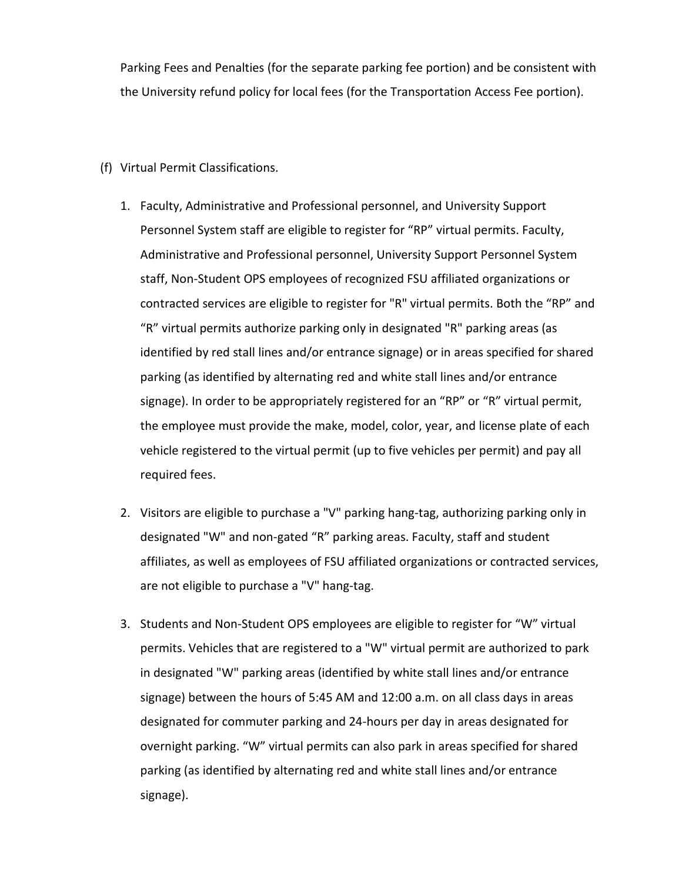Parking Fees and Penalties (for the separate parking fee portion) and be consistent with the University refund policy for local fees (for the Transportation Access Fee portion).

- (f) Virtual Permit Classifications.
	- 1. Faculty, Administrative and Professional personnel, and University Support Personnel System staff are eligible to register for "RP" virtual permits. Faculty, Administrative and Professional personnel, University Support Personnel System staff, Non-Student OPS employees of recognized FSU affiliated organizations or contracted services are eligible to register for "R" virtual permits. Both the "RP" and "R" virtual permits authorize parking only in designated "R" parking areas (as identified by red stall lines and/or entrance signage) or in areas specified for shared parking (as identified by alternating red and white stall lines and/or entrance signage). In order to be appropriately registered for an "RP" or "R" virtual permit, the employee must provide the make, model, color, year, and license plate of each vehicle registered to the virtual permit (up to five vehicles per permit) and pay all required fees.
	- 2. Visitors are eligible to purchase a "V" parking hang-tag, authorizing parking only in designated "W" and non-gated "R" parking areas. Faculty, staff and student affiliates, as well as employees of FSU affiliated organizations or contracted services, are not eligible to purchase a "V" hang-tag.
	- 3. Students and Non-Student OPS employees are eligible to register for "W" virtual permits. Vehicles that are registered to a "W" virtual permit are authorized to park in designated "W" parking areas (identified by white stall lines and/or entrance signage) between the hours of 5:45 AM and 12:00 a.m. on all class days in areas designated for commuter parking and 24-hours per day in areas designated for overnight parking. "W" virtual permits can also park in areas specified for shared parking (as identified by alternating red and white stall lines and/or entrance signage).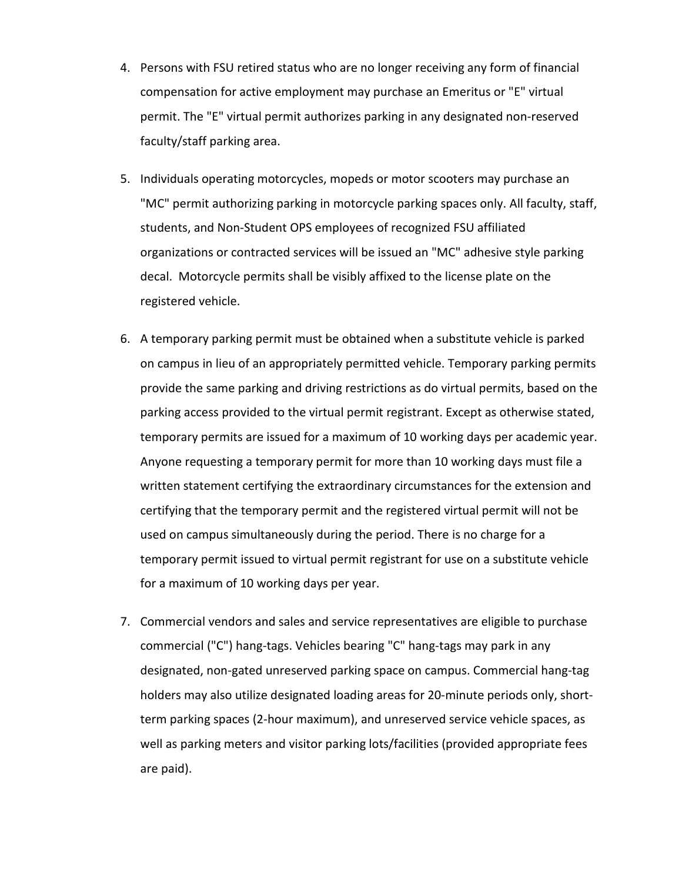- 4. Persons with FSU retired status who are no longer receiving any form of financial compensation for active employment may purchase an Emeritus or "E" virtual permit. The "E" virtual permit authorizes parking in any designated non-reserved faculty/staff parking area.
- 5. Individuals operating motorcycles, mopeds or motor scooters may purchase an "MC" permit authorizing parking in motorcycle parking spaces only. All faculty, staff, students, and Non-Student OPS employees of recognized FSU affiliated organizations or contracted services will be issued an "MC" adhesive style parking decal. Motorcycle permits shall be visibly affixed to the license plate on the registered vehicle.
- 6. A temporary parking permit must be obtained when a substitute vehicle is parked on campus in lieu of an appropriately permitted vehicle. Temporary parking permits provide the same parking and driving restrictions as do virtual permits, based on the parking access provided to the virtual permit registrant. Except as otherwise stated, temporary permits are issued for a maximum of 10 working days per academic year. Anyone requesting a temporary permit for more than 10 working days must file a written statement certifying the extraordinary circumstances for the extension and certifying that the temporary permit and the registered virtual permit will not be used on campus simultaneously during the period. There is no charge for a temporary permit issued to virtual permit registrant for use on a substitute vehicle for a maximum of 10 working days per year.
- 7. Commercial vendors and sales and service representatives are eligible to purchase commercial ("C") hang-tags. Vehicles bearing "C" hang-tags may park in any designated, non-gated unreserved parking space on campus. Commercial hang-tag holders may also utilize designated loading areas for 20-minute periods only, shortterm parking spaces (2-hour maximum), and unreserved service vehicle spaces, as well as parking meters and visitor parking lots/facilities (provided appropriate fees are paid).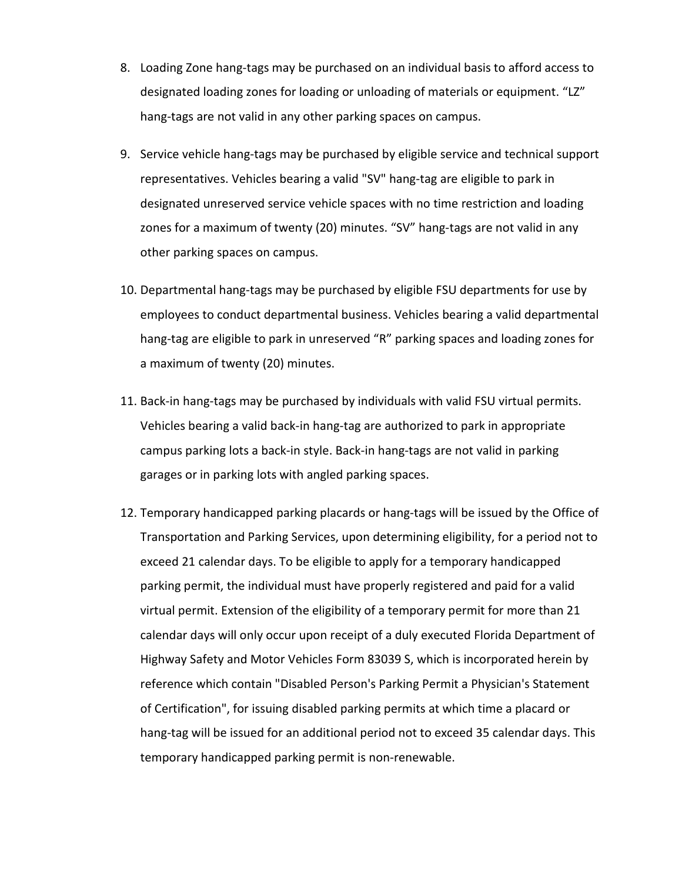- 8. Loading Zone hang-tags may be purchased on an individual basis to afford access to designated loading zones for loading or unloading of materials or equipment. "LZ" hang-tags are not valid in any other parking spaces on campus.
- 9. Service vehicle hang-tags may be purchased by eligible service and technical support representatives. Vehicles bearing a valid "SV" hang-tag are eligible to park in designated unreserved service vehicle spaces with no time restriction and loading zones for a maximum of twenty (20) minutes. "SV" hang-tags are not valid in any other parking spaces on campus.
- 10. Departmental hang-tags may be purchased by eligible FSU departments for use by employees to conduct departmental business. Vehicles bearing a valid departmental hang-tag are eligible to park in unreserved "R" parking spaces and loading zones for a maximum of twenty (20) minutes.
- 11. Back-in hang-tags may be purchased by individuals with valid FSU virtual permits. Vehicles bearing a valid back-in hang-tag are authorized to park in appropriate campus parking lots a back-in style. Back-in hang-tags are not valid in parking garages or in parking lots with angled parking spaces.
- 12. Temporary handicapped parking placards or hang-tags will be issued by the Office of Transportation and Parking Services, upon determining eligibility, for a period not to exceed 21 calendar days. To be eligible to apply for a temporary handicapped parking permit, the individual must have properly registered and paid for a valid virtual permit. Extension of the eligibility of a temporary permit for more than 21 calendar days will only occur upon receipt of a duly executed Florida Department of Highway Safety and Motor Vehicles Form 83039 S, which is incorporated herein by reference which contain "Disabled Person's Parking Permit a Physician's Statement of Certification", for issuing disabled parking permits at which time a placard or hang-tag will be issued for an additional period not to exceed 35 calendar days. This temporary handicapped parking permit is non-renewable.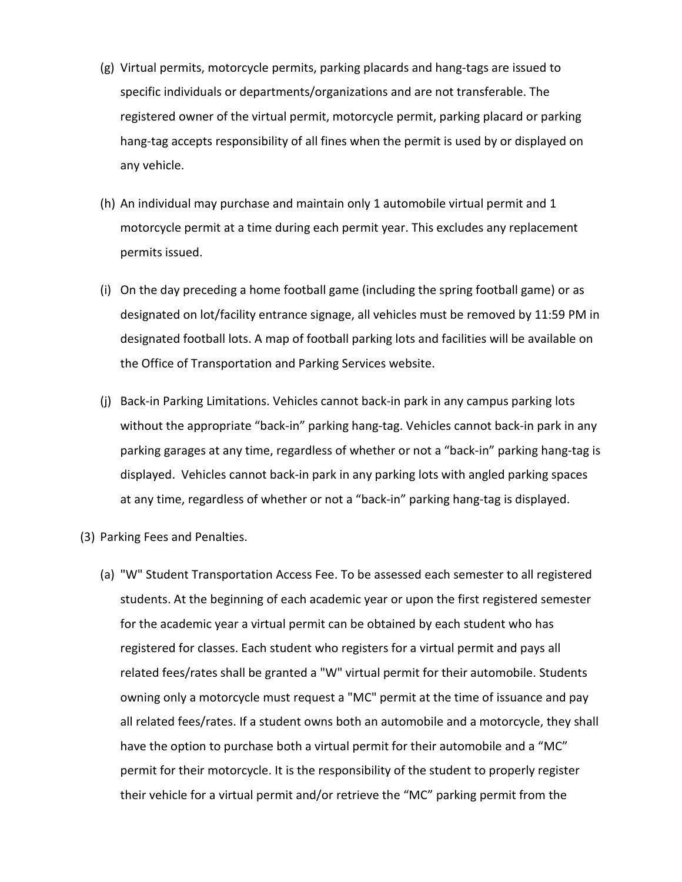- (g) Virtual permits, motorcycle permits, parking placards and hang-tags are issued to specific individuals or departments/organizations and are not transferable. The registered owner of the virtual permit, motorcycle permit, parking placard or parking hang-tag accepts responsibility of all fines when the permit is used by or displayed on any vehicle.
- (h) An individual may purchase and maintain only 1 automobile virtual permit and 1 motorcycle permit at a time during each permit year. This excludes any replacement permits issued.
- (i) On the day preceding a home football game (including the spring football game) or as designated on lot/facility entrance signage, all vehicles must be removed by 11:59 PM in designated football lots. A map of football parking lots and facilities will be available on the Office of Transportation and Parking Services website.
- (j) Back-in Parking Limitations. Vehicles cannot back-in park in any campus parking lots without the appropriate "back-in" parking hang-tag. Vehicles cannot back-in park in any parking garages at any time, regardless of whether or not a "back-in" parking hang-tag is displayed. Vehicles cannot back-in park in any parking lots with angled parking spaces at any time, regardless of whether or not a "back-in" parking hang-tag is displayed.
- (3) Parking Fees and Penalties.
	- (a) "W" Student Transportation Access Fee. To be assessed each semester to all registered students. At the beginning of each academic year or upon the first registered semester for the academic year a virtual permit can be obtained by each student who has registered for classes. Each student who registers for a virtual permit and pays all related fees/rates shall be granted a "W" virtual permit for their automobile. Students owning only a motorcycle must request a "MC" permit at the time of issuance and pay all related fees/rates. If a student owns both an automobile and a motorcycle, they shall have the option to purchase both a virtual permit for their automobile and a "MC" permit for their motorcycle. It is the responsibility of the student to properly register their vehicle for a virtual permit and/or retrieve the "MC" parking permit from the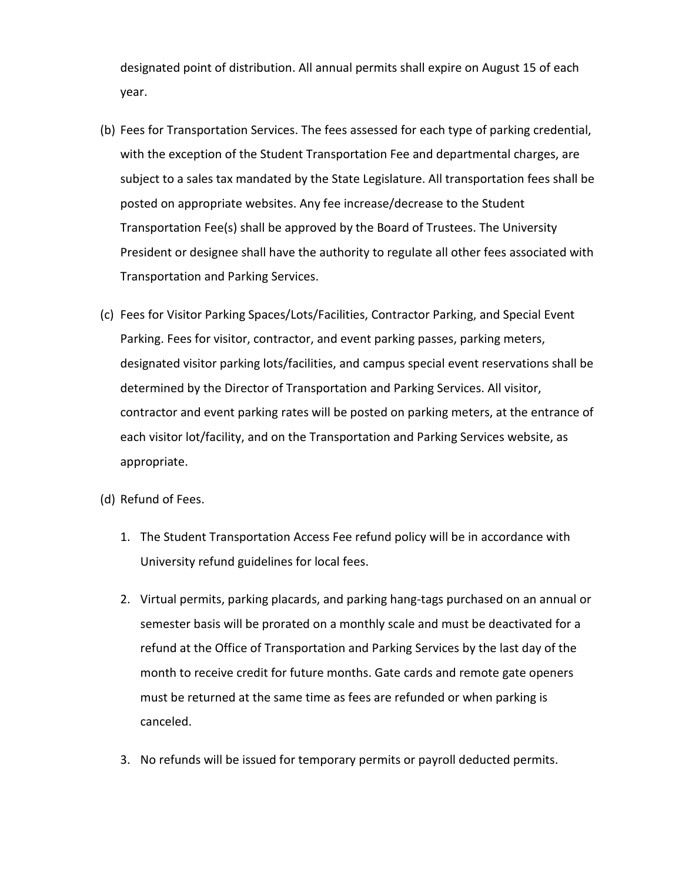designated point of distribution. All annual permits shall expire on August 15 of each year.

- (b) Fees for Transportation Services. The fees assessed for each type of parking credential, with the exception of the Student Transportation Fee and departmental charges, are subject to a sales tax mandated by the State Legislature. All transportation fees shall be posted on appropriate websites. Any fee increase/decrease to the Student Transportation Fee(s) shall be approved by the Board of Trustees. The University President or designee shall have the authority to regulate all other fees associated with Transportation and Parking Services.
- (c) Fees for Visitor Parking Spaces/Lots/Facilities, Contractor Parking, and Special Event Parking. Fees for visitor, contractor, and event parking passes, parking meters, designated visitor parking lots/facilities, and campus special event reservations shall be determined by the Director of Transportation and Parking Services. All visitor, contractor and event parking rates will be posted on parking meters, at the entrance of each visitor lot/facility, and on the Transportation and Parking Services website, as appropriate.
- (d) Refund of Fees.
	- 1. The Student Transportation Access Fee refund policy will be in accordance with University refund guidelines for local fees.
	- 2. Virtual permits, parking placards, and parking hang-tags purchased on an annual or semester basis will be prorated on a monthly scale and must be deactivated for a refund at the Office of Transportation and Parking Services by the last day of the month to receive credit for future months. Gate cards and remote gate openers must be returned at the same time as fees are refunded or when parking is canceled.
	- 3. No refunds will be issued for temporary permits or payroll deducted permits.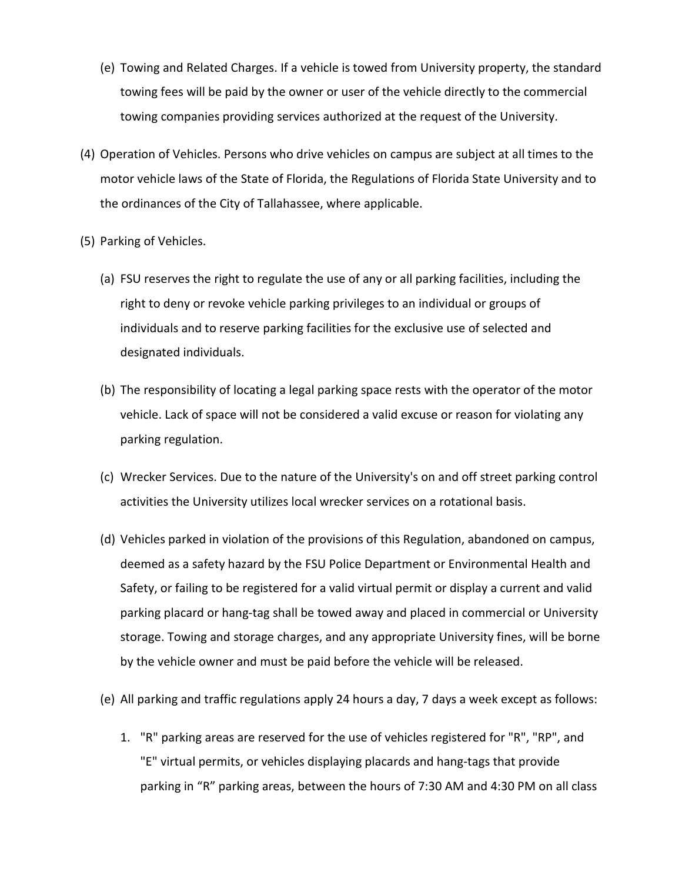- (e) Towing and Related Charges. If a vehicle is towed from University property, the standard towing fees will be paid by the owner or user of the vehicle directly to the commercial towing companies providing services authorized at the request of the University.
- (4) Operation of Vehicles. Persons who drive vehicles on campus are subject at all times to the motor vehicle laws of the State of Florida, the Regulations of Florida State University and to the ordinances of the City of Tallahassee, where applicable.
- (5) Parking of Vehicles.
	- (a) FSU reserves the right to regulate the use of any or all parking facilities, including the right to deny or revoke vehicle parking privileges to an individual or groups of individuals and to reserve parking facilities for the exclusive use of selected and designated individuals.
	- (b) The responsibility of locating a legal parking space rests with the operator of the motor vehicle. Lack of space will not be considered a valid excuse or reason for violating any parking regulation.
	- (c) Wrecker Services. Due to the nature of the University's on and off street parking control activities the University utilizes local wrecker services on a rotational basis.
	- (d) Vehicles parked in violation of the provisions of this Regulation, abandoned on campus, deemed as a safety hazard by the FSU Police Department or Environmental Health and Safety, or failing to be registered for a valid virtual permit or display a current and valid parking placard or hang-tag shall be towed away and placed in commercial or University storage. Towing and storage charges, and any appropriate University fines, will be borne by the vehicle owner and must be paid before the vehicle will be released.
	- (e) All parking and traffic regulations apply 24 hours a day, 7 days a week except as follows:
		- 1. "R" parking areas are reserved for the use of vehicles registered for "R", "RP", and "E" virtual permits, or vehicles displaying placards and hang-tags that provide parking in "R" parking areas, between the hours of 7:30 AM and 4:30 PM on all class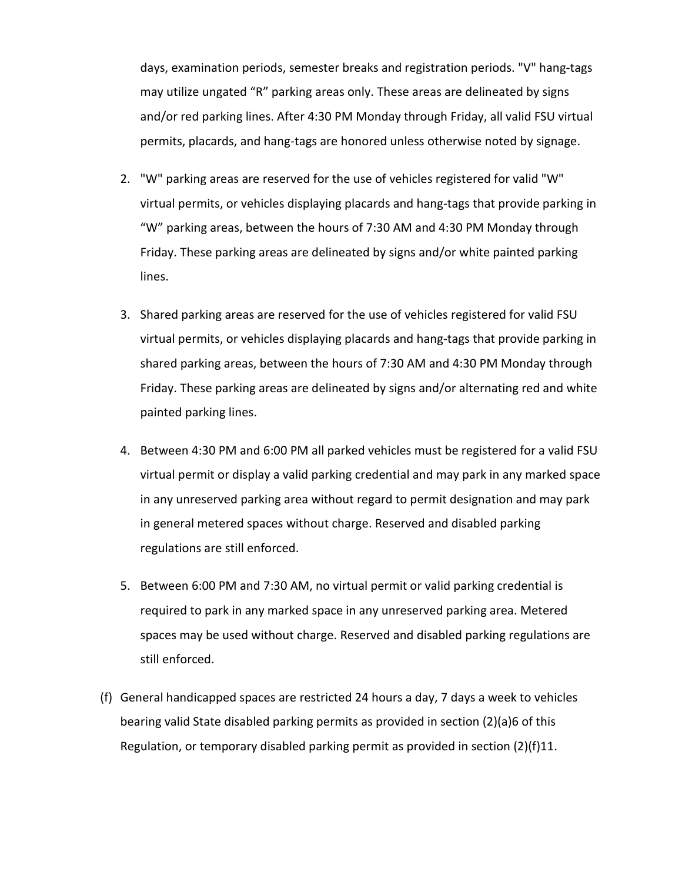days, examination periods, semester breaks and registration periods. "V" hang-tags may utilize ungated "R" parking areas only. These areas are delineated by signs and/or red parking lines. After 4:30 PM Monday through Friday, all valid FSU virtual permits, placards, and hang-tags are honored unless otherwise noted by signage.

- 2. "W" parking areas are reserved for the use of vehicles registered for valid "W" virtual permits, or vehicles displaying placards and hang-tags that provide parking in "W" parking areas, between the hours of 7:30 AM and 4:30 PM Monday through Friday. These parking areas are delineated by signs and/or white painted parking lines.
- 3. Shared parking areas are reserved for the use of vehicles registered for valid FSU virtual permits, or vehicles displaying placards and hang-tags that provide parking in shared parking areas, between the hours of 7:30 AM and 4:30 PM Monday through Friday. These parking areas are delineated by signs and/or alternating red and white painted parking lines.
- 4. Between 4:30 PM and 6:00 PM all parked vehicles must be registered for a valid FSU virtual permit or display a valid parking credential and may park in any marked space in any unreserved parking area without regard to permit designation and may park in general metered spaces without charge. Reserved and disabled parking regulations are still enforced.
- 5. Between 6:00 PM and 7:30 AM, no virtual permit or valid parking credential is required to park in any marked space in any unreserved parking area. Metered spaces may be used without charge. Reserved and disabled parking regulations are still enforced.
- (f) General handicapped spaces are restricted 24 hours a day, 7 days a week to vehicles bearing valid State disabled parking permits as provided in section (2)(a)6 of this Regulation, or temporary disabled parking permit as provided in section (2)(f)11.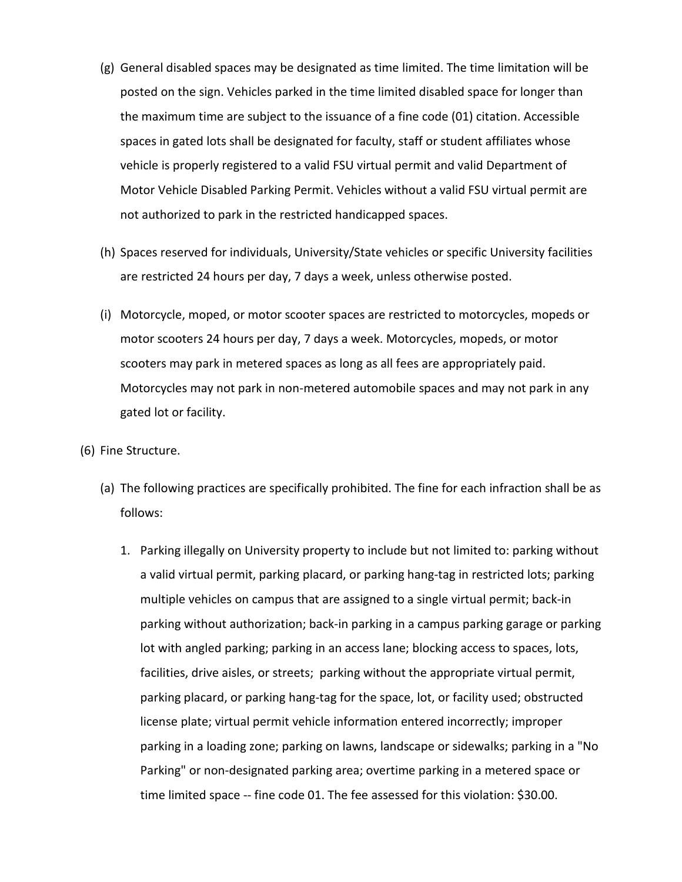- (g) General disabled spaces may be designated as time limited. The time limitation will be posted on the sign. Vehicles parked in the time limited disabled space for longer than the maximum time are subject to the issuance of a fine code (01) citation. Accessible spaces in gated lots shall be designated for faculty, staff or student affiliates whose vehicle is properly registered to a valid FSU virtual permit and valid Department of Motor Vehicle Disabled Parking Permit. Vehicles without a valid FSU virtual permit are not authorized to park in the restricted handicapped spaces.
- (h) Spaces reserved for individuals, University/State vehicles or specific University facilities are restricted 24 hours per day, 7 days a week, unless otherwise posted.
- (i) Motorcycle, moped, or motor scooter spaces are restricted to motorcycles, mopeds or motor scooters 24 hours per day, 7 days a week. Motorcycles, mopeds, or motor scooters may park in metered spaces as long as all fees are appropriately paid. Motorcycles may not park in non-metered automobile spaces and may not park in any gated lot or facility.
- (6) Fine Structure.
	- (a) The following practices are specifically prohibited. The fine for each infraction shall be as follows:
		- 1. Parking illegally on University property to include but not limited to: parking without a valid virtual permit, parking placard, or parking hang-tag in restricted lots; parking multiple vehicles on campus that are assigned to a single virtual permit; back-in parking without authorization; back-in parking in a campus parking garage or parking lot with angled parking; parking in an access lane; blocking access to spaces, lots, facilities, drive aisles, or streets; parking without the appropriate virtual permit, parking placard, or parking hang-tag for the space, lot, or facility used; obstructed license plate; virtual permit vehicle information entered incorrectly; improper parking in a loading zone; parking on lawns, landscape or sidewalks; parking in a "No Parking" or non-designated parking area; overtime parking in a metered space or time limited space -- fine code 01. The fee assessed for this violation: \$30.00.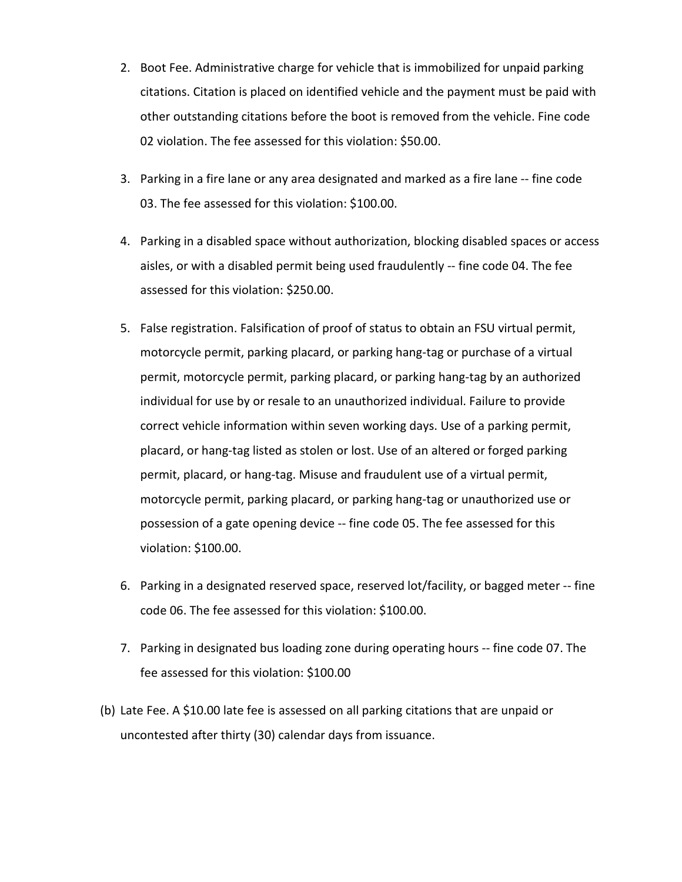- 2. Boot Fee. Administrative charge for vehicle that is immobilized for unpaid parking citations. Citation is placed on identified vehicle and the payment must be paid with other outstanding citations before the boot is removed from the vehicle. Fine code 02 violation. The fee assessed for this violation: \$50.00.
- 3. Parking in a fire lane or any area designated and marked as a fire lane -- fine code 03. The fee assessed for this violation: \$100.00.
- 4. Parking in a disabled space without authorization, blocking disabled spaces or access aisles, or with a disabled permit being used fraudulently -- fine code 04. The fee assessed for this violation: \$250.00.
- 5. False registration. Falsification of proof of status to obtain an FSU virtual permit, motorcycle permit, parking placard, or parking hang-tag or purchase of a virtual permit, motorcycle permit, parking placard, or parking hang-tag by an authorized individual for use by or resale to an unauthorized individual. Failure to provide correct vehicle information within seven working days. Use of a parking permit, placard, or hang-tag listed as stolen or lost. Use of an altered or forged parking permit, placard, or hang-tag. Misuse and fraudulent use of a virtual permit, motorcycle permit, parking placard, or parking hang-tag or unauthorized use or possession of a gate opening device -- fine code 05. The fee assessed for this violation: \$100.00.
- 6. Parking in a designated reserved space, reserved lot/facility, or bagged meter -- fine code 06. The fee assessed for this violation: \$100.00.
- 7. Parking in designated bus loading zone during operating hours -- fine code 07. The fee assessed for this violation: \$100.00
- (b) Late Fee. A \$10.00 late fee is assessed on all parking citations that are unpaid or uncontested after thirty (30) calendar days from issuance.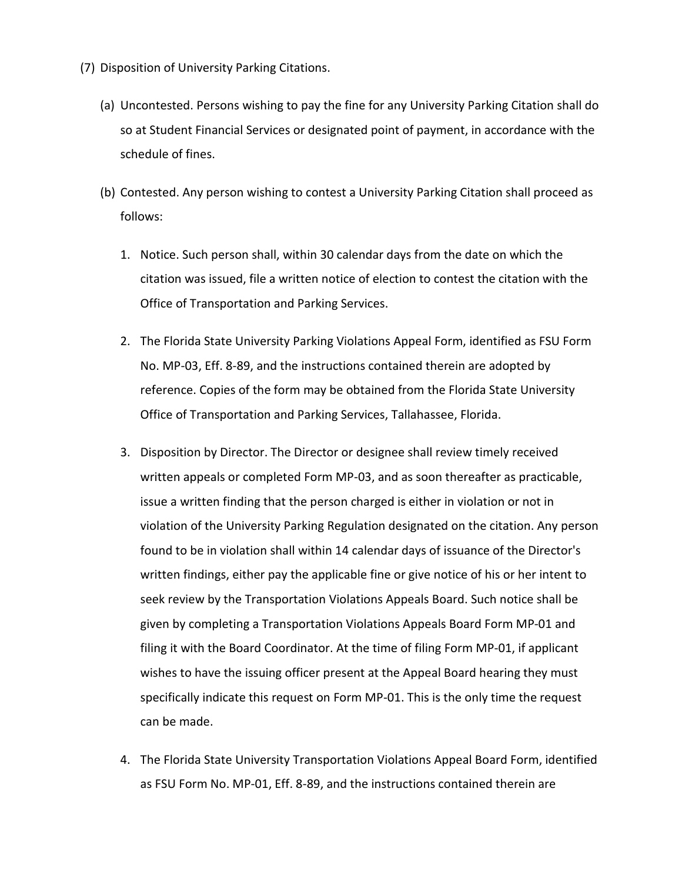- (7) Disposition of University Parking Citations.
	- (a) Uncontested. Persons wishing to pay the fine for any University Parking Citation shall do so at Student Financial Services or designated point of payment, in accordance with the schedule of fines.
	- (b) Contested. Any person wishing to contest a University Parking Citation shall proceed as follows:
		- 1. Notice. Such person shall, within 30 calendar days from the date on which the citation was issued, file a written notice of election to contest the citation with the Office of Transportation and Parking Services.
		- 2. The Florida State University Parking Violations Appeal Form, identified as FSU Form No. MP-03, Eff. 8-89, and the instructions contained therein are adopted by reference. Copies of the form may be obtained from the Florida State University Office of Transportation and Parking Services, Tallahassee, Florida.
		- 3. Disposition by Director. The Director or designee shall review timely received written appeals or completed Form MP-03, and as soon thereafter as practicable, issue a written finding that the person charged is either in violation or not in violation of the University Parking Regulation designated on the citation. Any person found to be in violation shall within 14 calendar days of issuance of the Director's written findings, either pay the applicable fine or give notice of his or her intent to seek review by the Transportation Violations Appeals Board. Such notice shall be given by completing a Transportation Violations Appeals Board Form MP-01 and filing it with the Board Coordinator. At the time of filing Form MP-01, if applicant wishes to have the issuing officer present at the Appeal Board hearing they must specifically indicate this request on Form MP-01. This is the only time the request can be made.
		- 4. The Florida State University Transportation Violations Appeal Board Form, identified as FSU Form No. MP-01, Eff. 8-89, and the instructions contained therein are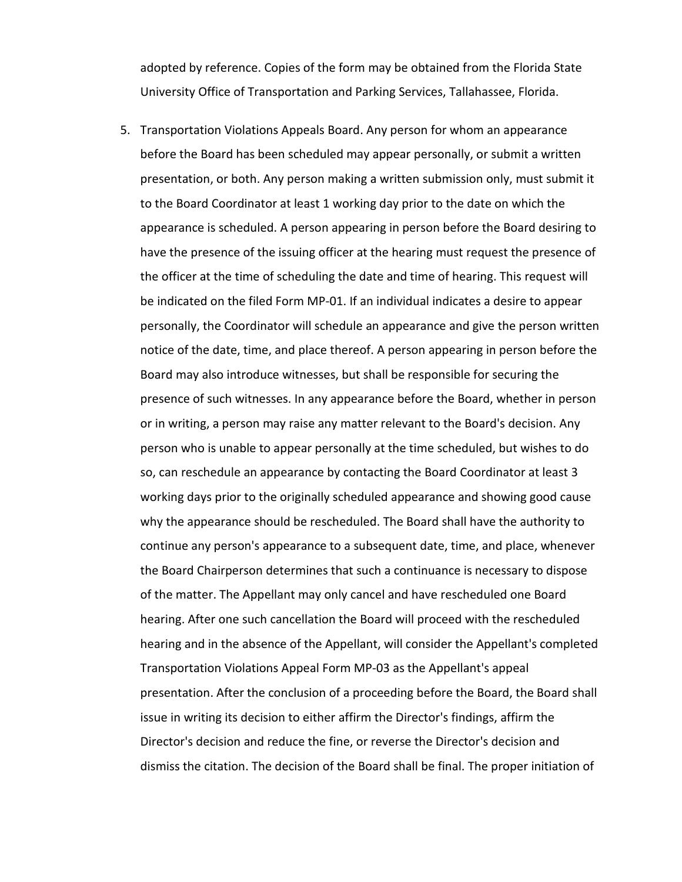adopted by reference. Copies of the form may be obtained from the Florida State University Office of Transportation and Parking Services, Tallahassee, Florida.

5. Transportation Violations Appeals Board. Any person for whom an appearance before the Board has been scheduled may appear personally, or submit a written presentation, or both. Any person making a written submission only, must submit it to the Board Coordinator at least 1 working day prior to the date on which the appearance is scheduled. A person appearing in person before the Board desiring to have the presence of the issuing officer at the hearing must request the presence of the officer at the time of scheduling the date and time of hearing. This request will be indicated on the filed Form MP-01. If an individual indicates a desire to appear personally, the Coordinator will schedule an appearance and give the person written notice of the date, time, and place thereof. A person appearing in person before the Board may also introduce witnesses, but shall be responsible for securing the presence of such witnesses. In any appearance before the Board, whether in person or in writing, a person may raise any matter relevant to the Board's decision. Any person who is unable to appear personally at the time scheduled, but wishes to do so, can reschedule an appearance by contacting the Board Coordinator at least 3 working days prior to the originally scheduled appearance and showing good cause why the appearance should be rescheduled. The Board shall have the authority to continue any person's appearance to a subsequent date, time, and place, whenever the Board Chairperson determines that such a continuance is necessary to dispose of the matter. The Appellant may only cancel and have rescheduled one Board hearing. After one such cancellation the Board will proceed with the rescheduled hearing and in the absence of the Appellant, will consider the Appellant's completed Transportation Violations Appeal Form MP-03 as the Appellant's appeal presentation. After the conclusion of a proceeding before the Board, the Board shall issue in writing its decision to either affirm the Director's findings, affirm the Director's decision and reduce the fine, or reverse the Director's decision and dismiss the citation. The decision of the Board shall be final. The proper initiation of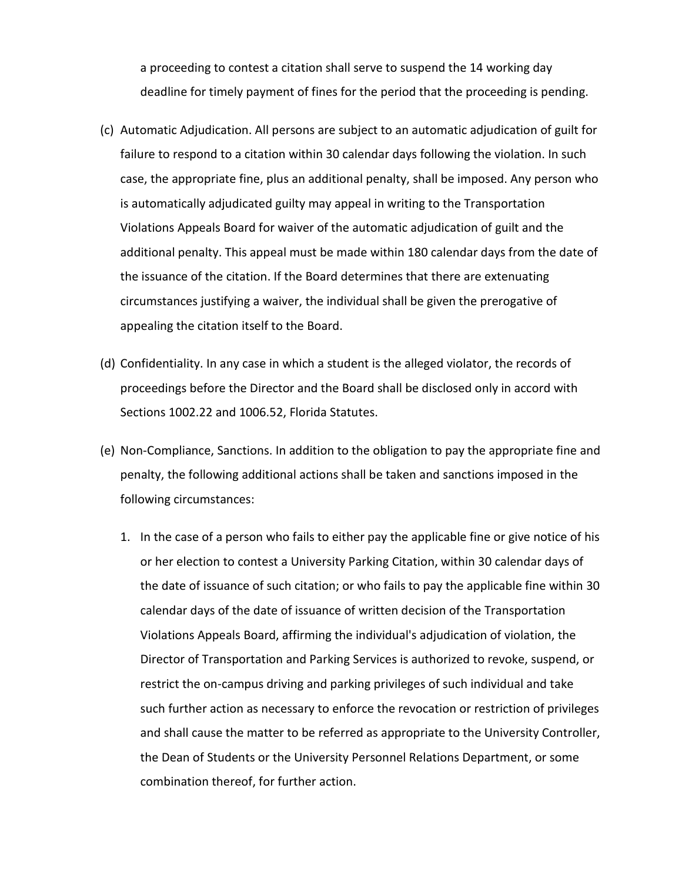a proceeding to contest a citation shall serve to suspend the 14 working day deadline for timely payment of fines for the period that the proceeding is pending.

- (c) Automatic Adjudication. All persons are subject to an automatic adjudication of guilt for failure to respond to a citation within 30 calendar days following the violation. In such case, the appropriate fine, plus an additional penalty, shall be imposed. Any person who is automatically adjudicated guilty may appeal in writing to the Transportation Violations Appeals Board for waiver of the automatic adjudication of guilt and the additional penalty. This appeal must be made within 180 calendar days from the date of the issuance of the citation. If the Board determines that there are extenuating circumstances justifying a waiver, the individual shall be given the prerogative of appealing the citation itself to the Board.
- (d) Confidentiality. In any case in which a student is the alleged violator, the records of proceedings before the Director and the Board shall be disclosed only in accord with Sections 1002.22 and 1006.52, Florida Statutes.
- (e) Non-Compliance, Sanctions. In addition to the obligation to pay the appropriate fine and penalty, the following additional actions shall be taken and sanctions imposed in the following circumstances:
	- 1. In the case of a person who fails to either pay the applicable fine or give notice of his or her election to contest a University Parking Citation, within 30 calendar days of the date of issuance of such citation; or who fails to pay the applicable fine within 30 calendar days of the date of issuance of written decision of the Transportation Violations Appeals Board, affirming the individual's adjudication of violation, the Director of Transportation and Parking Services is authorized to revoke, suspend, or restrict the on-campus driving and parking privileges of such individual and take such further action as necessary to enforce the revocation or restriction of privileges and shall cause the matter to be referred as appropriate to the University Controller, the Dean of Students or the University Personnel Relations Department, or some combination thereof, for further action.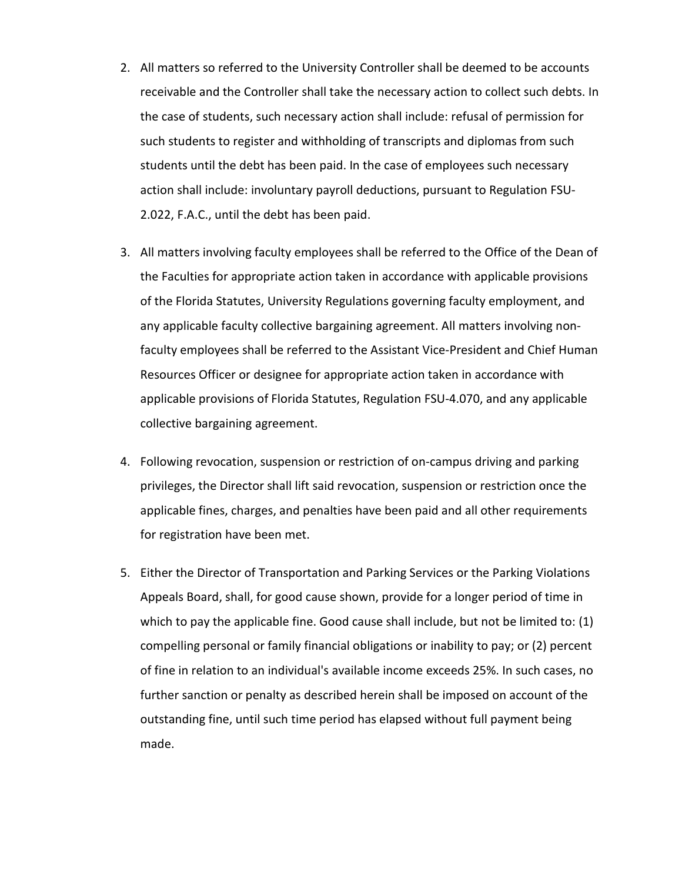- 2. All matters so referred to the University Controller shall be deemed to be accounts receivable and the Controller shall take the necessary action to collect such debts. In the case of students, such necessary action shall include: refusal of permission for such students to register and withholding of transcripts and diplomas from such students until the debt has been paid. In the case of employees such necessary action shall include: involuntary payroll deductions, pursuant to Regulation FSU-2.022, F.A.C., until the debt has been paid.
- 3. All matters involving faculty employees shall be referred to the Office of the Dean of the Faculties for appropriate action taken in accordance with applicable provisions of the Florida Statutes, University Regulations governing faculty employment, and any applicable faculty collective bargaining agreement. All matters involving nonfaculty employees shall be referred to the Assistant Vice-President and Chief Human Resources Officer or designee for appropriate action taken in accordance with applicable provisions of Florida Statutes, Regulation FSU-4.070, and any applicable collective bargaining agreement.
- 4. Following revocation, suspension or restriction of on-campus driving and parking privileges, the Director shall lift said revocation, suspension or restriction once the applicable fines, charges, and penalties have been paid and all other requirements for registration have been met.
- 5. Either the Director of Transportation and Parking Services or the Parking Violations Appeals Board, shall, for good cause shown, provide for a longer period of time in which to pay the applicable fine. Good cause shall include, but not be limited to: (1) compelling personal or family financial obligations or inability to pay; or (2) percent of fine in relation to an individual's available income exceeds 25%. In such cases, no further sanction or penalty as described herein shall be imposed on account of the outstanding fine, until such time period has elapsed without full payment being made.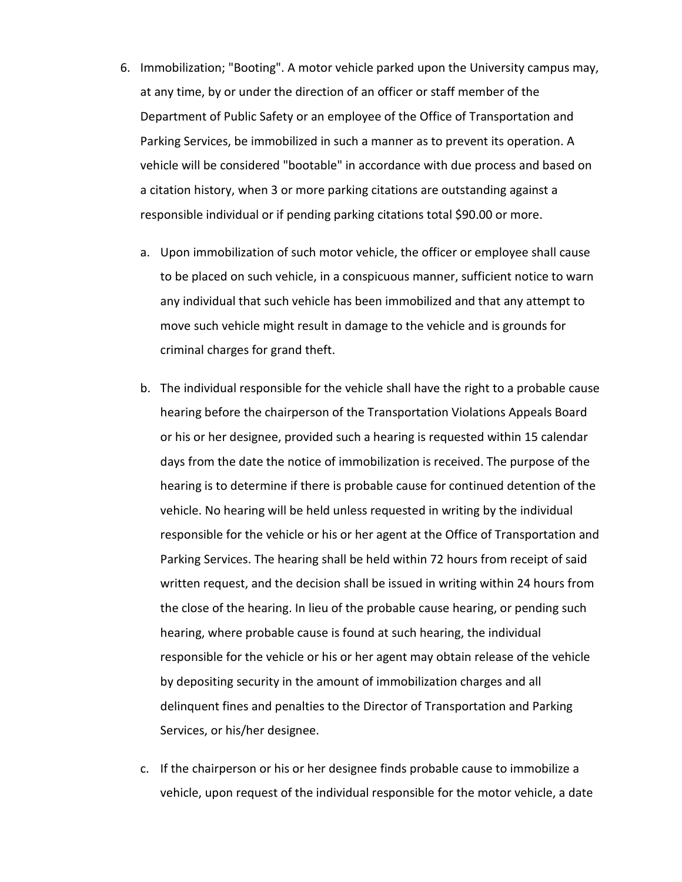- 6. Immobilization; "Booting". A motor vehicle parked upon the University campus may, at any time, by or under the direction of an officer or staff member of the Department of Public Safety or an employee of the Office of Transportation and Parking Services, be immobilized in such a manner as to prevent its operation. A vehicle will be considered "bootable" in accordance with due process and based on a citation history, when 3 or more parking citations are outstanding against a responsible individual or if pending parking citations total \$90.00 or more.
	- a. Upon immobilization of such motor vehicle, the officer or employee shall cause to be placed on such vehicle, in a conspicuous manner, sufficient notice to warn any individual that such vehicle has been immobilized and that any attempt to move such vehicle might result in damage to the vehicle and is grounds for criminal charges for grand theft.
	- b. The individual responsible for the vehicle shall have the right to a probable cause hearing before the chairperson of the Transportation Violations Appeals Board or his or her designee, provided such a hearing is requested within 15 calendar days from the date the notice of immobilization is received. The purpose of the hearing is to determine if there is probable cause for continued detention of the vehicle. No hearing will be held unless requested in writing by the individual responsible for the vehicle or his or her agent at the Office of Transportation and Parking Services. The hearing shall be held within 72 hours from receipt of said written request, and the decision shall be issued in writing within 24 hours from the close of the hearing. In lieu of the probable cause hearing, or pending such hearing, where probable cause is found at such hearing, the individual responsible for the vehicle or his or her agent may obtain release of the vehicle by depositing security in the amount of immobilization charges and all delinquent fines and penalties to the Director of Transportation and Parking Services, or his/her designee.
	- c. If the chairperson or his or her designee finds probable cause to immobilize a vehicle, upon request of the individual responsible for the motor vehicle, a date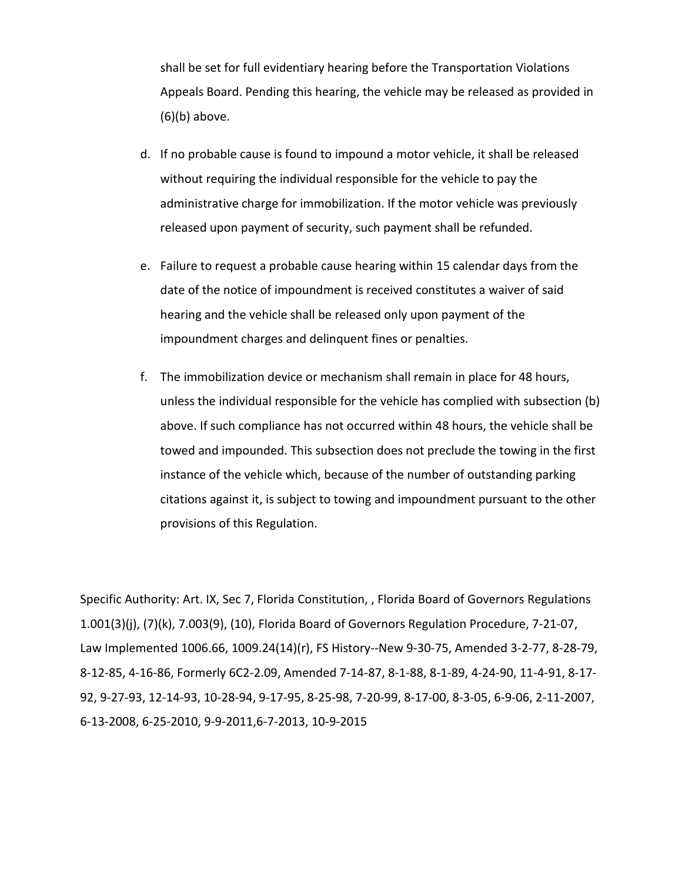shall be set for full evidentiary hearing before the Transportation Violations Appeals Board. Pending this hearing, the vehicle may be released as provided in (6)(b) above.

- d. If no probable cause is found to impound a motor vehicle, it shall be released without requiring the individual responsible for the vehicle to pay the administrative charge for immobilization. If the motor vehicle was previously released upon payment of security, such payment shall be refunded.
- e. Failure to request a probable cause hearing within 15 calendar days from the date of the notice of impoundment is received constitutes a waiver of said hearing and the vehicle shall be released only upon payment of the impoundment charges and delinquent fines or penalties.
- f. The immobilization device or mechanism shall remain in place for 48 hours, unless the individual responsible for the vehicle has complied with subsection (b) above. If such compliance has not occurred within 48 hours, the vehicle shall be towed and impounded. This subsection does not preclude the towing in the first instance of the vehicle which, because of the number of outstanding parking citations against it, is subject to towing and impoundment pursuant to the other provisions of this Regulation.

Specific Authority: Art. IX, Sec 7, Florida Constitution, , Florida Board of Governors Regulations 1.001(3)(j), (7)(k), 7.003(9), (10), Florida Board of Governors Regulation Procedure, 7-21-07, Law Implemented 1006.66, 1009.24(14)(r), FS History--New 9-30-75, Amended 3-2-77, 8-28-79, 8-12-85, 4-16-86, Formerly 6C2-2.09, Amended 7-14-87, 8-1-88, 8-1-89, 4-24-90, 11-4-91, 8-17- 92, 9-27-93, 12-14-93, 10-28-94, 9-17-95, 8-25-98, 7-20-99, 8-17-00, 8-3-05, 6-9-06, 2-11-2007, 6-13-2008, 6-25-2010, 9-9-2011,6-7-2013, 10-9-2015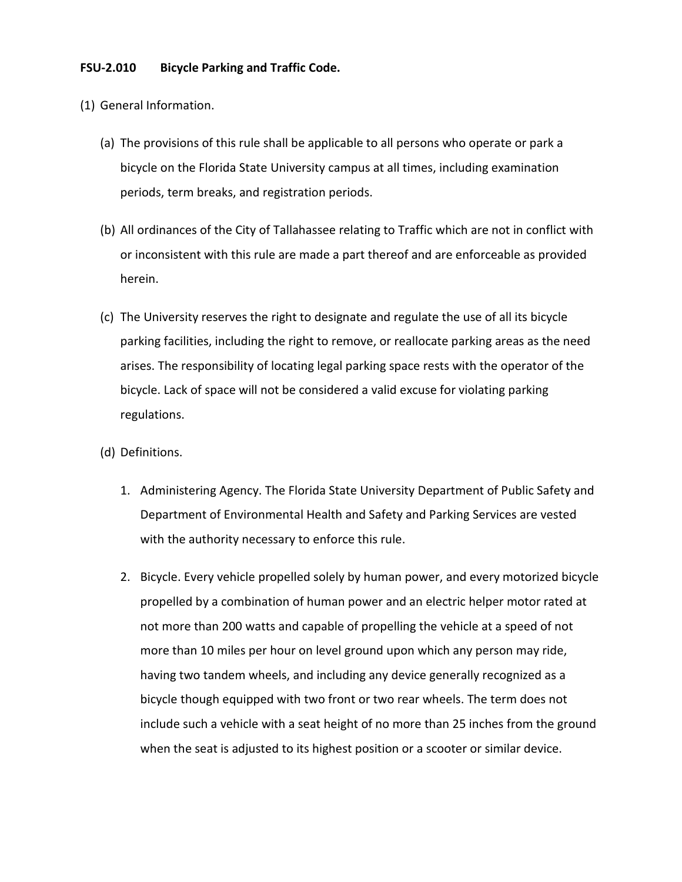## **FSU-2.010 Bicycle Parking and Traffic Code.**

- (1) General Information.
	- (a) The provisions of this rule shall be applicable to all persons who operate or park a bicycle on the Florida State University campus at all times, including examination periods, term breaks, and registration periods.
	- (b) All ordinances of the City of Tallahassee relating to Traffic which are not in conflict with or inconsistent with this rule are made a part thereof and are enforceable as provided herein.
	- (c) The University reserves the right to designate and regulate the use of all its bicycle parking facilities, including the right to remove, or reallocate parking areas as the need arises. The responsibility of locating legal parking space rests with the operator of the bicycle. Lack of space will not be considered a valid excuse for violating parking regulations.
	- (d) Definitions.
		- 1. Administering Agency. The Florida State University Department of Public Safety and Department of Environmental Health and Safety and Parking Services are vested with the authority necessary to enforce this rule.
		- 2. Bicycle. Every vehicle propelled solely by human power, and every motorized bicycle propelled by a combination of human power and an electric helper motor rated at not more than 200 watts and capable of propelling the vehicle at a speed of not more than 10 miles per hour on level ground upon which any person may ride, having two tandem wheels, and including any device generally recognized as a bicycle though equipped with two front or two rear wheels. The term does not include such a vehicle with a seat height of no more than 25 inches from the ground when the seat is adjusted to its highest position or a scooter or similar device.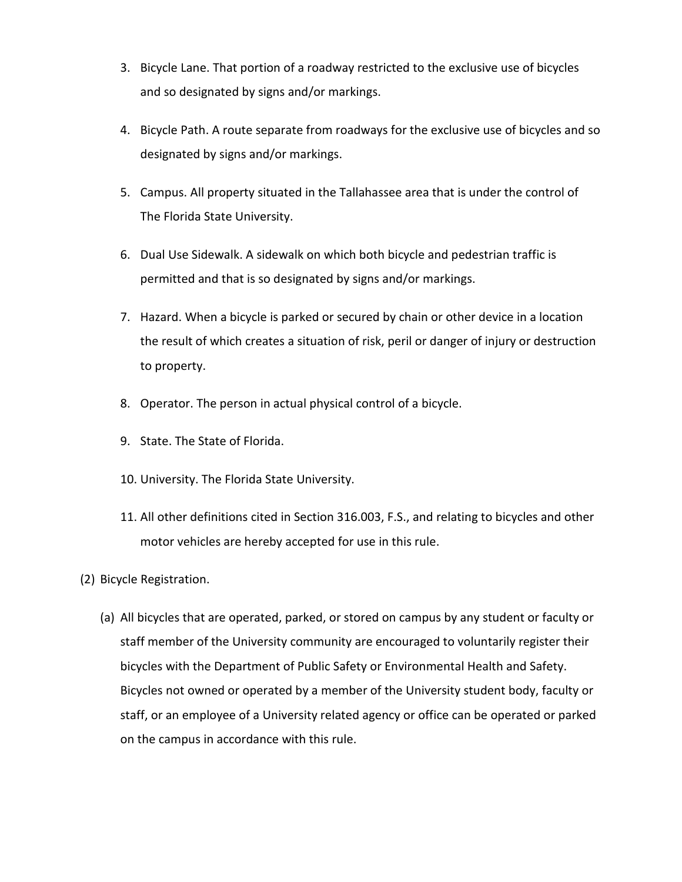- 3. Bicycle Lane. That portion of a roadway restricted to the exclusive use of bicycles and so designated by signs and/or markings.
- 4. Bicycle Path. A route separate from roadways for the exclusive use of bicycles and so designated by signs and/or markings.
- 5. Campus. All property situated in the Tallahassee area that is under the control of The Florida State University.
- 6. Dual Use Sidewalk. A sidewalk on which both bicycle and pedestrian traffic is permitted and that is so designated by signs and/or markings.
- 7. Hazard. When a bicycle is parked or secured by chain or other device in a location the result of which creates a situation of risk, peril or danger of injury or destruction to property.
- 8. Operator. The person in actual physical control of a bicycle.
- 9. State. The State of Florida.
- 10. University. The Florida State University.
- 11. All other definitions cited in Section 316.003, F.S., and relating to bicycles and other motor vehicles are hereby accepted for use in this rule.
- (2) Bicycle Registration.
	- (a) All bicycles that are operated, parked, or stored on campus by any student or faculty or staff member of the University community are encouraged to voluntarily register their bicycles with the Department of Public Safety or Environmental Health and Safety. Bicycles not owned or operated by a member of the University student body, faculty or staff, or an employee of a University related agency or office can be operated or parked on the campus in accordance with this rule.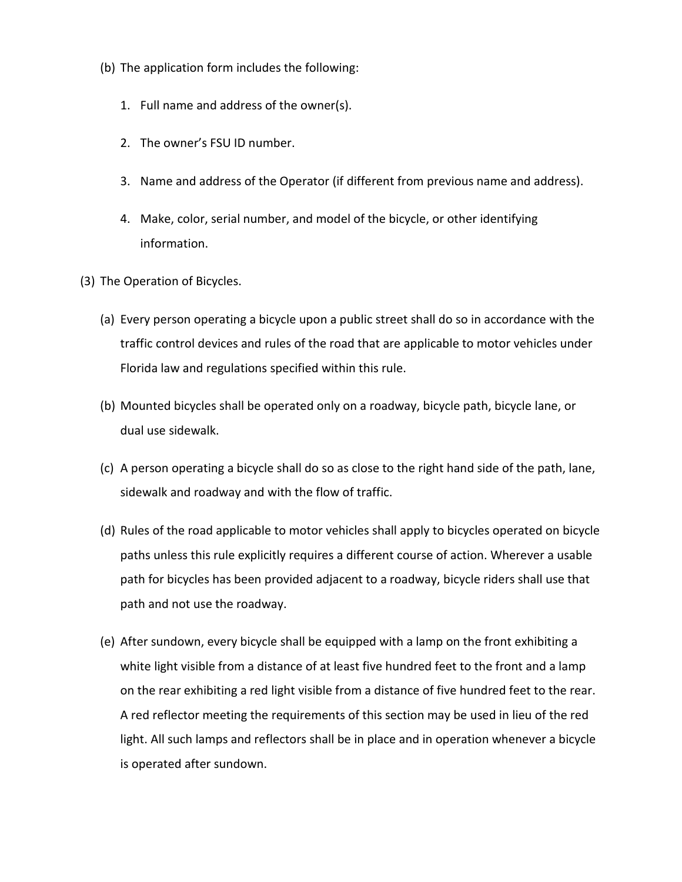- (b) The application form includes the following:
	- 1. Full name and address of the owner(s).
	- 2. The owner's FSU ID number.
	- 3. Name and address of the Operator (if different from previous name and address).
	- 4. Make, color, serial number, and model of the bicycle, or other identifying information.
- (3) The Operation of Bicycles.
	- (a) Every person operating a bicycle upon a public street shall do so in accordance with the traffic control devices and rules of the road that are applicable to motor vehicles under Florida law and regulations specified within this rule.
	- (b) Mounted bicycles shall be operated only on a roadway, bicycle path, bicycle lane, or dual use sidewalk.
	- (c) A person operating a bicycle shall do so as close to the right hand side of the path, lane, sidewalk and roadway and with the flow of traffic.
	- (d) Rules of the road applicable to motor vehicles shall apply to bicycles operated on bicycle paths unless this rule explicitly requires a different course of action. Wherever a usable path for bicycles has been provided adjacent to a roadway, bicycle riders shall use that path and not use the roadway.
	- (e) After sundown, every bicycle shall be equipped with a lamp on the front exhibiting a white light visible from a distance of at least five hundred feet to the front and a lamp on the rear exhibiting a red light visible from a distance of five hundred feet to the rear. A red reflector meeting the requirements of this section may be used in lieu of the red light. All such lamps and reflectors shall be in place and in operation whenever a bicycle is operated after sundown.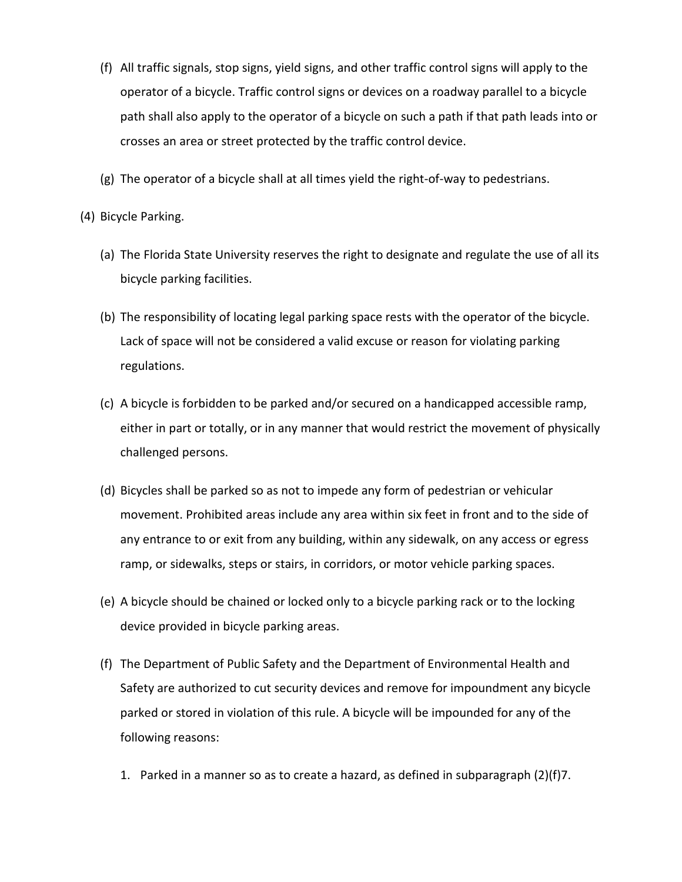- (f) All traffic signals, stop signs, yield signs, and other traffic control signs will apply to the operator of a bicycle. Traffic control signs or devices on a roadway parallel to a bicycle path shall also apply to the operator of a bicycle on such a path if that path leads into or crosses an area or street protected by the traffic control device.
- (g) The operator of a bicycle shall at all times yield the right-of-way to pedestrians.
- (4) Bicycle Parking.
	- (a) The Florida State University reserves the right to designate and regulate the use of all its bicycle parking facilities.
	- (b) The responsibility of locating legal parking space rests with the operator of the bicycle. Lack of space will not be considered a valid excuse or reason for violating parking regulations.
	- (c) A bicycle is forbidden to be parked and/or secured on a handicapped accessible ramp, either in part or totally, or in any manner that would restrict the movement of physically challenged persons.
	- (d) Bicycles shall be parked so as not to impede any form of pedestrian or vehicular movement. Prohibited areas include any area within six feet in front and to the side of any entrance to or exit from any building, within any sidewalk, on any access or egress ramp, or sidewalks, steps or stairs, in corridors, or motor vehicle parking spaces.
	- (e) A bicycle should be chained or locked only to a bicycle parking rack or to the locking device provided in bicycle parking areas.
	- (f) The Department of Public Safety and the Department of Environmental Health and Safety are authorized to cut security devices and remove for impoundment any bicycle parked or stored in violation of this rule. A bicycle will be impounded for any of the following reasons:
		- 1. Parked in a manner so as to create a hazard, as defined in subparagraph  $(2)(f)$ 7.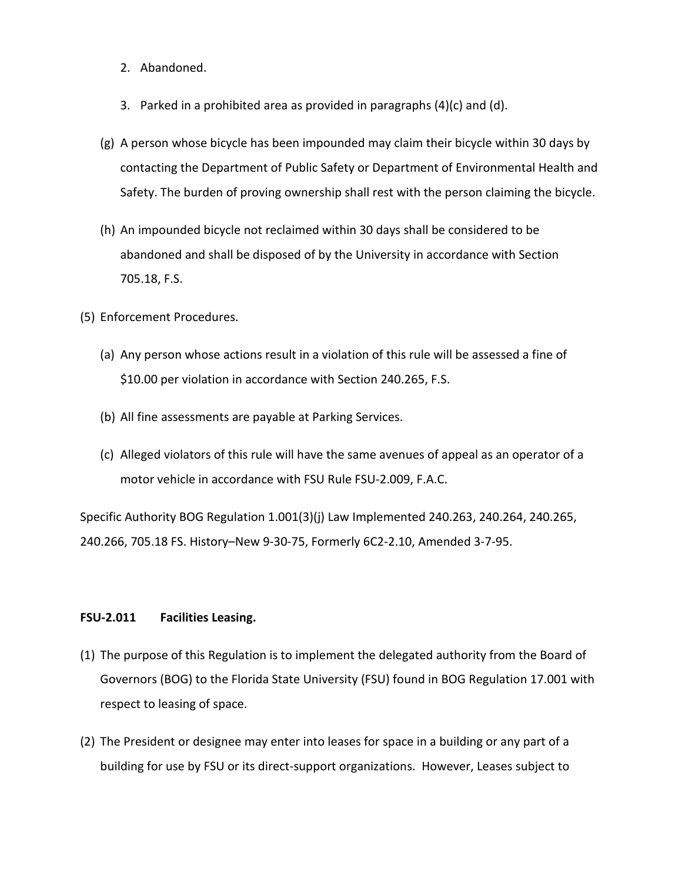- 2. Abandoned.
- 3. Parked in a prohibited area as provided in paragraphs (4)(c) and (d).
- (g) A person whose bicycle has been impounded may claim their bicycle within 30 days by contacting the Department of Public Safety or Department of Environmental Health and Safety. The burden of proving ownership shall rest with the person claiming the bicycle.
- (h) An impounded bicycle not reclaimed within 30 days shall be considered to be abandoned and shall be disposed of by the University in accordance with Section 705.18, F.S.
- (5) Enforcement Procedures.
	- (a) Any person whose actions result in a violation of this rule will be assessed a fine of \$10.00 per violation in accordance with Section 240.265, F.S.
	- (b) All fine assessments are payable at Parking Services.
	- (c) Alleged violators of this rule will have the same avenues of appeal as an operator of a motor vehicle in accordance with FSU Rule FSU-2.009, F.A.C.

Specific Authority BOG Regulation 1.001(3)(j) Law Implemented 240.263, 240.264, 240.265, 240.266, 705.18 FS. History–New 9-30-75, Formerly 6C2-2.10, Amended 3-7-95.

### **FSU-2.011 Facilities Leasing.**

- (1) The purpose of this Regulation is to implement the delegated authority from the Board of Governors (BOG) to the Florida State University (FSU) found in BOG Regulation 17.001 with respect to leasing of space.
- (2) The President or designee may enter into leases for space in a building or any part of a building for use by FSU or its direct-support organizations. However, Leases subject to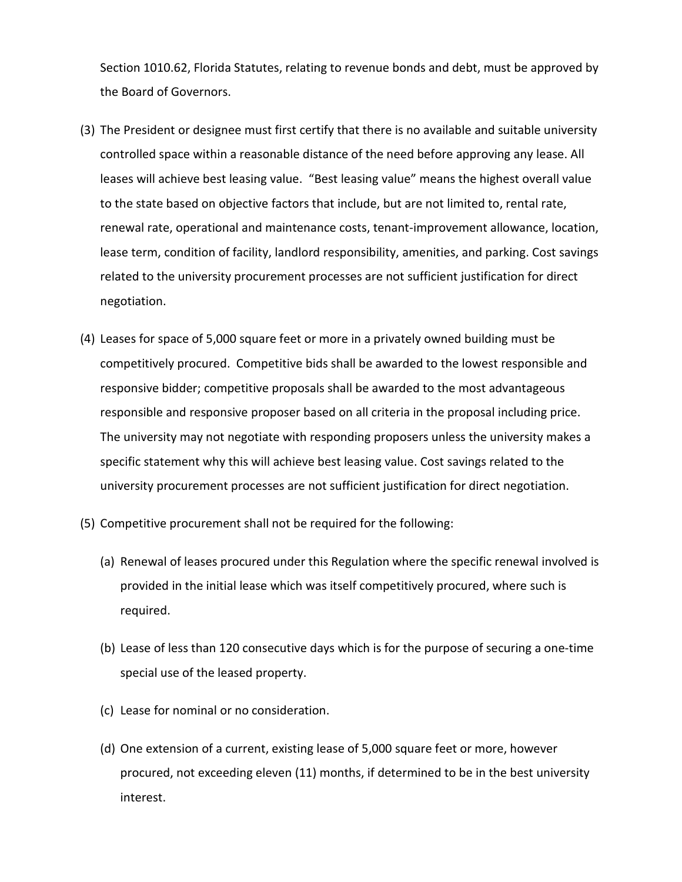Section 1010.62, Florida Statutes, relating to revenue bonds and debt, must be approved by the Board of Governors.

- (3) The President or designee must first certify that there is no available and suitable university controlled space within a reasonable distance of the need before approving any lease. All leases will achieve best leasing value. "Best leasing value" means the highest overall value to the state based on objective factors that include, but are not limited to, rental rate, renewal rate, operational and maintenance costs, tenant-improvement allowance, location, lease term, condition of facility, landlord responsibility, amenities, and parking. Cost savings related to the university procurement processes are not sufficient justification for direct negotiation.
- (4) Leases for space of 5,000 square feet or more in a privately owned building must be competitively procured. Competitive bids shall be awarded to the lowest responsible and responsive bidder; competitive proposals shall be awarded to the most advantageous responsible and responsive proposer based on all criteria in the proposal including price. The university may not negotiate with responding proposers unless the university makes a specific statement why this will achieve best leasing value. Cost savings related to the university procurement processes are not sufficient justification for direct negotiation.
- (5) Competitive procurement shall not be required for the following:
	- (a) Renewal of leases procured under this Regulation where the specific renewal involved is provided in the initial lease which was itself competitively procured, where such is required.
	- (b) Lease of less than 120 consecutive days which is for the purpose of securing a one-time special use of the leased property.
	- (c) Lease for nominal or no consideration.
	- (d) One extension of a current, existing lease of 5,000 square feet or more, however procured, not exceeding eleven (11) months, if determined to be in the best university interest.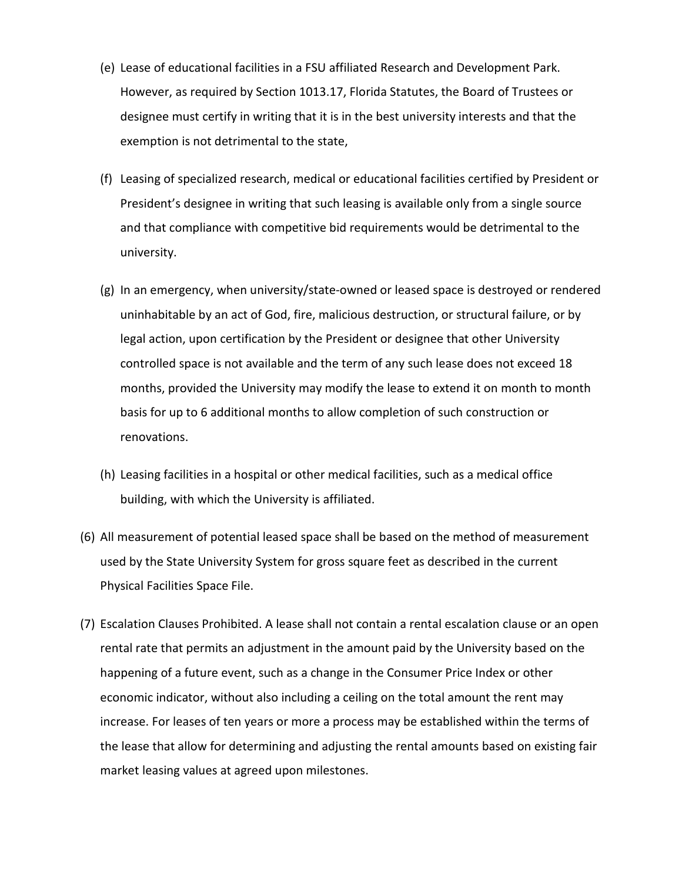- (e) Lease of educational facilities in a FSU affiliated Research and Development Park. However, as required by Section 1013.17, Florida Statutes, the Board of Trustees or designee must certify in writing that it is in the best university interests and that the exemption is not detrimental to the state,
- (f) Leasing of specialized research, medical or educational facilities certified by President or President's designee in writing that such leasing is available only from a single source and that compliance with competitive bid requirements would be detrimental to the university.
- (g) In an emergency, when university/state-owned or leased space is destroyed or rendered uninhabitable by an act of God, fire, malicious destruction, or structural failure, or by legal action, upon certification by the President or designee that other University controlled space is not available and the term of any such lease does not exceed 18 months, provided the University may modify the lease to extend it on month to month basis for up to 6 additional months to allow completion of such construction or renovations.
- (h) Leasing facilities in a hospital or other medical facilities, such as a medical office building, with which the University is affiliated.
- (6) All measurement of potential leased space shall be based on the method of measurement used by the State University System for gross square feet as described in the current Physical Facilities Space File.
- (7) Escalation Clauses Prohibited. A lease shall not contain a rental escalation clause or an open rental rate that permits an adjustment in the amount paid by the University based on the happening of a future event, such as a change in the Consumer Price Index or other economic indicator, without also including a ceiling on the total amount the rent may increase. For leases of ten years or more a process may be established within the terms of the lease that allow for determining and adjusting the rental amounts based on existing fair market leasing values at agreed upon milestones.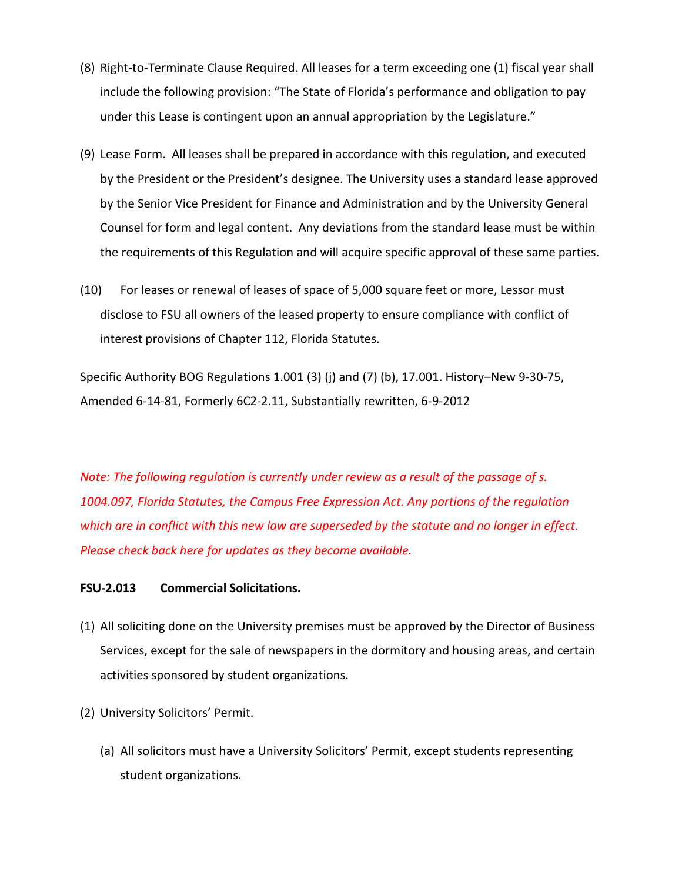- (8) Right-to-Terminate Clause Required. All leases for a term exceeding one (1) fiscal year shall include the following provision: "The State of Florida's performance and obligation to pay under this Lease is contingent upon an annual appropriation by the Legislature."
- (9) Lease Form. All leases shall be prepared in accordance with this regulation, and executed by the President or the President's designee. The University uses a standard lease approved by the Senior Vice President for Finance and Administration and by the University General Counsel for form and legal content. Any deviations from the standard lease must be within the requirements of this Regulation and will acquire specific approval of these same parties.
- (10) For leases or renewal of leases of space of 5,000 square feet or more, Lessor must disclose to FSU all owners of the leased property to ensure compliance with conflict of interest provisions of Chapter 112, Florida Statutes.

Specific Authority BOG Regulations 1.001 (3) (j) and (7) (b), 17.001. History–New 9-30-75, Amended 6-14-81, Formerly 6C2-2.11, Substantially rewritten, 6-9-2012

*Note: The following regulation is currently under review as a result of the passage of s. 1004.097, Florida Statutes, the Campus Free Expression Act. Any portions of the regulation which are in conflict with this new law are superseded by the statute and no longer in effect. Please check back here for updates as they become available.*

## **FSU-2.013 Commercial Solicitations.**

- (1) All soliciting done on the University premises must be approved by the Director of Business Services, except for the sale of newspapers in the dormitory and housing areas, and certain activities sponsored by student organizations.
- (2) University Solicitors' Permit.
	- (a) All solicitors must have a University Solicitors' Permit, except students representing student organizations.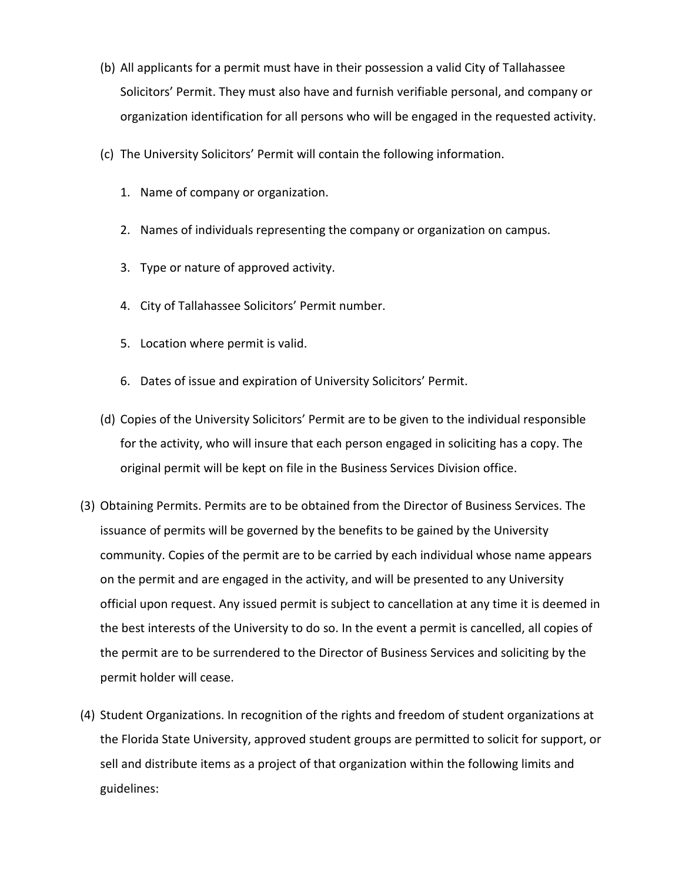- (b) All applicants for a permit must have in their possession a valid City of Tallahassee Solicitors' Permit. They must also have and furnish verifiable personal, and company or organization identification for all persons who will be engaged in the requested activity.
- (c) The University Solicitors' Permit will contain the following information.
	- 1. Name of company or organization.
	- 2. Names of individuals representing the company or organization on campus.
	- 3. Type or nature of approved activity.
	- 4. City of Tallahassee Solicitors' Permit number.
	- 5. Location where permit is valid.
	- 6. Dates of issue and expiration of University Solicitors' Permit.
- (d) Copies of the University Solicitors' Permit are to be given to the individual responsible for the activity, who will insure that each person engaged in soliciting has a copy. The original permit will be kept on file in the Business Services Division office.
- (3) Obtaining Permits. Permits are to be obtained from the Director of Business Services. The issuance of permits will be governed by the benefits to be gained by the University community. Copies of the permit are to be carried by each individual whose name appears on the permit and are engaged in the activity, and will be presented to any University official upon request. Any issued permit is subject to cancellation at any time it is deemed in the best interests of the University to do so. In the event a permit is cancelled, all copies of the permit are to be surrendered to the Director of Business Services and soliciting by the permit holder will cease.
- (4) Student Organizations. In recognition of the rights and freedom of student organizations at the Florida State University, approved student groups are permitted to solicit for support, or sell and distribute items as a project of that organization within the following limits and guidelines: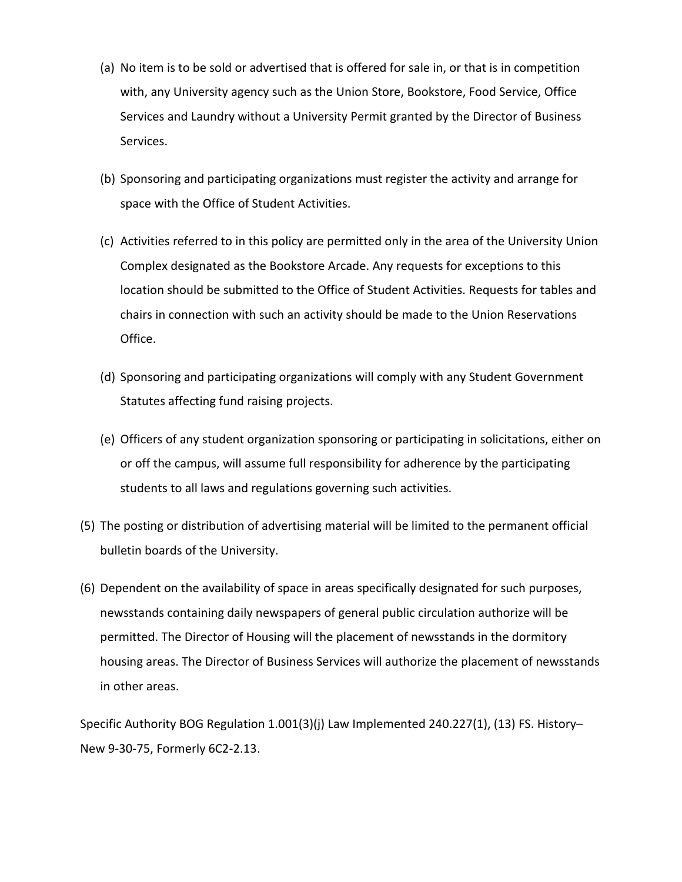- (a) No item is to be sold or advertised that is offered for sale in, or that is in competition with, any University agency such as the Union Store, Bookstore, Food Service, Office Services and Laundry without a University Permit granted by the Director of Business Services.
- (b) Sponsoring and participating organizations must register the activity and arrange for space with the Office of Student Activities.
- (c) Activities referred to in this policy are permitted only in the area of the University Union Complex designated as the Bookstore Arcade. Any requests for exceptions to this location should be submitted to the Office of Student Activities. Requests for tables and chairs in connection with such an activity should be made to the Union Reservations Office.
- (d) Sponsoring and participating organizations will comply with any Student Government Statutes affecting fund raising projects.
- (e) Officers of any student organization sponsoring or participating in solicitations, either on or off the campus, will assume full responsibility for adherence by the participating students to all laws and regulations governing such activities.
- (5) The posting or distribution of advertising material will be limited to the permanent official bulletin boards of the University.
- (6) Dependent on the availability of space in areas specifically designated for such purposes, newsstands containing daily newspapers of general public circulation authorize will be permitted. The Director of Housing will the placement of newsstands in the dormitory housing areas. The Director of Business Services will authorize the placement of newsstands in other areas.

Specific Authority BOG Regulation 1.001(3)(j) Law Implemented 240.227(1), (13) FS. History– New 9-30-75, Formerly 6C2-2.13.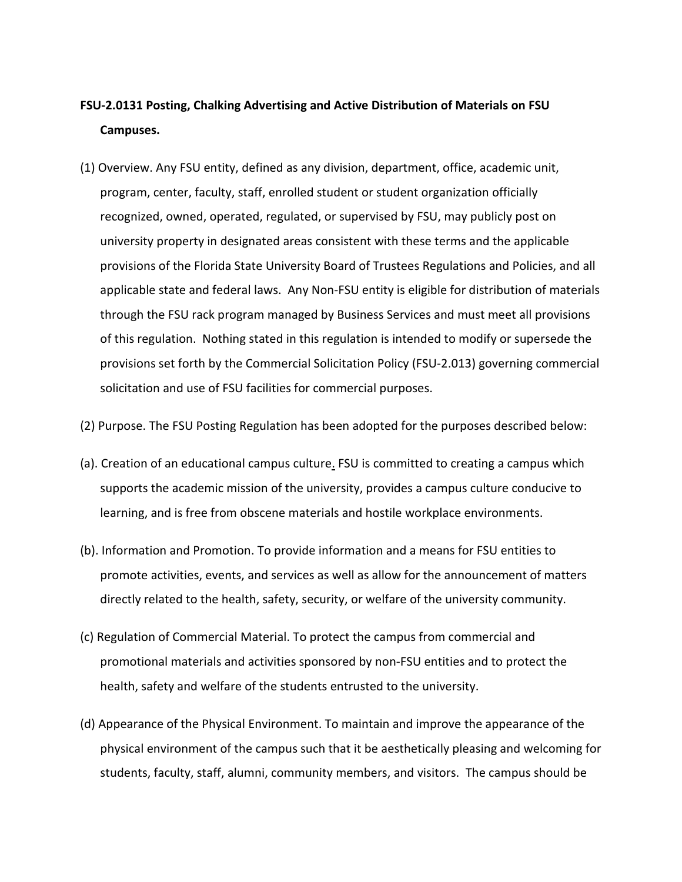# **FSU-2.0131 Posting, Chalking Advertising and Active Distribution of Materials on FSU Campuses.**

- (1) Overview. Any FSU entity, defined as any division, department, office, academic unit, program, center, faculty, staff, enrolled student or student organization officially recognized, owned, operated, regulated, or supervised by FSU, may publicly post on university property in designated areas consistent with these terms and the applicable provisions of the Florida State University Board of Trustees Regulations and Policies, and all applicable state and federal laws. Any Non-FSU entity is eligible for distribution of materials through the FSU rack program managed by Business Services and must meet all provisions of this regulation. Nothing stated in this regulation is intended to modify or supersede the provisions set forth by the Commercial Solicitation Policy (FSU-2.013) governing commercial solicitation and use of FSU facilities for commercial purposes.
- (2) Purpose. The FSU Posting Regulation has been adopted for the purposes described below:
- (a). Creation of an educational campus culture. FSU is committed to creating a campus which supports the academic mission of the university, provides a campus culture conducive to learning, and is free from obscene materials and hostile workplace environments.
- (b). Information and Promotion. To provide information and a means for FSU entities to promote activities, events, and services as well as allow for the announcement of matters directly related to the health, safety, security, or welfare of the university community.
- (c) Regulation of Commercial Material. To protect the campus from commercial and promotional materials and activities sponsored by non-FSU entities and to protect the health, safety and welfare of the students entrusted to the university.
- (d) Appearance of the Physical Environment. To maintain and improve the appearance of the physical environment of the campus such that it be aesthetically pleasing and welcoming for students, faculty, staff, alumni, community members, and visitors. The campus should be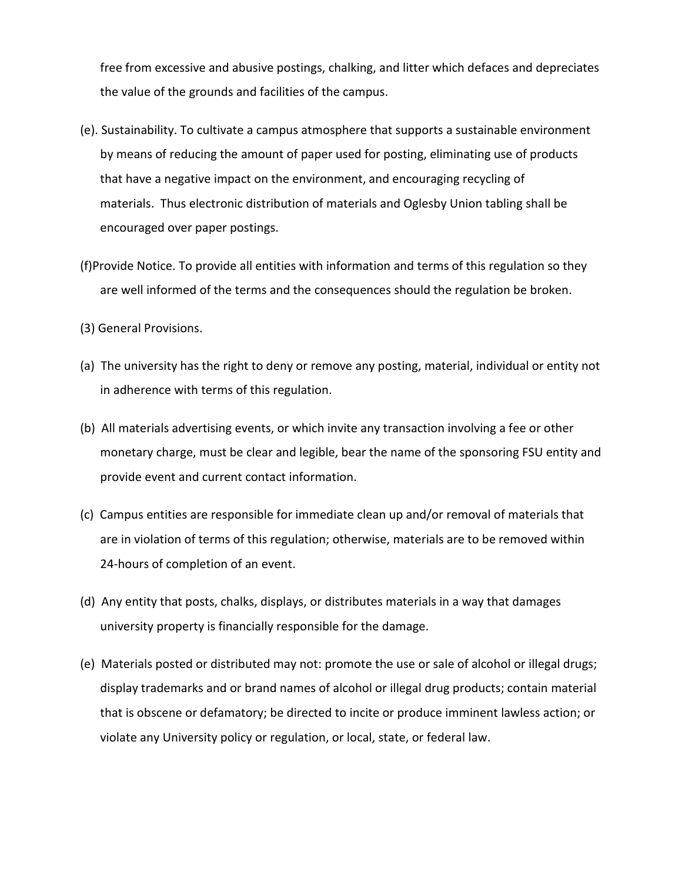free from excessive and abusive postings, chalking, and litter which defaces and depreciates the value of the grounds and facilities of the campus.

- (e). Sustainability. To cultivate a campus atmosphere that supports a sustainable environment by means of reducing the amount of paper used for posting, eliminating use of products that have a negative impact on the environment, and encouraging recycling of materials. Thus electronic distribution of materials and Oglesby Union tabling shall be encouraged over paper postings.
- (f)Provide Notice. To provide all entities with information and terms of this regulation so they are well informed of the terms and the consequences should the regulation be broken.
- (3) General Provisions.
- (a) The university has the right to deny or remove any posting, material, individual or entity not in adherence with terms of this regulation.
- (b) All materials advertising events, or which invite any transaction involving a fee or other monetary charge, must be clear and legible, bear the name of the sponsoring FSU entity and provide event and current contact information.
- (c) Campus entities are responsible for immediate clean up and/or removal of materials that are in violation of terms of this regulation; otherwise, materials are to be removed within 24-hours of completion of an event.
- (d) Any entity that posts, chalks, displays, or distributes materials in a way that damages university property is financially responsible for the damage.
- (e) Materials posted or distributed may not: promote the use or sale of alcohol or illegal drugs; display trademarks and or brand names of alcohol or illegal drug products; contain material that is obscene or defamatory; be directed to incite or produce imminent lawless action; or violate any University policy or regulation, or local, state, or federal law.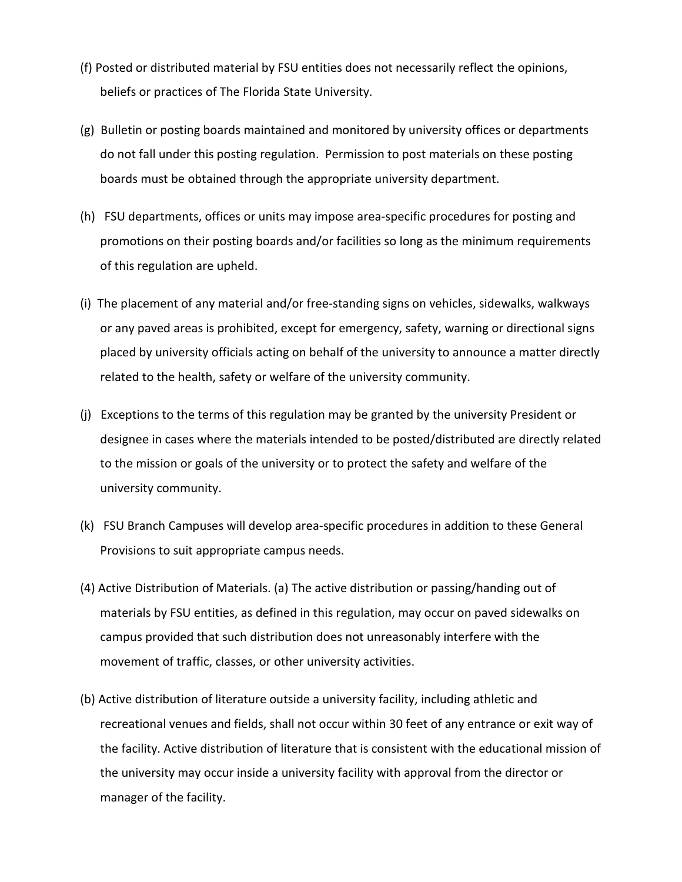- (f) Posted or distributed material by FSU entities does not necessarily reflect the opinions, beliefs or practices of The Florida State University.
- (g) Bulletin or posting boards maintained and monitored by university offices or departments do not fall under this posting regulation. Permission to post materials on these posting boards must be obtained through the appropriate university department.
- (h) FSU departments, offices or units may impose area-specific procedures for posting and promotions on their posting boards and/or facilities so long as the minimum requirements of this regulation are upheld.
- (i) The placement of any material and/or free-standing signs on vehicles, sidewalks, walkways or any paved areas is prohibited, except for emergency, safety, warning or directional signs placed by university officials acting on behalf of the university to announce a matter directly related to the health, safety or welfare of the university community.
- (j) Exceptions to the terms of this regulation may be granted by the university President or designee in cases where the materials intended to be posted/distributed are directly related to the mission or goals of the university or to protect the safety and welfare of the university community.
- (k) FSU Branch Campuses will develop area-specific procedures in addition to these General Provisions to suit appropriate campus needs.
- (4) Active Distribution of Materials. (a) The active distribution or passing/handing out of materials by FSU entities, as defined in this regulation, may occur on paved sidewalks on campus provided that such distribution does not unreasonably interfere with the movement of traffic, classes, or other university activities.
- (b) Active distribution of literature outside a university facility, including athletic and recreational venues and fields, shall not occur within 30 feet of any entrance or exit way of the facility. Active distribution of literature that is consistent with the educational mission of the university may occur inside a university facility with approval from the director or manager of the facility.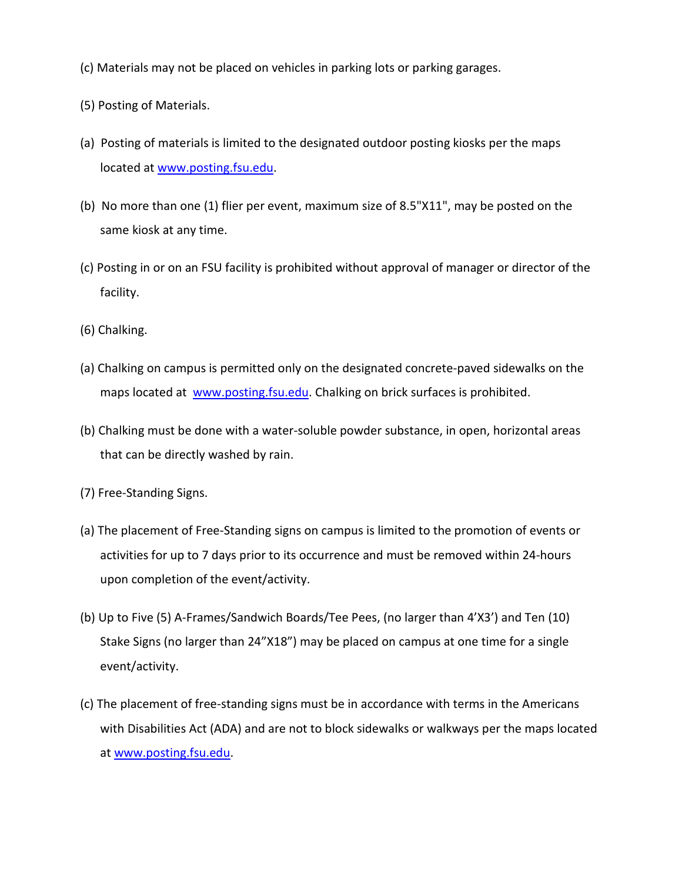- (c) Materials may not be placed on vehicles in parking lots or parking garages.
- (5) Posting of Materials.
- (a) Posting of materials is limited to the designated outdoor posting kiosks per the maps located at [www.posting.fsu.edu.](http://www.posting.fsu.edu/)
- (b) No more than one (1) flier per event, maximum size of 8.5"X11", may be posted on the same kiosk at any time.
- (c) Posting in or on an FSU facility is prohibited without approval of manager or director of the facility.
- (6) Chalking.
- (a) Chalking on campus is permitted only on the designated concrete-paved sidewalks on the maps located at [www.posting.fsu.edu.](http://www.posting.fsu.edu/) Chalking on brick surfaces is prohibited.
- (b) Chalking must be done with a water-soluble powder substance, in open, horizontal areas that can be directly washed by rain.
- (7) Free-Standing Signs.
- (a) The placement of Free-Standing signs on campus is limited to the promotion of events or activities for up to 7 days prior to its occurrence and must be removed within 24-hours upon completion of the event/activity.
- (b) Up to Five (5) A-Frames/Sandwich Boards/Tee Pees, (no larger than 4'X3') and Ten (10) Stake Signs (no larger than 24"X18") may be placed on campus at one time for a single event/activity.
- (c) The placement of free-standing signs must be in accordance with terms in the Americans with Disabilities Act (ADA) and are not to block sidewalks or walkways per the maps located at [www.posting.fsu.edu.](http://www.posting.fsu.edu/)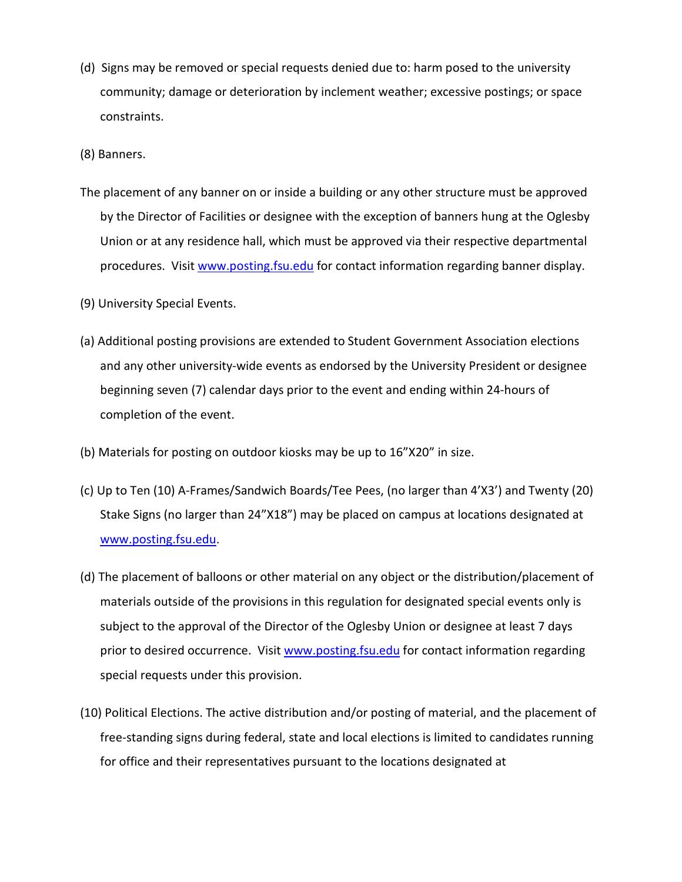(d) Signs may be removed or special requests denied due to: harm posed to the university community; damage or deterioration by inclement weather; excessive postings; or space constraints.

(8) Banners.

- The placement of any banner on or inside a building or any other structure must be approved by the Director of Facilities or designee with the exception of banners hung at the Oglesby Union or at any residence hall, which must be approved via their respective departmental procedures. Visit [www.posting.fsu.edu](http://www.posting.fsu.edu/) for contact information regarding banner display.
- (9) University Special Events.
- (a) Additional posting provisions are extended to Student Government Association elections and any other university-wide events as endorsed by the University President or designee beginning seven (7) calendar days prior to the event and ending within 24-hours of completion of the event.
- (b) Materials for posting on outdoor kiosks may be up to 16"X20" in size.
- (c) Up to Ten (10) A-Frames/Sandwich Boards/Tee Pees, (no larger than 4'X3') and Twenty (20) Stake Signs (no larger than 24"X18") may be placed on campus at locations designated at [www.posting.fsu.edu.](http://www.posting.fsu.edu/)
- (d) The placement of balloons or other material on any object or the distribution/placement of materials outside of the provisions in this regulation for designated special events only is subject to the approval of the Director of the Oglesby Union or designee at least 7 days prior to desired occurrence. Visit [www.posting.fsu.edu](http://www.posting.fsu.edu/) for contact information regarding special requests under this provision.
- (10) Political Elections. The active distribution and/or posting of material, and the placement of free-standing signs during federal, state and local elections is limited to candidates running for office and their representatives pursuant to the locations designated at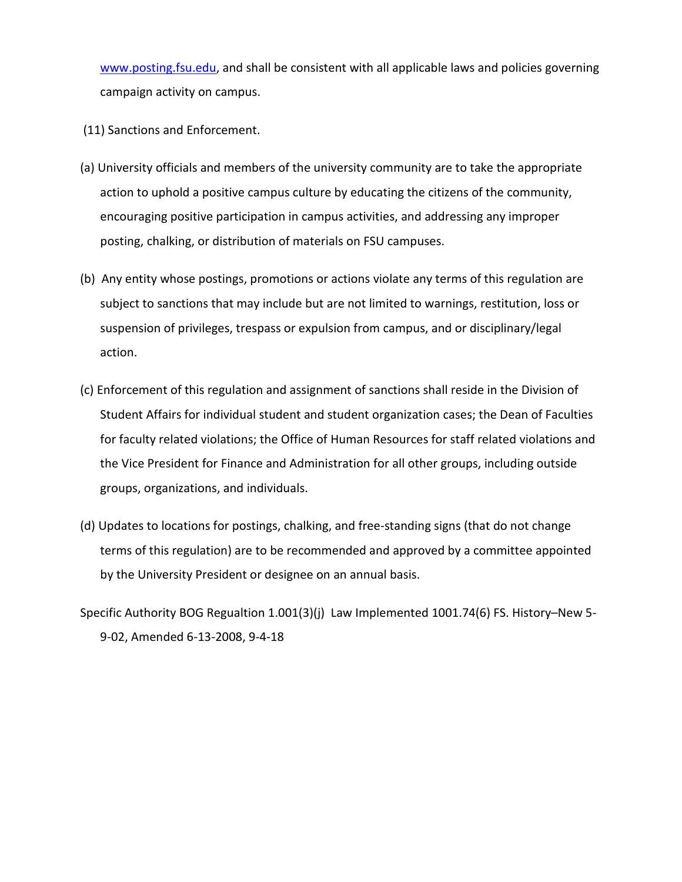[www.posting.fsu.edu,](http://www.posting.fsu.edu/) and shall be consistent with all applicable laws and policies governing campaign activity on campus.

- (11) Sanctions and Enforcement.
- (a) University officials and members of the university community are to take the appropriate action to uphold a positive campus culture by educating the citizens of the community, encouraging positive participation in campus activities, and addressing any improper posting, chalking, or distribution of materials on FSU campuses.
- (b) Any entity whose postings, promotions or actions violate any terms of this regulation are subject to sanctions that may include but are not limited to warnings, restitution, loss or suspension of privileges, trespass or expulsion from campus, and or disciplinary/legal action.
- (c) Enforcement of this regulation and assignment of sanctions shall reside in the Division of Student Affairs for individual student and student organization cases; the Dean of Faculties for faculty related violations; the Office of Human Resources for staff related violations and the Vice President for Finance and Administration for all other groups, including outside groups, organizations, and individuals.
- (d) Updates to locations for postings, chalking, and free-standing signs (that do not change terms of this regulation) are to be recommended and approved by a committee appointed by the University President or designee on an annual basis.
- Specific Authority BOG Regualtion 1.001(3)(j) Law Implemented 1001.74(6) FS. History–New 5- 9-02, Amended 6-13-2008, 9-4-18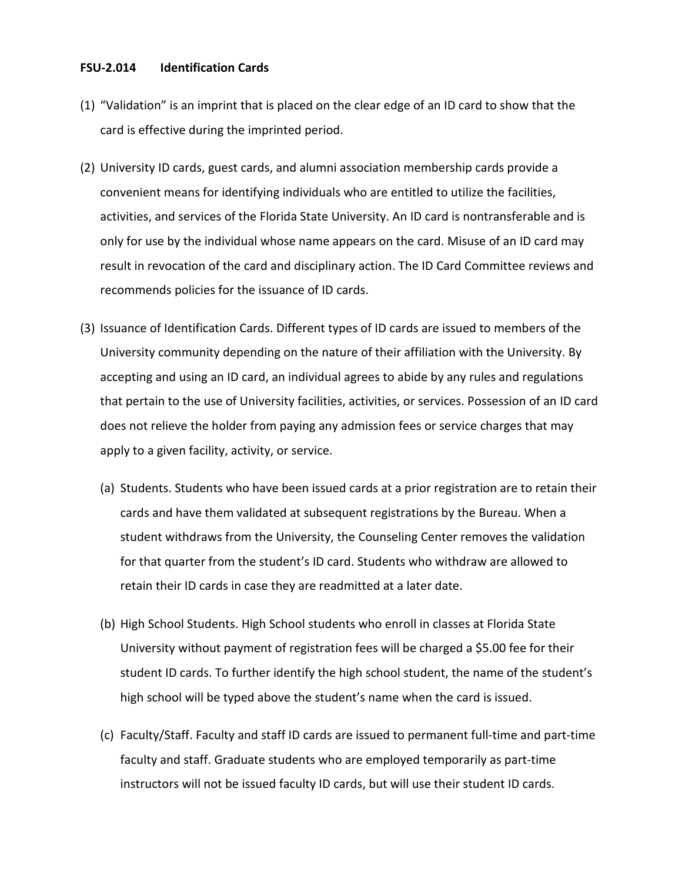#### **FSU-2.014 Identification Cards**

- (1) "Validation" is an imprint that is placed on the clear edge of an ID card to show that the card is effective during the imprinted period.
- (2) University ID cards, guest cards, and alumni association membership cards provide a convenient means for identifying individuals who are entitled to utilize the facilities, activities, and services of the Florida State University. An ID card is nontransferable and is only for use by the individual whose name appears on the card. Misuse of an ID card may result in revocation of the card and disciplinary action. The ID Card Committee reviews and recommends policies for the issuance of ID cards.
- (3) Issuance of Identification Cards. Different types of ID cards are issued to members of the University community depending on the nature of their affiliation with the University. By accepting and using an ID card, an individual agrees to abide by any rules and regulations that pertain to the use of University facilities, activities, or services. Possession of an ID card does not relieve the holder from paying any admission fees or service charges that may apply to a given facility, activity, or service.
	- (a) Students. Students who have been issued cards at a prior registration are to retain their cards and have them validated at subsequent registrations by the Bureau. When a student withdraws from the University, the Counseling Center removes the validation for that quarter from the student's ID card. Students who withdraw are allowed to retain their ID cards in case they are readmitted at a later date.
	- (b) High School Students. High School students who enroll in classes at Florida State University without payment of registration fees will be charged a \$5.00 fee for their student ID cards. To further identify the high school student, the name of the student's high school will be typed above the student's name when the card is issued.
	- (c) Faculty/Staff. Faculty and staff ID cards are issued to permanent full-time and part-time faculty and staff. Graduate students who are employed temporarily as part-time instructors will not be issued faculty ID cards, but will use their student ID cards.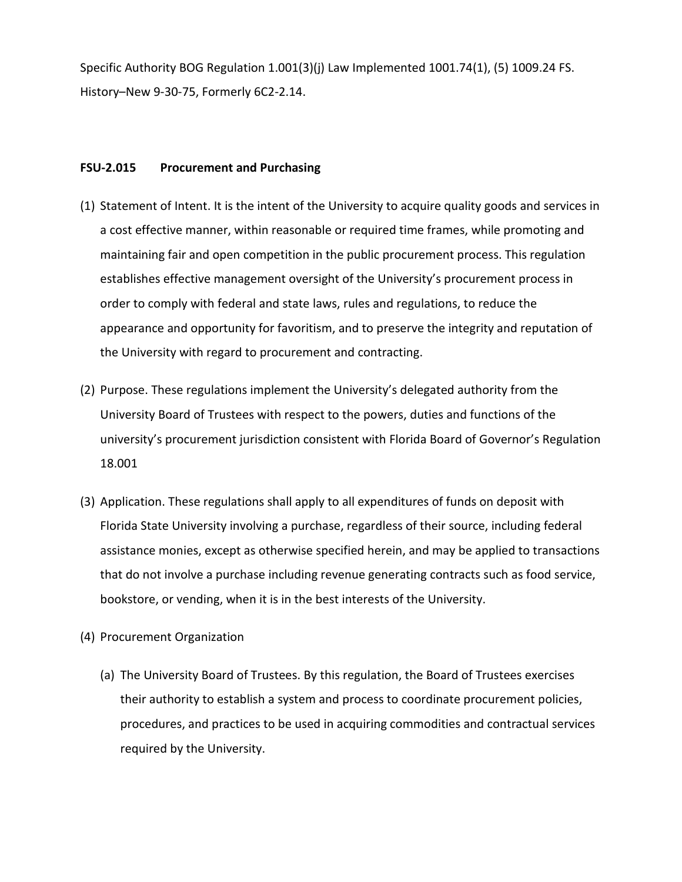Specific Authority BOG Regulation 1.001(3)(j) Law Implemented 1001.74(1), (5) 1009.24 FS. History–New 9-30-75, Formerly 6C2-2.14.

## **FSU-2.015 Procurement and Purchasing**

- (1) Statement of Intent. It is the intent of the University to acquire quality goods and services in a cost effective manner, within reasonable or required time frames, while promoting and maintaining fair and open competition in the public procurement process. This regulation establishes effective management oversight of the University's procurement process in order to comply with federal and state laws, rules and regulations, to reduce the appearance and opportunity for favoritism, and to preserve the integrity and reputation of the University with regard to procurement and contracting.
- (2) Purpose. These regulations implement the University's delegated authority from the University Board of Trustees with respect to the powers, duties and functions of the university's procurement jurisdiction consistent with Florida Board of Governor's Regulation 18.001
- (3) Application. These regulations shall apply to all expenditures of funds on deposit with Florida State University involving a purchase, regardless of their source, including federal assistance monies, except as otherwise specified herein, and may be applied to transactions that do not involve a purchase including revenue generating contracts such as food service, bookstore, or vending, when it is in the best interests of the University.
- (4) Procurement Organization
	- (a) The University Board of Trustees. By this regulation, the Board of Trustees exercises their authority to establish a system and process to coordinate procurement policies, procedures, and practices to be used in acquiring commodities and contractual services required by the University.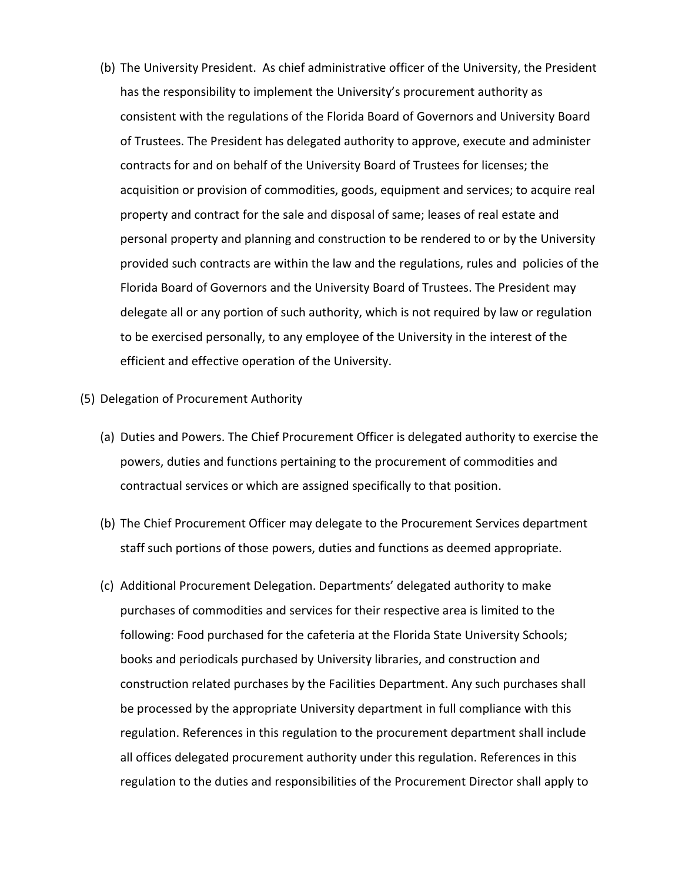- (b) The University President. As chief administrative officer of the University, the President has the responsibility to implement the University's procurement authority as consistent with the regulations of the Florida Board of Governors and University Board of Trustees. The President has delegated authority to approve, execute and administer contracts for and on behalf of the University Board of Trustees for licenses; the acquisition or provision of commodities, goods, equipment and services; to acquire real property and contract for the sale and disposal of same; leases of real estate and personal property and planning and construction to be rendered to or by the University provided such contracts are within the law and the regulations, rules and policies of the Florida Board of Governors and the University Board of Trustees. The President may delegate all or any portion of such authority, which is not required by law or regulation to be exercised personally, to any employee of the University in the interest of the efficient and effective operation of the University.
- (5) Delegation of Procurement Authority
	- (a) Duties and Powers. The Chief Procurement Officer is delegated authority to exercise the powers, duties and functions pertaining to the procurement of commodities and contractual services or which are assigned specifically to that position.
	- (b) The Chief Procurement Officer may delegate to the Procurement Services department staff such portions of those powers, duties and functions as deemed appropriate.
	- (c) Additional Procurement Delegation. Departments' delegated authority to make purchases of commodities and services for their respective area is limited to the following: Food purchased for the cafeteria at the Florida State University Schools; books and periodicals purchased by University libraries, and construction and construction related purchases by the Facilities Department. Any such purchases shall be processed by the appropriate University department in full compliance with this regulation. References in this regulation to the procurement department shall include all offices delegated procurement authority under this regulation. References in this regulation to the duties and responsibilities of the Procurement Director shall apply to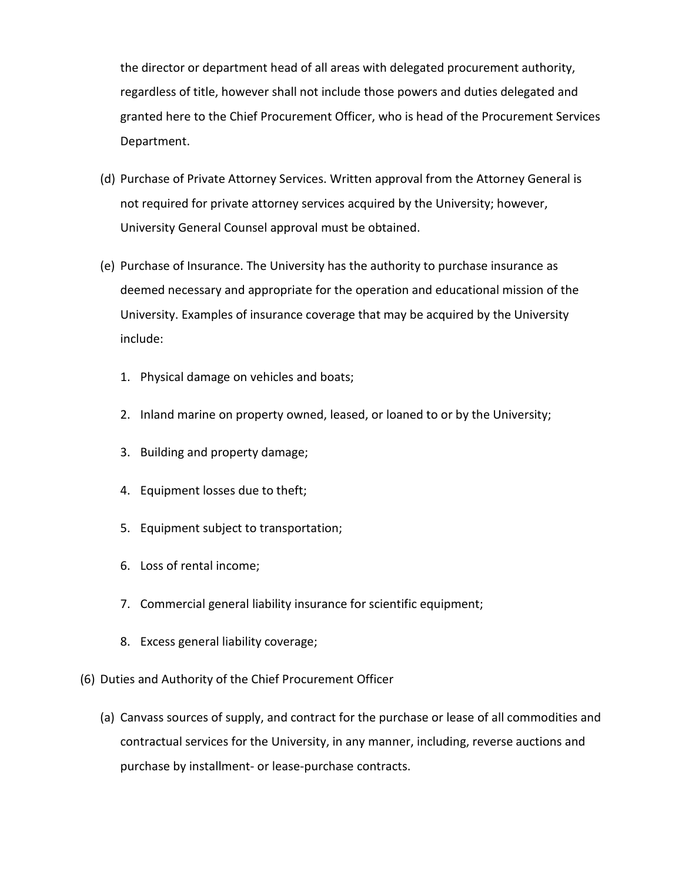the director or department head of all areas with delegated procurement authority, regardless of title, however shall not include those powers and duties delegated and granted here to the Chief Procurement Officer, who is head of the Procurement Services Department.

- (d) Purchase of Private Attorney Services. Written approval from the Attorney General is not required for private attorney services acquired by the University; however, University General Counsel approval must be obtained.
- (e) Purchase of Insurance. The University has the authority to purchase insurance as deemed necessary and appropriate for the operation and educational mission of the University. Examples of insurance coverage that may be acquired by the University include:
	- 1. Physical damage on vehicles and boats;
	- 2. Inland marine on property owned, leased, or loaned to or by the University;
	- 3. Building and property damage;
	- 4. Equipment losses due to theft;
	- 5. Equipment subject to transportation;
	- 6. Loss of rental income;
	- 7. Commercial general liability insurance for scientific equipment;
	- 8. Excess general liability coverage;
- (6) Duties and Authority of the Chief Procurement Officer
	- (a) Canvass sources of supply, and contract for the purchase or lease of all commodities and contractual services for the University, in any manner, including, reverse auctions and purchase by installment- or lease-purchase contracts.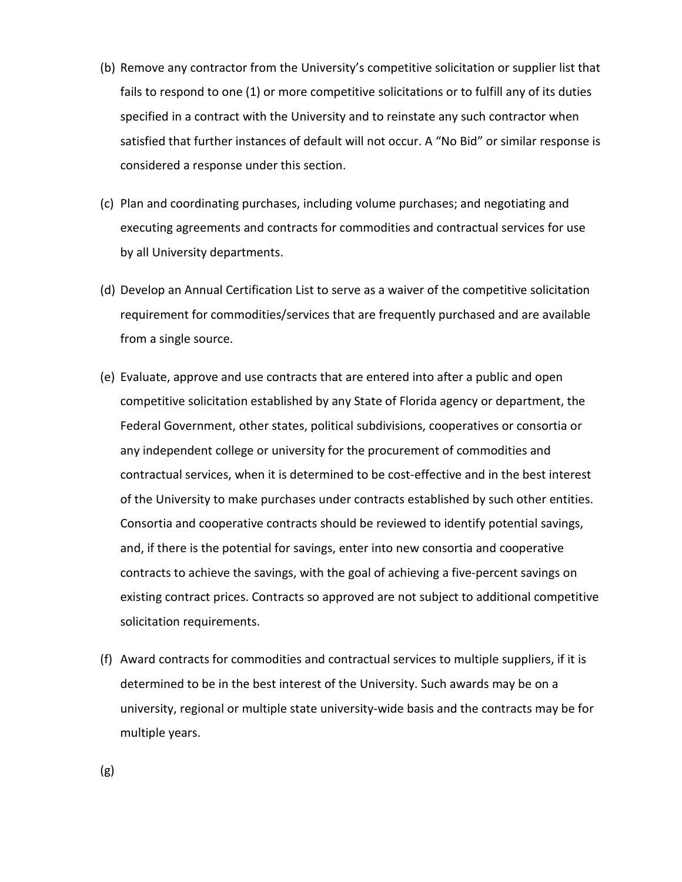- (b) Remove any contractor from the University's competitive solicitation or supplier list that fails to respond to one (1) or more competitive solicitations or to fulfill any of its duties specified in a contract with the University and to reinstate any such contractor when satisfied that further instances of default will not occur. A "No Bid" or similar response is considered a response under this section.
- (c) Plan and coordinating purchases, including volume purchases; and negotiating and executing agreements and contracts for commodities and contractual services for use by all University departments.
- (d) Develop an Annual Certification List to serve as a waiver of the competitive solicitation requirement for commodities/services that are frequently purchased and are available from a single source.
- (e) Evaluate, approve and use contracts that are entered into after a public and open competitive solicitation established by any State of Florida agency or department, the Federal Government, other states, political subdivisions, cooperatives or consortia or any independent college or university for the procurement of commodities and contractual services, when it is determined to be cost-effective and in the best interest of the University to make purchases under contracts established by such other entities. Consortia and cooperative contracts should be reviewed to identify potential savings, and, if there is the potential for savings, enter into new consortia and cooperative contracts to achieve the savings, with the goal of achieving a five-percent savings on existing contract prices. Contracts so approved are not subject to additional competitive solicitation requirements.
- (f) Award contracts for commodities and contractual services to multiple suppliers, if it is determined to be in the best interest of the University. Such awards may be on a university, regional or multiple state university-wide basis and the contracts may be for multiple years.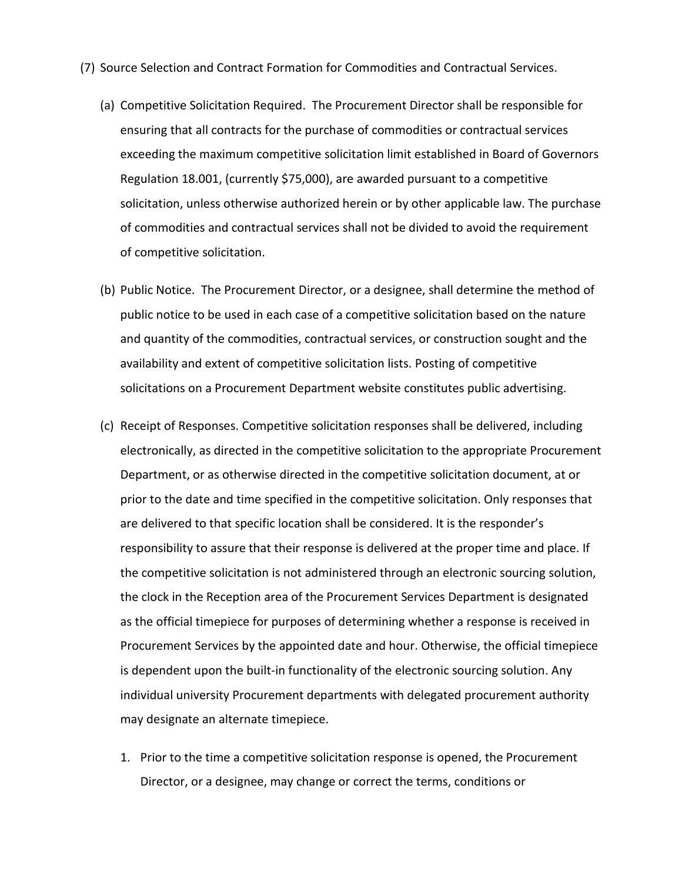- (7) Source Selection and Contract Formation for Commodities and Contractual Services.
	- (a) Competitive Solicitation Required. The Procurement Director shall be responsible for ensuring that all contracts for the purchase of commodities or contractual services exceeding the maximum competitive solicitation limit established in Board of Governors Regulation 18.001, (currently \$75,000), are awarded pursuant to a competitive solicitation, unless otherwise authorized herein or by other applicable law. The purchase of commodities and contractual services shall not be divided to avoid the requirement of competitive solicitation.
	- (b) Public Notice. The Procurement Director, or a designee, shall determine the method of public notice to be used in each case of a competitive solicitation based on the nature and quantity of the commodities, contractual services, or construction sought and the availability and extent of competitive solicitation lists. Posting of competitive solicitations on a Procurement Department website constitutes public advertising.
	- (c) Receipt of Responses. Competitive solicitation responses shall be delivered, including electronically, as directed in the competitive solicitation to the appropriate Procurement Department, or as otherwise directed in the competitive solicitation document, at or prior to the date and time specified in the competitive solicitation. Only responses that are delivered to that specific location shall be considered. It is the responder's responsibility to assure that their response is delivered at the proper time and place. If the competitive solicitation is not administered through an electronic sourcing solution, the clock in the Reception area of the Procurement Services Department is designated as the official timepiece for purposes of determining whether a response is received in Procurement Services by the appointed date and hour. Otherwise, the official timepiece is dependent upon the built-in functionality of the electronic sourcing solution. Any individual university Procurement departments with delegated procurement authority may designate an alternate timepiece.
		- 1. Prior to the time a competitive solicitation response is opened, the Procurement Director, or a designee, may change or correct the terms, conditions or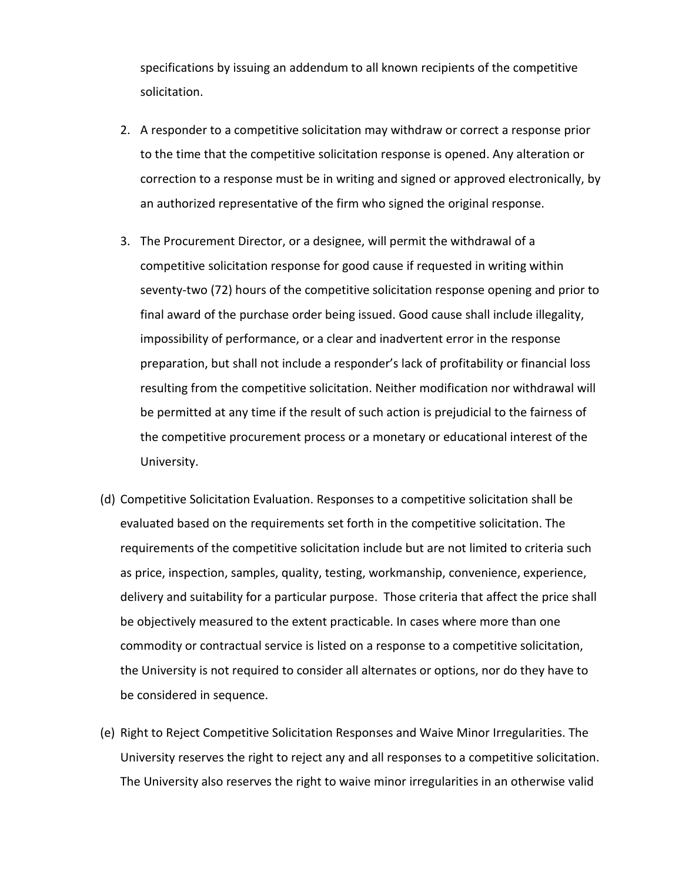specifications by issuing an addendum to all known recipients of the competitive solicitation.

- 2. A responder to a competitive solicitation may withdraw or correct a response prior to the time that the competitive solicitation response is opened. Any alteration or correction to a response must be in writing and signed or approved electronically, by an authorized representative of the firm who signed the original response.
- 3. The Procurement Director, or a designee, will permit the withdrawal of a competitive solicitation response for good cause if requested in writing within seventy-two (72) hours of the competitive solicitation response opening and prior to final award of the purchase order being issued. Good cause shall include illegality, impossibility of performance, or a clear and inadvertent error in the response preparation, but shall not include a responder's lack of profitability or financial loss resulting from the competitive solicitation. Neither modification nor withdrawal will be permitted at any time if the result of such action is prejudicial to the fairness of the competitive procurement process or a monetary or educational interest of the University.
- (d) Competitive Solicitation Evaluation. Responses to a competitive solicitation shall be evaluated based on the requirements set forth in the competitive solicitation. The requirements of the competitive solicitation include but are not limited to criteria such as price, inspection, samples, quality, testing, workmanship, convenience, experience, delivery and suitability for a particular purpose. Those criteria that affect the price shall be objectively measured to the extent practicable. In cases where more than one commodity or contractual service is listed on a response to a competitive solicitation, the University is not required to consider all alternates or options, nor do they have to be considered in sequence.
- (e) Right to Reject Competitive Solicitation Responses and Waive Minor Irregularities. The University reserves the right to reject any and all responses to a competitive solicitation. The University also reserves the right to waive minor irregularities in an otherwise valid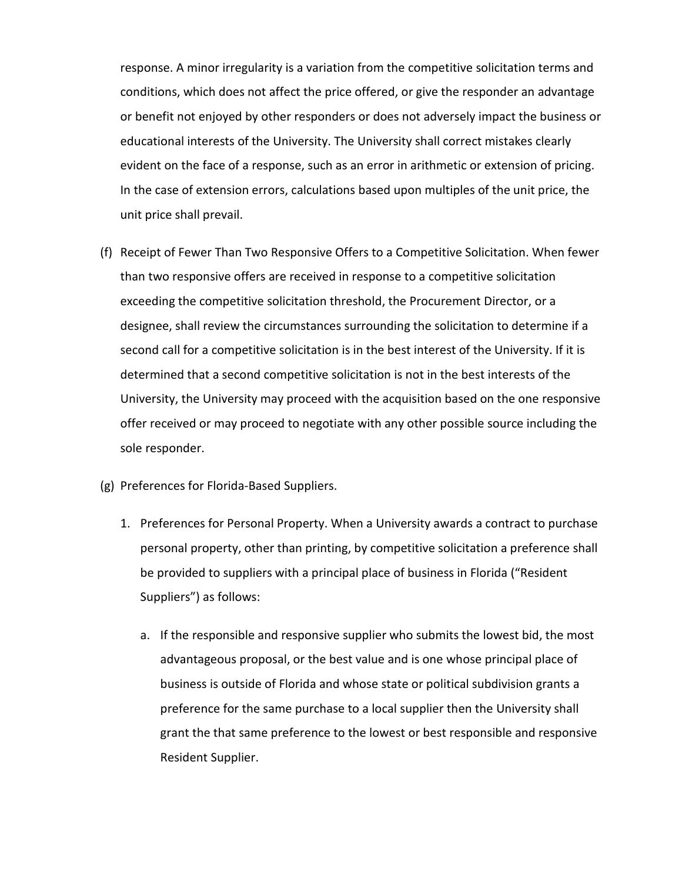response. A minor irregularity is a variation from the competitive solicitation terms and conditions, which does not affect the price offered, or give the responder an advantage or benefit not enjoyed by other responders or does not adversely impact the business or educational interests of the University. The University shall correct mistakes clearly evident on the face of a response, such as an error in arithmetic or extension of pricing. In the case of extension errors, calculations based upon multiples of the unit price, the unit price shall prevail.

- (f) Receipt of Fewer Than Two Responsive Offers to a Competitive Solicitation. When fewer than two responsive offers are received in response to a competitive solicitation exceeding the competitive solicitation threshold, the Procurement Director, or a designee, shall review the circumstances surrounding the solicitation to determine if a second call for a competitive solicitation is in the best interest of the University. If it is determined that a second competitive solicitation is not in the best interests of the University, the University may proceed with the acquisition based on the one responsive offer received or may proceed to negotiate with any other possible source including the sole responder.
- (g) Preferences for Florida-Based Suppliers.
	- 1. Preferences for Personal Property. When a University awards a contract to purchase personal property, other than printing, by competitive solicitation a preference shall be provided to suppliers with a principal place of business in Florida ("Resident Suppliers") as follows:
		- a. If the responsible and responsive supplier who submits the lowest bid, the most advantageous proposal, or the best value and is one whose principal place of business is outside of Florida and whose state or political subdivision grants a preference for the same purchase to a local supplier then the University shall grant the that same preference to the lowest or best responsible and responsive Resident Supplier.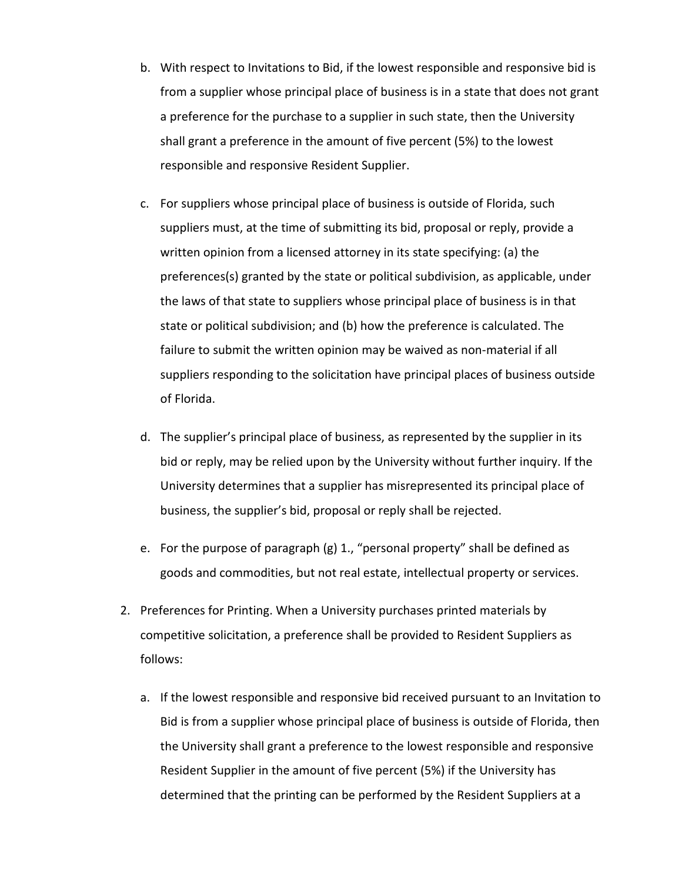- b. With respect to Invitations to Bid, if the lowest responsible and responsive bid is from a supplier whose principal place of business is in a state that does not grant a preference for the purchase to a supplier in such state, then the University shall grant a preference in the amount of five percent (5%) to the lowest responsible and responsive Resident Supplier.
- c. For suppliers whose principal place of business is outside of Florida, such suppliers must, at the time of submitting its bid, proposal or reply, provide a written opinion from a licensed attorney in its state specifying: (a) the preferences(s) granted by the state or political subdivision, as applicable, under the laws of that state to suppliers whose principal place of business is in that state or political subdivision; and (b) how the preference is calculated. The failure to submit the written opinion may be waived as non-material if all suppliers responding to the solicitation have principal places of business outside of Florida.
- d. The supplier's principal place of business, as represented by the supplier in its bid or reply, may be relied upon by the University without further inquiry. If the University determines that a supplier has misrepresented its principal place of business, the supplier's bid, proposal or reply shall be rejected.
- e. For the purpose of paragraph (g) 1., "personal property" shall be defined as goods and commodities, but not real estate, intellectual property or services.
- 2. Preferences for Printing. When a University purchases printed materials by competitive solicitation, a preference shall be provided to Resident Suppliers as follows:
	- a. If the lowest responsible and responsive bid received pursuant to an Invitation to Bid is from a supplier whose principal place of business is outside of Florida, then the University shall grant a preference to the lowest responsible and responsive Resident Supplier in the amount of five percent (5%) if the University has determined that the printing can be performed by the Resident Suppliers at a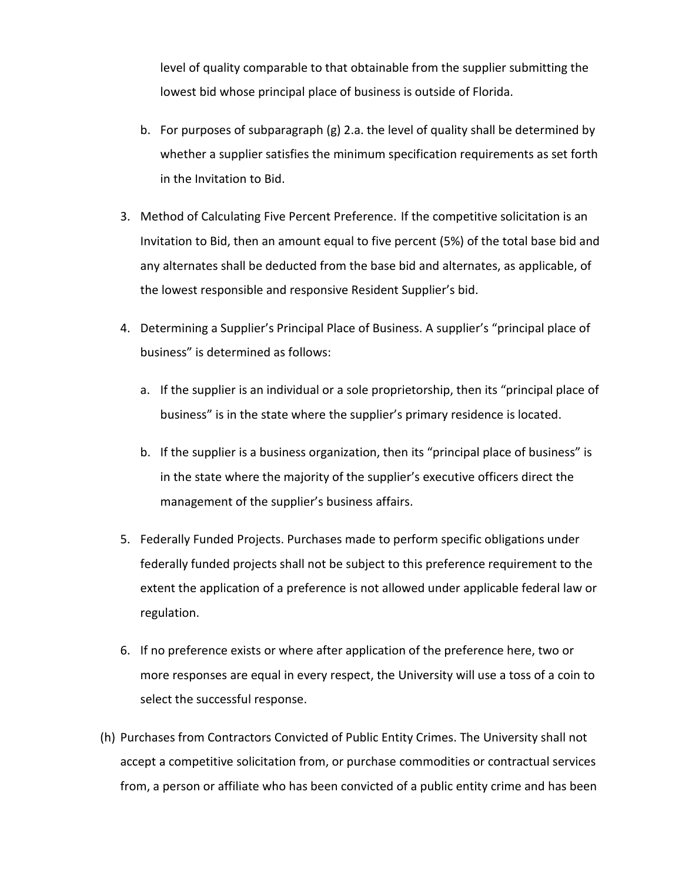level of quality comparable to that obtainable from the supplier submitting the lowest bid whose principal place of business is outside of Florida.

- b. For purposes of subparagraph (g) 2.a. the level of quality shall be determined by whether a supplier satisfies the minimum specification requirements as set forth in the Invitation to Bid.
- 3. Method of Calculating Five Percent Preference. If the competitive solicitation is an Invitation to Bid, then an amount equal to five percent (5%) of the total base bid and any alternates shall be deducted from the base bid and alternates, as applicable, of the lowest responsible and responsive Resident Supplier's bid.
- 4. Determining a Supplier's Principal Place of Business. A supplier's "principal place of business" is determined as follows:
	- a. If the supplier is an individual or a sole proprietorship, then its "principal place of business" is in the state where the supplier's primary residence is located.
	- b. If the supplier is a business organization, then its "principal place of business" is in the state where the majority of the supplier's executive officers direct the management of the supplier's business affairs.
- 5. Federally Funded Projects. Purchases made to perform specific obligations under federally funded projects shall not be subject to this preference requirement to the extent the application of a preference is not allowed under applicable federal law or regulation.
- 6. If no preference exists or where after application of the preference here, two or more responses are equal in every respect, the University will use a toss of a coin to select the successful response.
- (h) Purchases from Contractors Convicted of Public Entity Crimes. The University shall not accept a competitive solicitation from, or purchase commodities or contractual services from, a person or affiliate who has been convicted of a public entity crime and has been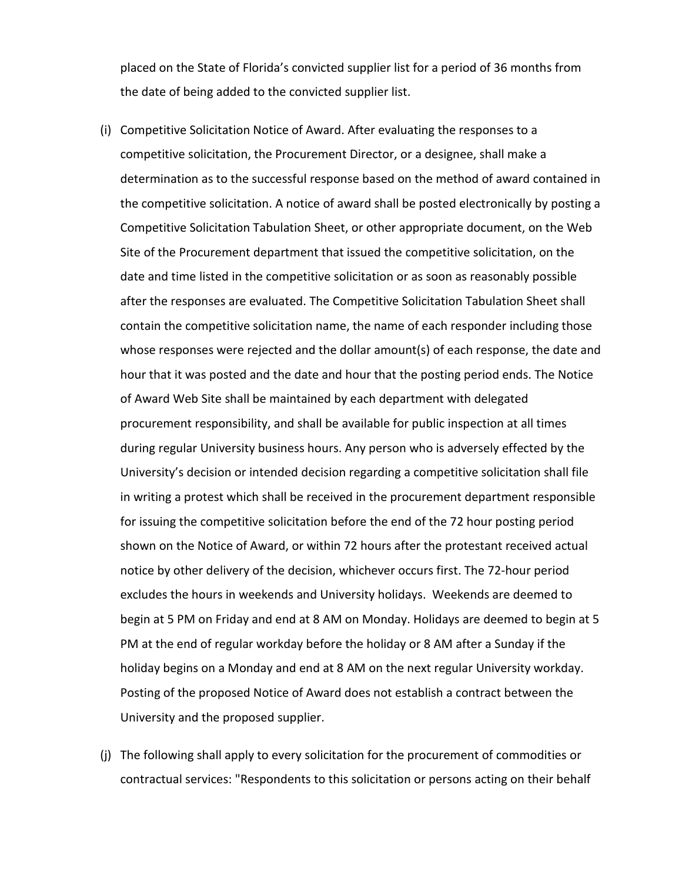placed on the State of Florida's convicted supplier list for a period of 36 months from the date of being added to the convicted supplier list.

- (i) Competitive Solicitation Notice of Award. After evaluating the responses to a competitive solicitation, the Procurement Director, or a designee, shall make a determination as to the successful response based on the method of award contained in the competitive solicitation. A notice of award shall be posted electronically by posting a Competitive Solicitation Tabulation Sheet, or other appropriate document, on the Web Site of the Procurement department that issued the competitive solicitation, on the date and time listed in the competitive solicitation or as soon as reasonably possible after the responses are evaluated. The Competitive Solicitation Tabulation Sheet shall contain the competitive solicitation name, the name of each responder including those whose responses were rejected and the dollar amount(s) of each response, the date and hour that it was posted and the date and hour that the posting period ends. The Notice of Award Web Site shall be maintained by each department with delegated procurement responsibility, and shall be available for public inspection at all times during regular University business hours. Any person who is adversely effected by the University's decision or intended decision regarding a competitive solicitation shall file in writing a protest which shall be received in the procurement department responsible for issuing the competitive solicitation before the end of the 72 hour posting period shown on the Notice of Award, or within 72 hours after the protestant received actual notice by other delivery of the decision, whichever occurs first. The 72-hour period excludes the hours in weekends and University holidays. Weekends are deemed to begin at 5 PM on Friday and end at 8 AM on Monday. Holidays are deemed to begin at 5 PM at the end of regular workday before the holiday or 8 AM after a Sunday if the holiday begins on a Monday and end at 8 AM on the next regular University workday. Posting of the proposed Notice of Award does not establish a contract between the University and the proposed supplier.
- (j) The following shall apply to every solicitation for the procurement of commodities or contractual services: "Respondents to this solicitation or persons acting on their behalf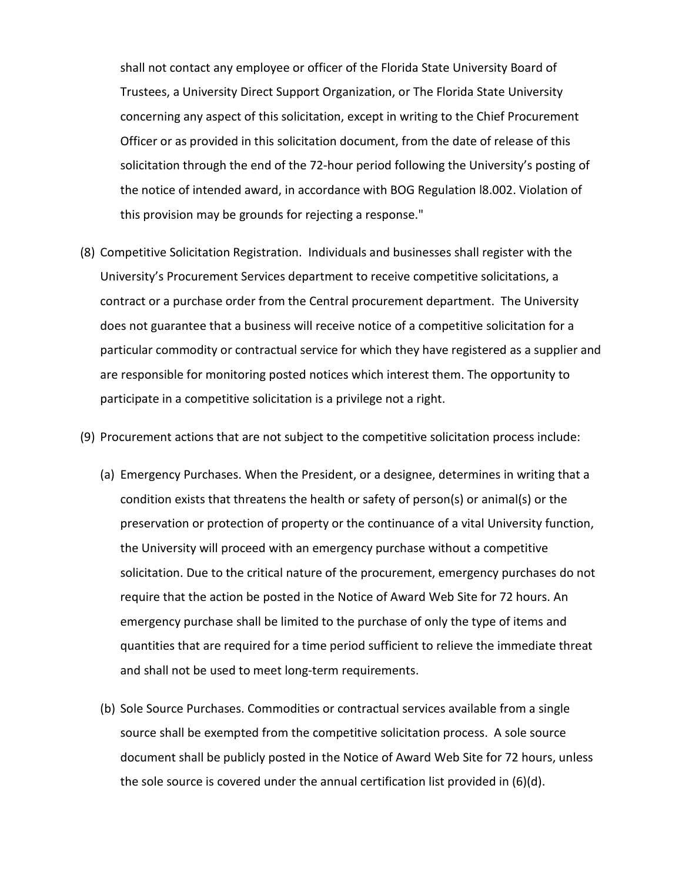shall not contact any employee or officer of the Florida State University Board of Trustees, a University Direct Support Organization, or The Florida State University concerning any aspect of this solicitation, except in writing to the Chief Procurement Officer or as provided in this solicitation document, from the date of release of this solicitation through the end of the 72-hour period following the University's posting of the notice of intended award, in accordance with BOG Regulation l8.002. Violation of this provision may be grounds for rejecting a response."

(8) Competitive Solicitation Registration. Individuals and businesses shall register with the University's Procurement Services department to receive competitive solicitations, a contract or a purchase order from the Central procurement department. The University does not guarantee that a business will receive notice of a competitive solicitation for a particular commodity or contractual service for which they have registered as a supplier and are responsible for monitoring posted notices which interest them. The opportunity to participate in a competitive solicitation is a privilege not a right.

(9) Procurement actions that are not subject to the competitive solicitation process include:

- (a) Emergency Purchases. When the President, or a designee, determines in writing that a condition exists that threatens the health or safety of person(s) or animal(s) or the preservation or protection of property or the continuance of a vital University function, the University will proceed with an emergency purchase without a competitive solicitation. Due to the critical nature of the procurement, emergency purchases do not require that the action be posted in the Notice of Award Web Site for 72 hours. An emergency purchase shall be limited to the purchase of only the type of items and quantities that are required for a time period sufficient to relieve the immediate threat and shall not be used to meet long-term requirements.
- (b) Sole Source Purchases. Commodities or contractual services available from a single source shall be exempted from the competitive solicitation process. A sole source document shall be publicly posted in the Notice of Award Web Site for 72 hours, unless the sole source is covered under the annual certification list provided in (6)(d).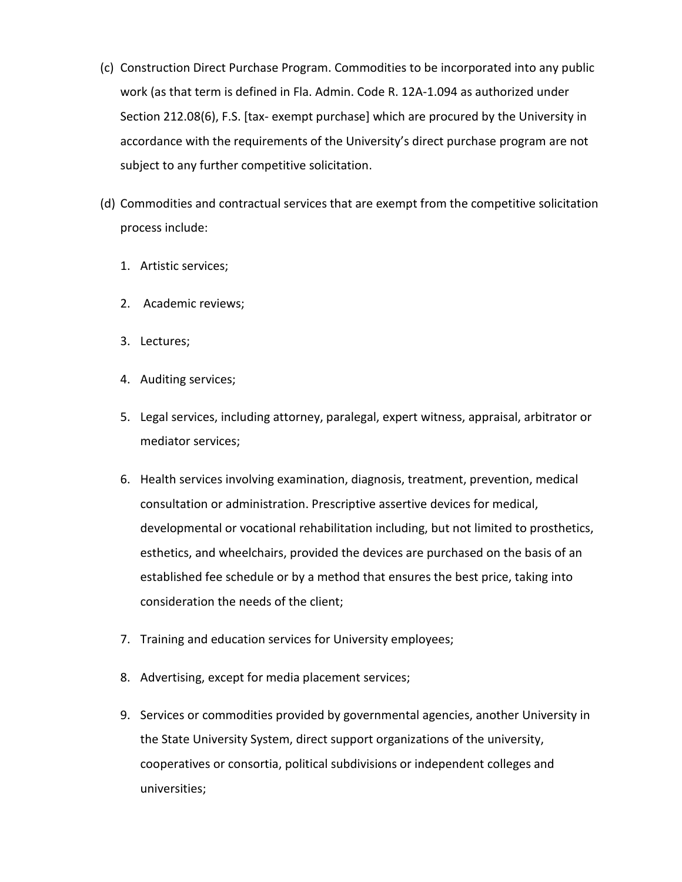- (c) Construction Direct Purchase Program. Commodities to be incorporated into any public work (as that term is defined in Fla. Admin. Code R. 12A-1.094 as authorized under Section 212.08(6), F.S. [tax- exempt purchase] which are procured by the University in accordance with the requirements of the University's direct purchase program are not subject to any further competitive solicitation.
- (d) Commodities and contractual services that are exempt from the competitive solicitation process include:
	- 1. Artistic services;
	- 2. Academic reviews;
	- 3. Lectures;
	- 4. Auditing services;
	- 5. Legal services, including attorney, paralegal, expert witness, appraisal, arbitrator or mediator services;
	- 6. Health services involving examination, diagnosis, treatment, prevention, medical consultation or administration. Prescriptive assertive devices for medical, developmental or vocational rehabilitation including, but not limited to prosthetics, esthetics, and wheelchairs, provided the devices are purchased on the basis of an established fee schedule or by a method that ensures the best price, taking into consideration the needs of the client;
	- 7. Training and education services for University employees;
	- 8. Advertising, except for media placement services;
	- 9. Services or commodities provided by governmental agencies, another University in the State University System, direct support organizations of the university, cooperatives or consortia, political subdivisions or independent colleges and universities;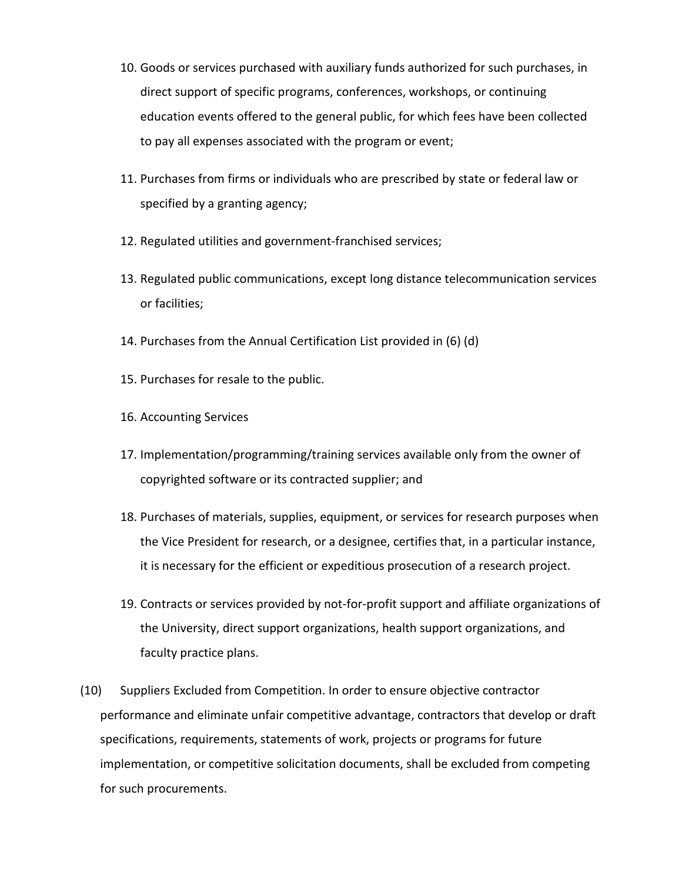- 10. Goods or services purchased with auxiliary funds authorized for such purchases, in direct support of specific programs, conferences, workshops, or continuing education events offered to the general public, for which fees have been collected to pay all expenses associated with the program or event;
- 11. Purchases from firms or individuals who are prescribed by state or federal law or specified by a granting agency;
- 12. Regulated utilities and government-franchised services;
- 13. Regulated public communications, except long distance telecommunication services or facilities;
- 14. Purchases from the Annual Certification List provided in (6) (d)
- 15. Purchases for resale to the public.
- 16. Accounting Services
- 17. Implementation/programming/training services available only from the owner of copyrighted software or its contracted supplier; and
- 18. Purchases of materials, supplies, equipment, or services for research purposes when the Vice President for research, or a designee, certifies that, in a particular instance, it is necessary for the efficient or expeditious prosecution of a research project.
- 19. Contracts or services provided by not-for-profit support and affiliate organizations of the University, direct support organizations, health support organizations, and faculty practice plans.
- (10) Suppliers Excluded from Competition. In order to ensure objective contractor performance and eliminate unfair competitive advantage, contractors that develop or draft specifications, requirements, statements of work, projects or programs for future implementation, or competitive solicitation documents, shall be excluded from competing for such procurements.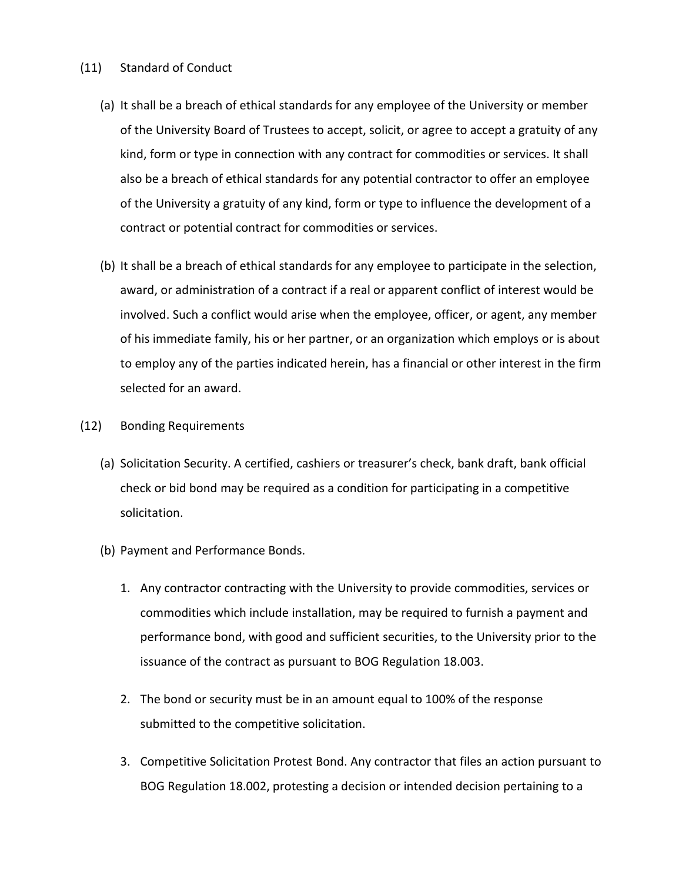## (11) Standard of Conduct

- (a) It shall be a breach of ethical standards for any employee of the University or member of the University Board of Trustees to accept, solicit, or agree to accept a gratuity of any kind, form or type in connection with any contract for commodities or services. It shall also be a breach of ethical standards for any potential contractor to offer an employee of the University a gratuity of any kind, form or type to influence the development of a contract or potential contract for commodities or services.
- (b) It shall be a breach of ethical standards for any employee to participate in the selection, award, or administration of a contract if a real or apparent conflict of interest would be involved. Such a conflict would arise when the employee, officer, or agent, any member of his immediate family, his or her partner, or an organization which employs or is about to employ any of the parties indicated herein, has a financial or other interest in the firm selected for an award.
- (12) Bonding Requirements
	- (a) Solicitation Security. A certified, cashiers or treasurer's check, bank draft, bank official check or bid bond may be required as a condition for participating in a competitive solicitation.
	- (b) Payment and Performance Bonds.
		- 1. Any contractor contracting with the University to provide commodities, services or commodities which include installation, may be required to furnish a payment and performance bond, with good and sufficient securities, to the University prior to the issuance of the contract as pursuant to BOG Regulation 18.003.
		- 2. The bond or security must be in an amount equal to 100% of the response submitted to the competitive solicitation.
		- 3. Competitive Solicitation Protest Bond. Any contractor that files an action pursuant to BOG Regulation 18.002, protesting a decision or intended decision pertaining to a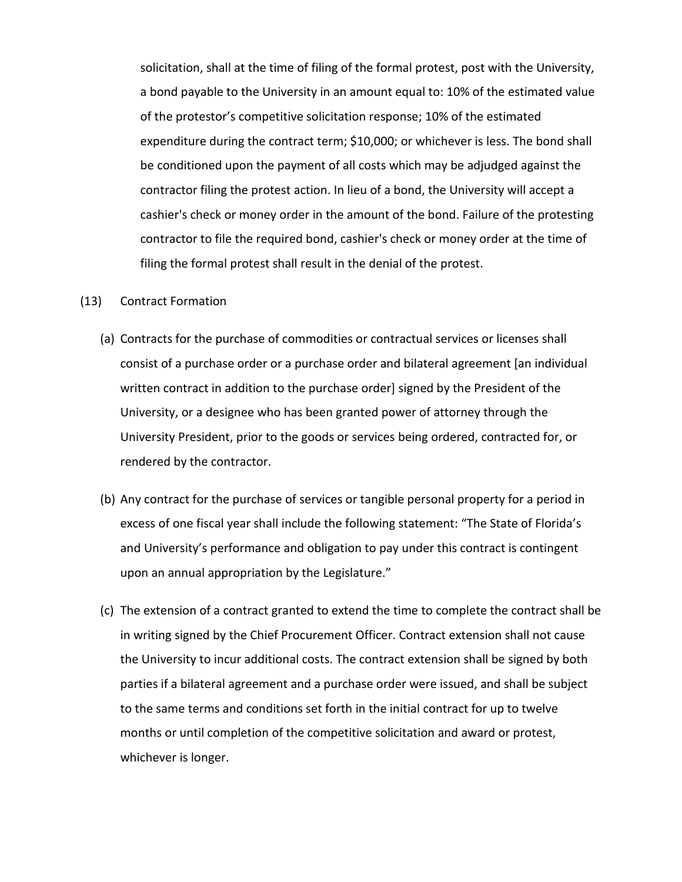solicitation, shall at the time of filing of the formal protest, post with the University, a bond payable to the University in an amount equal to: 10% of the estimated value of the protestor's competitive solicitation response; 10% of the estimated expenditure during the contract term; \$10,000; or whichever is less. The bond shall be conditioned upon the payment of all costs which may be adjudged against the contractor filing the protest action. In lieu of a bond, the University will accept a cashier's check or money order in the amount of the bond. Failure of the protesting contractor to file the required bond, cashier's check or money order at the time of filing the formal protest shall result in the denial of the protest.

#### (13) Contract Formation

- (a) Contracts for the purchase of commodities or contractual services or licenses shall consist of a purchase order or a purchase order and bilateral agreement [an individual written contract in addition to the purchase order] signed by the President of the University, or a designee who has been granted power of attorney through the University President, prior to the goods or services being ordered, contracted for, or rendered by the contractor.
- (b) Any contract for the purchase of services or tangible personal property for a period in excess of one fiscal year shall include the following statement: "The State of Florida's and University's performance and obligation to pay under this contract is contingent upon an annual appropriation by the Legislature."
- (c) The extension of a contract granted to extend the time to complete the contract shall be in writing signed by the Chief Procurement Officer. Contract extension shall not cause the University to incur additional costs. The contract extension shall be signed by both parties if a bilateral agreement and a purchase order were issued, and shall be subject to the same terms and conditions set forth in the initial contract for up to twelve months or until completion of the competitive solicitation and award or protest, whichever is longer.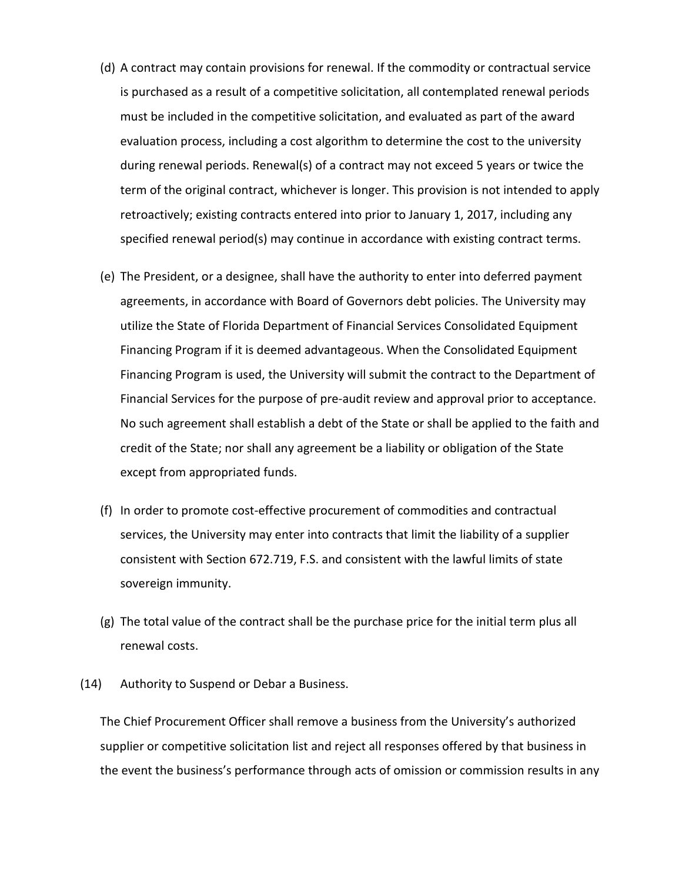- (d) A contract may contain provisions for renewal. If the commodity or contractual service is purchased as a result of a competitive solicitation, all contemplated renewal periods must be included in the competitive solicitation, and evaluated as part of the award evaluation process, including a cost algorithm to determine the cost to the university during renewal periods. Renewal(s) of a contract may not exceed 5 years or twice the term of the original contract, whichever is longer. This provision is not intended to apply retroactively; existing contracts entered into prior to January 1, 2017, including any specified renewal period(s) may continue in accordance with existing contract terms.
- (e) The President, or a designee, shall have the authority to enter into deferred payment agreements, in accordance with Board of Governors debt policies. The University may utilize the State of Florida Department of Financial Services Consolidated Equipment Financing Program if it is deemed advantageous. When the Consolidated Equipment Financing Program is used, the University will submit the contract to the Department of Financial Services for the purpose of pre-audit review and approval prior to acceptance. No such agreement shall establish a debt of the State or shall be applied to the faith and credit of the State; nor shall any agreement be a liability or obligation of the State except from appropriated funds.
- (f) In order to promote cost-effective procurement of commodities and contractual services, the University may enter into contracts that limit the liability of a supplier consistent with Section 672.719, F.S. and consistent with the lawful limits of state sovereign immunity.
- (g) The total value of the contract shall be the purchase price for the initial term plus all renewal costs.
- (14) Authority to Suspend or Debar a Business.

The Chief Procurement Officer shall remove a business from the University's authorized supplier or competitive solicitation list and reject all responses offered by that business in the event the business's performance through acts of omission or commission results in any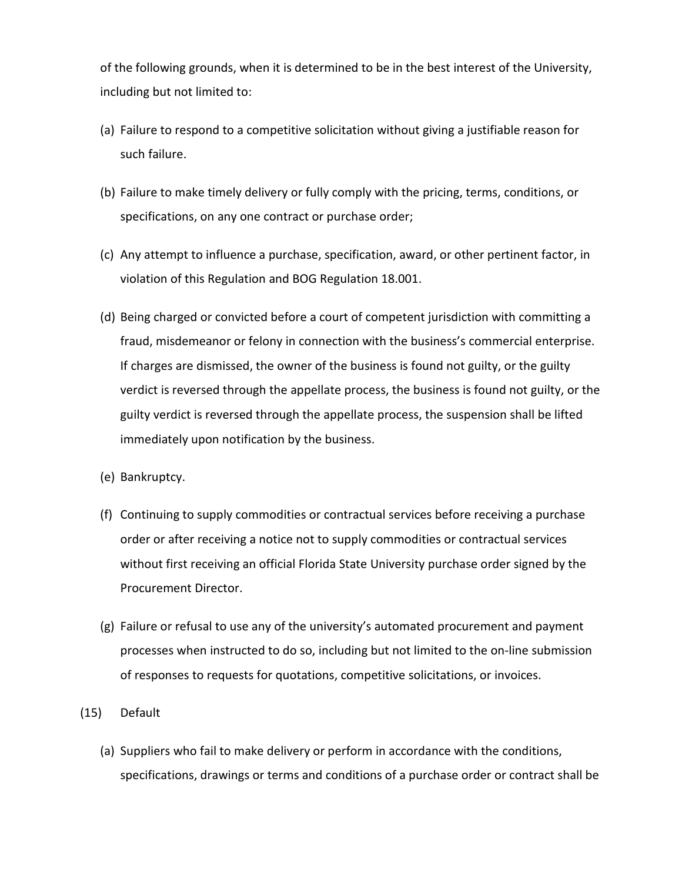of the following grounds, when it is determined to be in the best interest of the University, including but not limited to:

- (a) Failure to respond to a competitive solicitation without giving a justifiable reason for such failure.
- (b) Failure to make timely delivery or fully comply with the pricing, terms, conditions, or specifications, on any one contract or purchase order;
- (c) Any attempt to influence a purchase, specification, award, or other pertinent factor, in violation of this Regulation and BOG Regulation 18.001.
- (d) Being charged or convicted before a court of competent jurisdiction with committing a fraud, misdemeanor or felony in connection with the business's commercial enterprise. If charges are dismissed, the owner of the business is found not guilty, or the guilty verdict is reversed through the appellate process, the business is found not guilty, or the guilty verdict is reversed through the appellate process, the suspension shall be lifted immediately upon notification by the business.
- (e) Bankruptcy.
- (f) Continuing to supply commodities or contractual services before receiving a purchase order or after receiving a notice not to supply commodities or contractual services without first receiving an official Florida State University purchase order signed by the Procurement Director.
- (g) Failure or refusal to use any of the university's automated procurement and payment processes when instructed to do so, including but not limited to the on-line submission of responses to requests for quotations, competitive solicitations, or invoices.
- (15) Default
	- (a) Suppliers who fail to make delivery or perform in accordance with the conditions, specifications, drawings or terms and conditions of a purchase order or contract shall be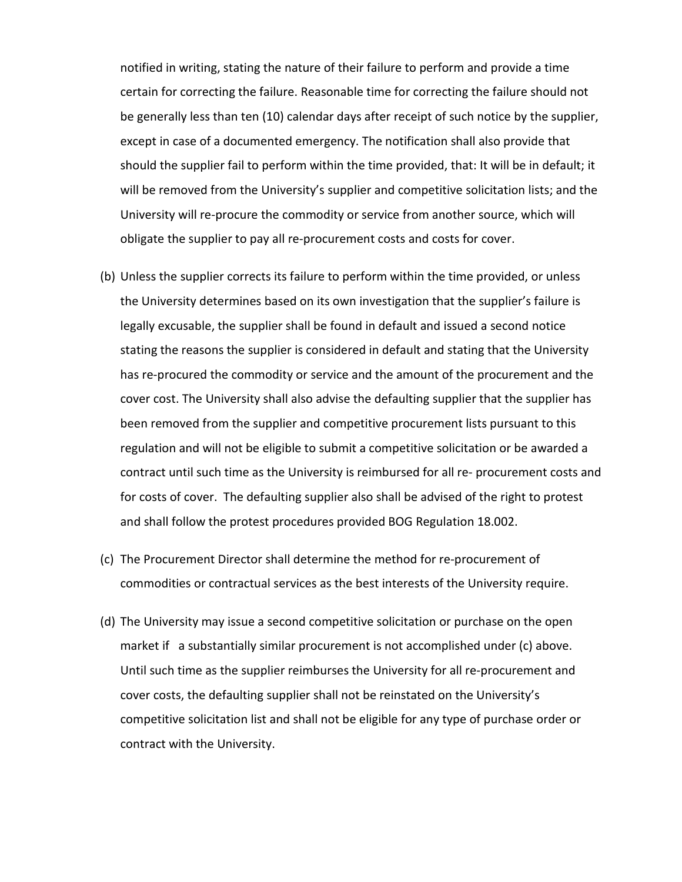notified in writing, stating the nature of their failure to perform and provide a time certain for correcting the failure. Reasonable time for correcting the failure should not be generally less than ten (10) calendar days after receipt of such notice by the supplier, except in case of a documented emergency. The notification shall also provide that should the supplier fail to perform within the time provided, that: It will be in default; it will be removed from the University's supplier and competitive solicitation lists; and the University will re-procure the commodity or service from another source, which will obligate the supplier to pay all re-procurement costs and costs for cover.

- (b) Unless the supplier corrects its failure to perform within the time provided, or unless the University determines based on its own investigation that the supplier's failure is legally excusable, the supplier shall be found in default and issued a second notice stating the reasons the supplier is considered in default and stating that the University has re-procured the commodity or service and the amount of the procurement and the cover cost. The University shall also advise the defaulting supplier that the supplier has been removed from the supplier and competitive procurement lists pursuant to this regulation and will not be eligible to submit a competitive solicitation or be awarded a contract until such time as the University is reimbursed for all re- procurement costs and for costs of cover. The defaulting supplier also shall be advised of the right to protest and shall follow the protest procedures provided BOG Regulation 18.002.
- (c) The Procurement Director shall determine the method for re-procurement of commodities or contractual services as the best interests of the University require.
- (d) The University may issue a second competitive solicitation or purchase on the open market if a substantially similar procurement is not accomplished under (c) above. Until such time as the supplier reimburses the University for all re-procurement and cover costs, the defaulting supplier shall not be reinstated on the University's competitive solicitation list and shall not be eligible for any type of purchase order or contract with the University.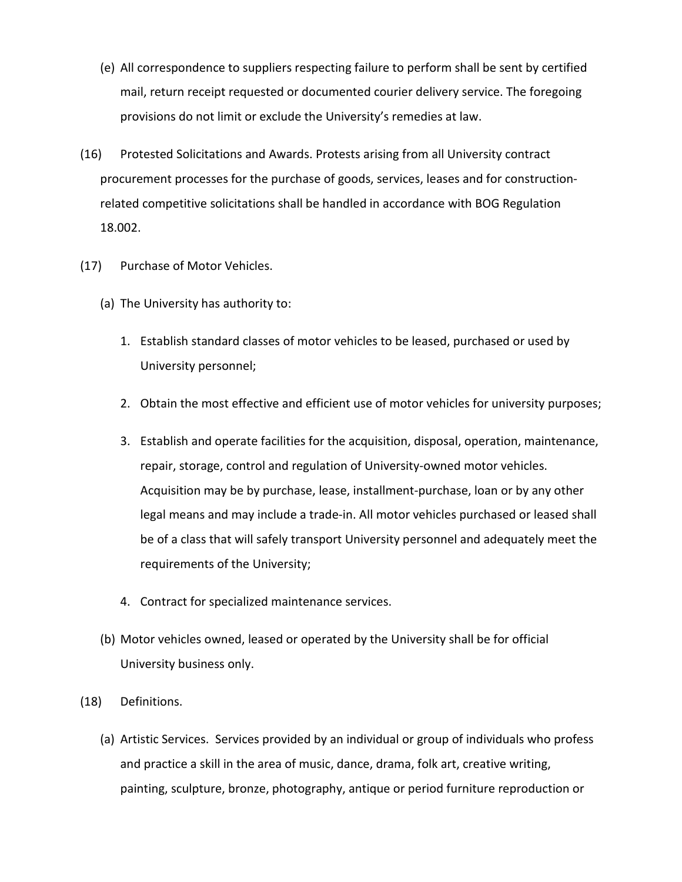- (e) All correspondence to suppliers respecting failure to perform shall be sent by certified mail, return receipt requested or documented courier delivery service. The foregoing provisions do not limit or exclude the University's remedies at law.
- (16) Protested Solicitations and Awards. Protests arising from all University contract procurement processes for the purchase of goods, services, leases and for constructionrelated competitive solicitations shall be handled in accordance with BOG Regulation 18.002.
- (17) Purchase of Motor Vehicles.
	- (a) The University has authority to:
		- 1. Establish standard classes of motor vehicles to be leased, purchased or used by University personnel;
		- 2. Obtain the most effective and efficient use of motor vehicles for university purposes;
		- 3. Establish and operate facilities for the acquisition, disposal, operation, maintenance, repair, storage, control and regulation of University-owned motor vehicles. Acquisition may be by purchase, lease, installment-purchase, loan or by any other legal means and may include a trade-in. All motor vehicles purchased or leased shall be of a class that will safely transport University personnel and adequately meet the requirements of the University;
		- 4. Contract for specialized maintenance services.
	- (b) Motor vehicles owned, leased or operated by the University shall be for official University business only.
- (18) Definitions.
	- (a) Artistic Services. Services provided by an individual or group of individuals who profess and practice a skill in the area of music, dance, drama, folk art, creative writing, painting, sculpture, bronze, photography, antique or period furniture reproduction or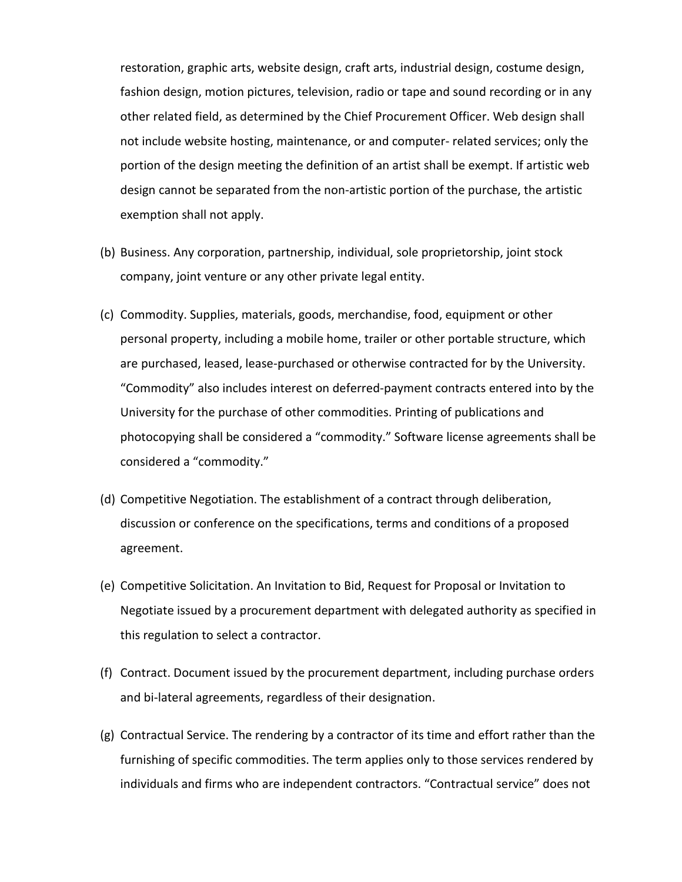restoration, graphic arts, website design, craft arts, industrial design, costume design, fashion design, motion pictures, television, radio or tape and sound recording or in any other related field, as determined by the Chief Procurement Officer. Web design shall not include website hosting, maintenance, or and computer- related services; only the portion of the design meeting the definition of an artist shall be exempt. If artistic web design cannot be separated from the non-artistic portion of the purchase, the artistic exemption shall not apply.

- (b) Business. Any corporation, partnership, individual, sole proprietorship, joint stock company, joint venture or any other private legal entity.
- (c) Commodity. Supplies, materials, goods, merchandise, food, equipment or other personal property, including a mobile home, trailer or other portable structure, which are purchased, leased, lease-purchased or otherwise contracted for by the University. "Commodity" also includes interest on deferred-payment contracts entered into by the University for the purchase of other commodities. Printing of publications and photocopying shall be considered a "commodity." Software license agreements shall be considered a "commodity."
- (d) Competitive Negotiation. The establishment of a contract through deliberation, discussion or conference on the specifications, terms and conditions of a proposed agreement.
- (e) Competitive Solicitation. An Invitation to Bid, Request for Proposal or Invitation to Negotiate issued by a procurement department with delegated authority as specified in this regulation to select a contractor.
- (f) Contract. Document issued by the procurement department, including purchase orders and bi-lateral agreements, regardless of their designation.
- (g) Contractual Service. The rendering by a contractor of its time and effort rather than the furnishing of specific commodities. The term applies only to those services rendered by individuals and firms who are independent contractors. "Contractual service" does not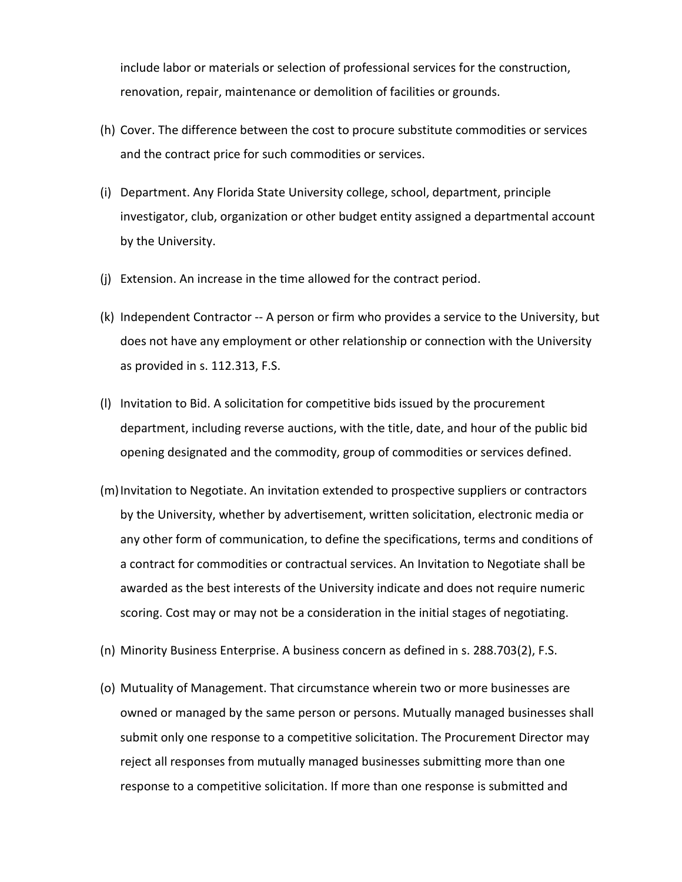include labor or materials or selection of professional services for the construction, renovation, repair, maintenance or demolition of facilities or grounds.

- (h) Cover. The difference between the cost to procure substitute commodities or services and the contract price for such commodities or services.
- (i) Department. Any Florida State University college, school, department, principle investigator, club, organization or other budget entity assigned a departmental account by the University.
- (j) Extension. An increase in the time allowed for the contract period.
- (k) Independent Contractor -- A person or firm who provides a service to the University, but does not have any employment or other relationship or connection with the University as provided in s. 112.313, F.S.
- (l) Invitation to Bid. A solicitation for competitive bids issued by the procurement department, including reverse auctions, with the title, date, and hour of the public bid opening designated and the commodity, group of commodities or services defined.
- (m)Invitation to Negotiate. An invitation extended to prospective suppliers or contractors by the University, whether by advertisement, written solicitation, electronic media or any other form of communication, to define the specifications, terms and conditions of a contract for commodities or contractual services. An Invitation to Negotiate shall be awarded as the best interests of the University indicate and does not require numeric scoring. Cost may or may not be a consideration in the initial stages of negotiating.
- (n) Minority Business Enterprise. A business concern as defined in s. 288.703(2), F.S.
- (o) Mutuality of Management. That circumstance wherein two or more businesses are owned or managed by the same person or persons. Mutually managed businesses shall submit only one response to a competitive solicitation. The Procurement Director may reject all responses from mutually managed businesses submitting more than one response to a competitive solicitation. If more than one response is submitted and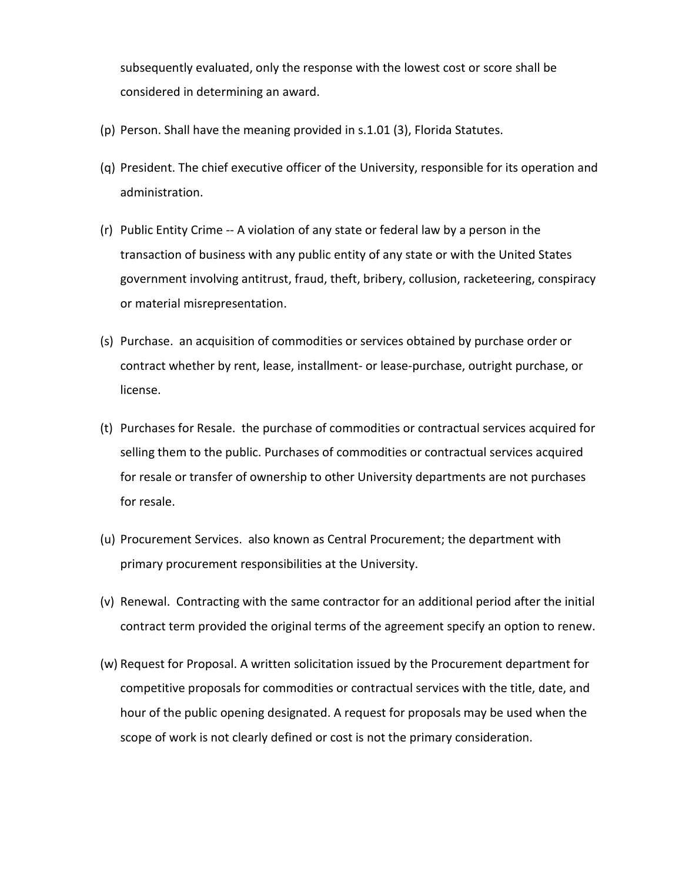subsequently evaluated, only the response with the lowest cost or score shall be considered in determining an award.

- (p) Person. Shall have the meaning provided in s.1.01 (3), Florida Statutes.
- (q) President. The chief executive officer of the University, responsible for its operation and administration.
- (r) Public Entity Crime -- A violation of any state or federal law by a person in the transaction of business with any public entity of any state or with the United States government involving antitrust, fraud, theft, bribery, collusion, racketeering, conspiracy or material misrepresentation.
- (s) Purchase. an acquisition of commodities or services obtained by purchase order or contract whether by rent, lease, installment- or lease-purchase, outright purchase, or license.
- (t) Purchases for Resale. the purchase of commodities or contractual services acquired for selling them to the public. Purchases of commodities or contractual services acquired for resale or transfer of ownership to other University departments are not purchases for resale.
- (u) Procurement Services. also known as Central Procurement; the department with primary procurement responsibilities at the University.
- (v) Renewal. Contracting with the same contractor for an additional period after the initial contract term provided the original terms of the agreement specify an option to renew.
- (w) Request for Proposal. A written solicitation issued by the Procurement department for competitive proposals for commodities or contractual services with the title, date, and hour of the public opening designated. A request for proposals may be used when the scope of work is not clearly defined or cost is not the primary consideration.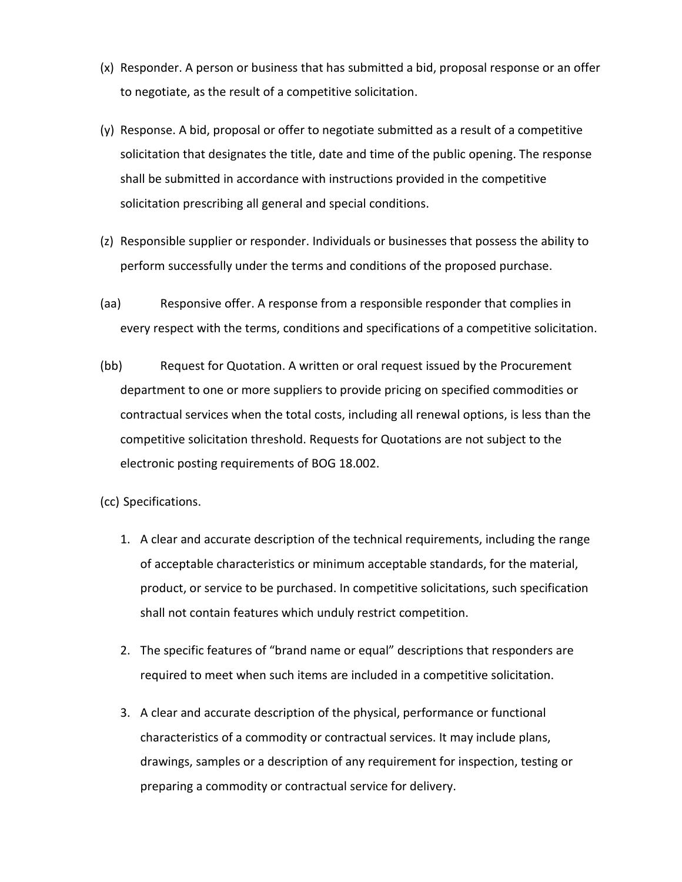- (x) Responder. A person or business that has submitted a bid, proposal response or an offer to negotiate, as the result of a competitive solicitation.
- (y) Response. A bid, proposal or offer to negotiate submitted as a result of a competitive solicitation that designates the title, date and time of the public opening. The response shall be submitted in accordance with instructions provided in the competitive solicitation prescribing all general and special conditions.
- (z) Responsible supplier or responder. Individuals or businesses that possess the ability to perform successfully under the terms and conditions of the proposed purchase.
- (aa) Responsive offer. A response from a responsible responder that complies in every respect with the terms, conditions and specifications of a competitive solicitation.
- (bb) Request for Quotation. A written or oral request issued by the Procurement department to one or more suppliers to provide pricing on specified commodities or contractual services when the total costs, including all renewal options, is less than the competitive solicitation threshold. Requests for Quotations are not subject to the electronic posting requirements of BOG 18.002.
- (cc) Specifications.
	- 1. A clear and accurate description of the technical requirements, including the range of acceptable characteristics or minimum acceptable standards, for the material, product, or service to be purchased. In competitive solicitations, such specification shall not contain features which unduly restrict competition.
	- 2. The specific features of "brand name or equal" descriptions that responders are required to meet when such items are included in a competitive solicitation.
	- 3. A clear and accurate description of the physical, performance or functional characteristics of a commodity or contractual services. It may include plans, drawings, samples or a description of any requirement for inspection, testing or preparing a commodity or contractual service for delivery.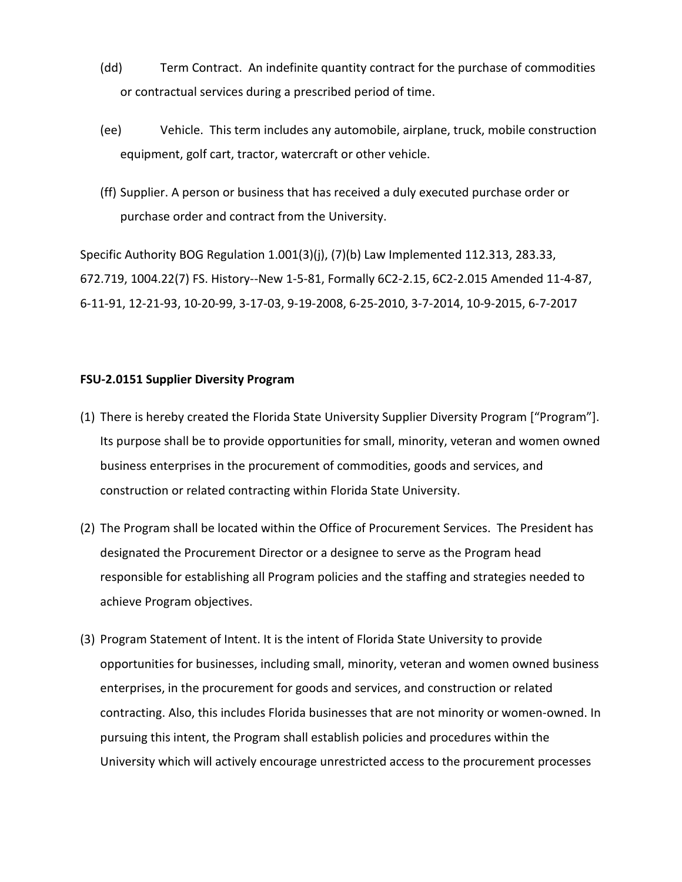- (dd) Term Contract. An indefinite quantity contract for the purchase of commodities or contractual services during a prescribed period of time.
- (ee) Vehicle. This term includes any automobile, airplane, truck, mobile construction equipment, golf cart, tractor, watercraft or other vehicle.
- (ff) Supplier. A person or business that has received a duly executed purchase order or purchase order and contract from the University.

Specific Authority BOG Regulation 1.001(3)(j), (7)(b) Law Implemented 112.313, 283.33, 672.719, 1004.22(7) FS. History--New 1-5-81, Formally 6C2-2.15, 6C2-2.015 Amended 11-4-87, 6-11-91, 12-21-93, 10-20-99, 3-17-03, 9-19-2008, 6-25-2010, 3-7-2014, 10-9-2015, 6-7-2017

### **FSU-2.0151 Supplier Diversity Program**

- (1) There is hereby created the Florida State University Supplier Diversity Program ["Program"]. Its purpose shall be to provide opportunities for small, minority, veteran and women owned business enterprises in the procurement of commodities, goods and services, and construction or related contracting within Florida State University.
- (2) The Program shall be located within the Office of Procurement Services. The President has designated the Procurement Director or a designee to serve as the Program head responsible for establishing all Program policies and the staffing and strategies needed to achieve Program objectives.
- (3) Program Statement of Intent. It is the intent of Florida State University to provide opportunities for businesses, including small, minority, veteran and women owned business enterprises, in the procurement for goods and services, and construction or related contracting. Also, this includes Florida businesses that are not minority or women-owned. In pursuing this intent, the Program shall establish policies and procedures within the University which will actively encourage unrestricted access to the procurement processes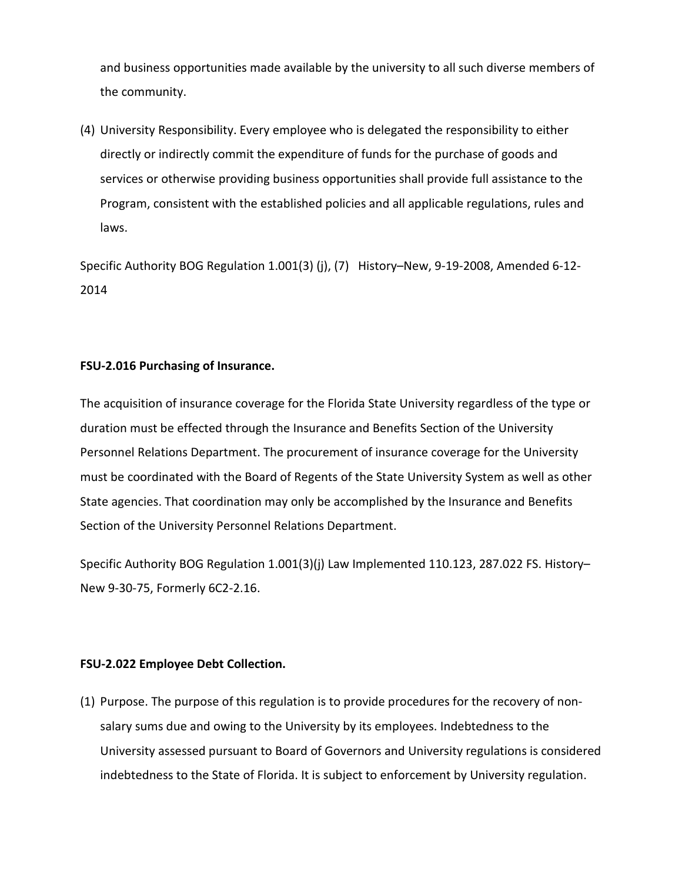and business opportunities made available by the university to all such diverse members of the community.

(4) University Responsibility. Every employee who is delegated the responsibility to either directly or indirectly commit the expenditure of funds for the purchase of goods and services or otherwise providing business opportunities shall provide full assistance to the Program, consistent with the established policies and all applicable regulations, rules and laws.

Specific Authority BOG Regulation 1.001(3) (j), (7) History–New, 9-19-2008, Amended 6-12- 2014

## **FSU-2.016 Purchasing of Insurance.**

The acquisition of insurance coverage for the Florida State University regardless of the type or duration must be effected through the Insurance and Benefits Section of the University Personnel Relations Department. The procurement of insurance coverage for the University must be coordinated with the Board of Regents of the State University System as well as other State agencies. That coordination may only be accomplished by the Insurance and Benefits Section of the University Personnel Relations Department.

Specific Authority BOG Regulation 1.001(3)(j) Law Implemented 110.123, 287.022 FS. History– New 9-30-75, Formerly 6C2-2.16.

## **FSU-2.022 Employee Debt Collection.**

(1) Purpose. The purpose of this regulation is to provide procedures for the recovery of nonsalary sums due and owing to the University by its employees. Indebtedness to the University assessed pursuant to Board of Governors and University regulations is considered indebtedness to the State of Florida. It is subject to enforcement by University regulation.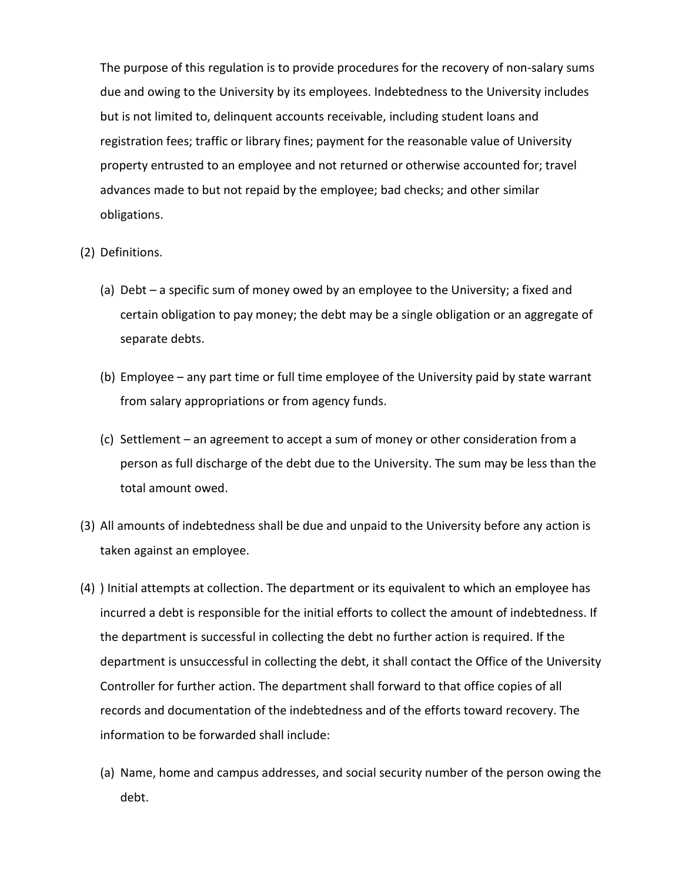The purpose of this regulation is to provide procedures for the recovery of non-salary sums due and owing to the University by its employees. Indebtedness to the University includes but is not limited to, delinquent accounts receivable, including student loans and registration fees; traffic or library fines; payment for the reasonable value of University property entrusted to an employee and not returned or otherwise accounted for; travel advances made to but not repaid by the employee; bad checks; and other similar obligations.

- (2) Definitions.
	- (a) Debt a specific sum of money owed by an employee to the University; a fixed and certain obligation to pay money; the debt may be a single obligation or an aggregate of separate debts.
	- (b) Employee any part time or full time employee of the University paid by state warrant from salary appropriations or from agency funds.
	- (c) Settlement an agreement to accept a sum of money or other consideration from a person as full discharge of the debt due to the University. The sum may be less than the total amount owed.
- (3) All amounts of indebtedness shall be due and unpaid to the University before any action is taken against an employee.
- (4) ) Initial attempts at collection. The department or its equivalent to which an employee has incurred a debt is responsible for the initial efforts to collect the amount of indebtedness. If the department is successful in collecting the debt no further action is required. If the department is unsuccessful in collecting the debt, it shall contact the Office of the University Controller for further action. The department shall forward to that office copies of all records and documentation of the indebtedness and of the efforts toward recovery. The information to be forwarded shall include:
	- (a) Name, home and campus addresses, and social security number of the person owing the debt.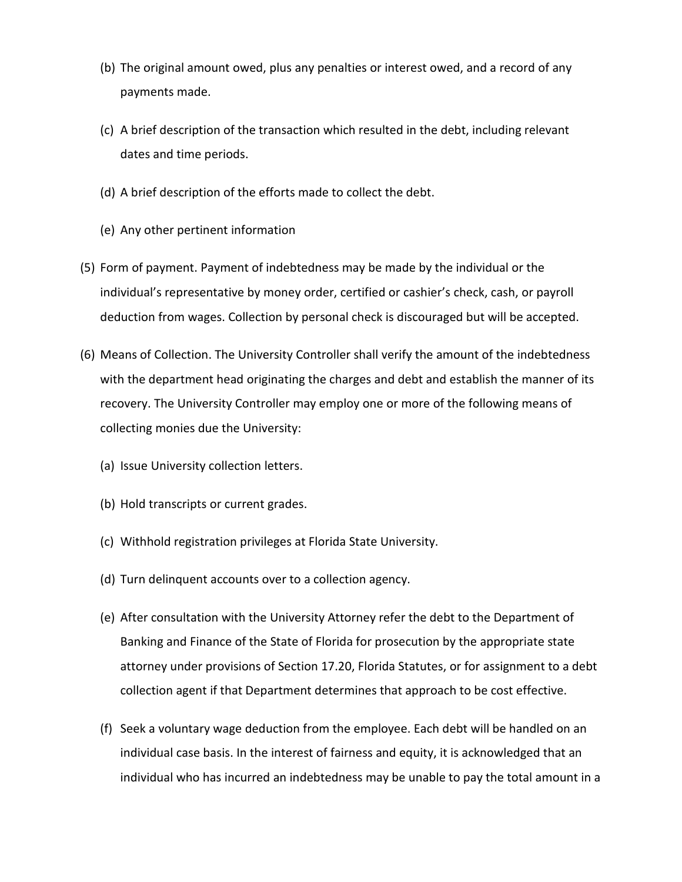- (b) The original amount owed, plus any penalties or interest owed, and a record of any payments made.
- (c) A brief description of the transaction which resulted in the debt, including relevant dates and time periods.
- (d) A brief description of the efforts made to collect the debt.
- (e) Any other pertinent information
- (5) Form of payment. Payment of indebtedness may be made by the individual or the individual's representative by money order, certified or cashier's check, cash, or payroll deduction from wages. Collection by personal check is discouraged but will be accepted.
- (6) Means of Collection. The University Controller shall verify the amount of the indebtedness with the department head originating the charges and debt and establish the manner of its recovery. The University Controller may employ one or more of the following means of collecting monies due the University:
	- (a) Issue University collection letters.
	- (b) Hold transcripts or current grades.
	- (c) Withhold registration privileges at Florida State University.
	- (d) Turn delinquent accounts over to a collection agency.
	- (e) After consultation with the University Attorney refer the debt to the Department of Banking and Finance of the State of Florida for prosecution by the appropriate state attorney under provisions of Section 17.20, Florida Statutes, or for assignment to a debt collection agent if that Department determines that approach to be cost effective.
	- (f) Seek a voluntary wage deduction from the employee. Each debt will be handled on an individual case basis. In the interest of fairness and equity, it is acknowledged that an individual who has incurred an indebtedness may be unable to pay the total amount in a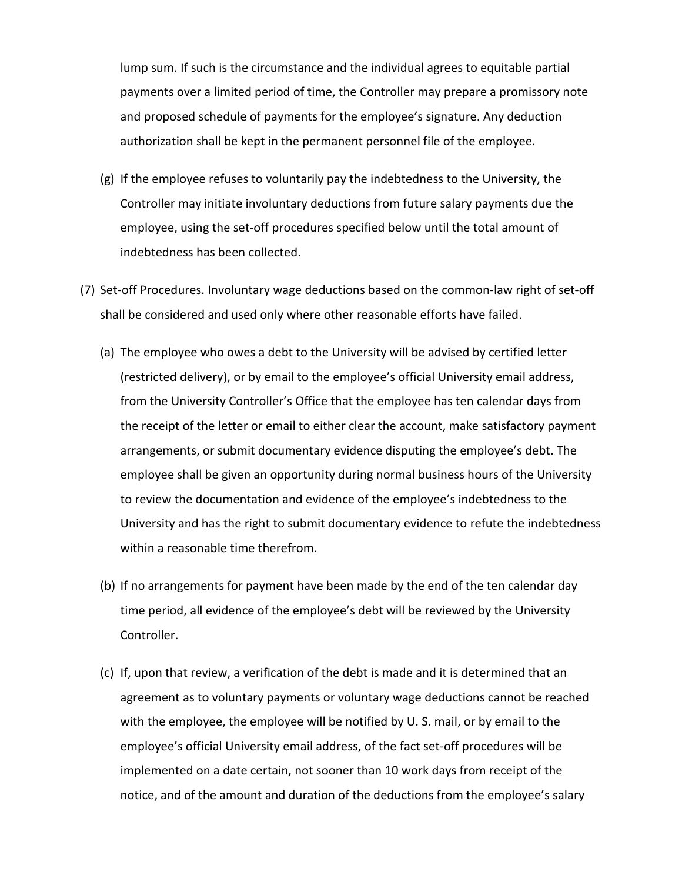lump sum. If such is the circumstance and the individual agrees to equitable partial payments over a limited period of time, the Controller may prepare a promissory note and proposed schedule of payments for the employee's signature. Any deduction authorization shall be kept in the permanent personnel file of the employee.

- (g) If the employee refuses to voluntarily pay the indebtedness to the University, the Controller may initiate involuntary deductions from future salary payments due the employee, using the set-off procedures specified below until the total amount of indebtedness has been collected.
- (7) Set-off Procedures. Involuntary wage deductions based on the common-law right of set-off shall be considered and used only where other reasonable efforts have failed.
	- (a) The employee who owes a debt to the University will be advised by certified letter (restricted delivery), or by email to the employee's official University email address, from the University Controller's Office that the employee has ten calendar days from the receipt of the letter or email to either clear the account, make satisfactory payment arrangements, or submit documentary evidence disputing the employee's debt. The employee shall be given an opportunity during normal business hours of the University to review the documentation and evidence of the employee's indebtedness to the University and has the right to submit documentary evidence to refute the indebtedness within a reasonable time therefrom.
	- (b) If no arrangements for payment have been made by the end of the ten calendar day time period, all evidence of the employee's debt will be reviewed by the University Controller.
	- (c) If, upon that review, a verification of the debt is made and it is determined that an agreement as to voluntary payments or voluntary wage deductions cannot be reached with the employee, the employee will be notified by U. S. mail, or by email to the employee's official University email address, of the fact set-off procedures will be implemented on a date certain, not sooner than 10 work days from receipt of the notice, and of the amount and duration of the deductions from the employee's salary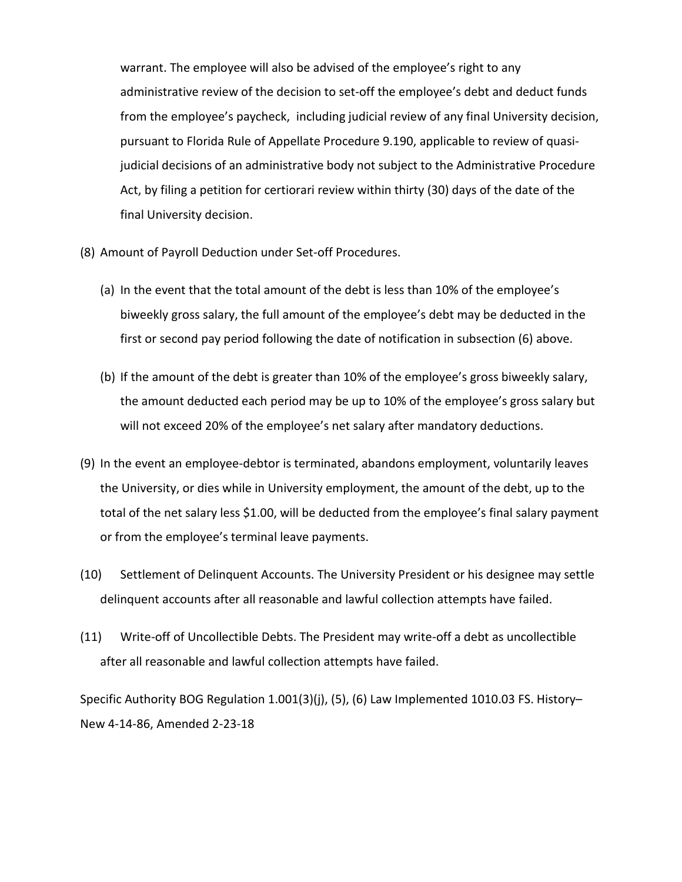warrant. The employee will also be advised of the employee's right to any administrative review of the decision to set-off the employee's debt and deduct funds from the employee's paycheck, including judicial review of any final University decision, pursuant to Florida Rule of Appellate Procedure 9.190, applicable to review of quasijudicial decisions of an administrative body not subject to the Administrative Procedure Act, by filing a petition for certiorari review within thirty (30) days of the date of the final University decision.

- (8) Amount of Payroll Deduction under Set-off Procedures.
	- (a) In the event that the total amount of the debt is less than 10% of the employee's biweekly gross salary, the full amount of the employee's debt may be deducted in the first or second pay period following the date of notification in subsection (6) above.
	- (b) If the amount of the debt is greater than 10% of the employee's gross biweekly salary, the amount deducted each period may be up to 10% of the employee's gross salary but will not exceed 20% of the employee's net salary after mandatory deductions.
- (9) In the event an employee-debtor is terminated, abandons employment, voluntarily leaves the University, or dies while in University employment, the amount of the debt, up to the total of the net salary less \$1.00, will be deducted from the employee's final salary payment or from the employee's terminal leave payments.
- (10) Settlement of Delinquent Accounts. The University President or his designee may settle delinquent accounts after all reasonable and lawful collection attempts have failed.
- (11) Write-off of Uncollectible Debts. The President may write-off a debt as uncollectible after all reasonable and lawful collection attempts have failed.

Specific Authority BOG Regulation 1.001(3)(j), (5), (6) Law Implemented 1010.03 FS. History– New 4-14-86, Amended 2-23-18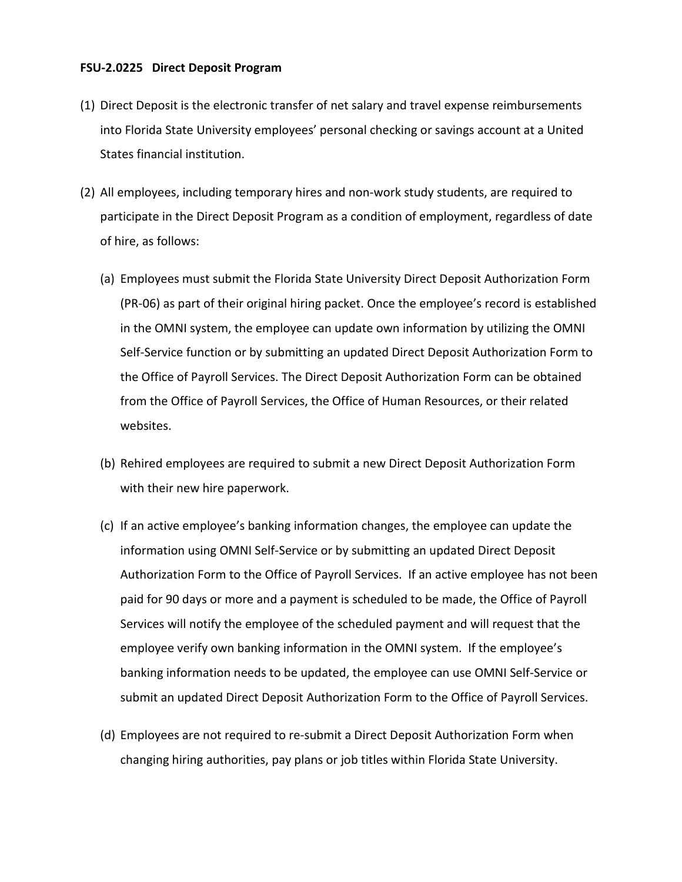#### **FSU-2.0225 Direct Deposit Program**

- (1) Direct Deposit is the electronic transfer of net salary and travel expense reimbursements into Florida State University employees' personal checking or savings account at a United States financial institution.
- (2) All employees, including temporary hires and non-work study students, are required to participate in the Direct Deposit Program as a condition of employment, regardless of date of hire, as follows:
	- (a) Employees must submit the Florida State University Direct Deposit Authorization Form (PR-06) as part of their original hiring packet. Once the employee's record is established in the OMNI system, the employee can update own information by utilizing the OMNI Self-Service function or by submitting an updated Direct Deposit Authorization Form to the Office of Payroll Services. The Direct Deposit Authorization Form can be obtained from the Office of Payroll Services, the Office of Human Resources, or their related websites.
	- (b) Rehired employees are required to submit a new Direct Deposit Authorization Form with their new hire paperwork.
	- (c) If an active employee's banking information changes, the employee can update the information using OMNI Self-Service or by submitting an updated Direct Deposit Authorization Form to the Office of Payroll Services. If an active employee has not been paid for 90 days or more and a payment is scheduled to be made, the Office of Payroll Services will notify the employee of the scheduled payment and will request that the employee verify own banking information in the OMNI system. If the employee's banking information needs to be updated, the employee can use OMNI Self-Service or submit an updated Direct Deposit Authorization Form to the Office of Payroll Services.
	- (d) Employees are not required to re-submit a Direct Deposit Authorization Form when changing hiring authorities, pay plans or job titles within Florida State University.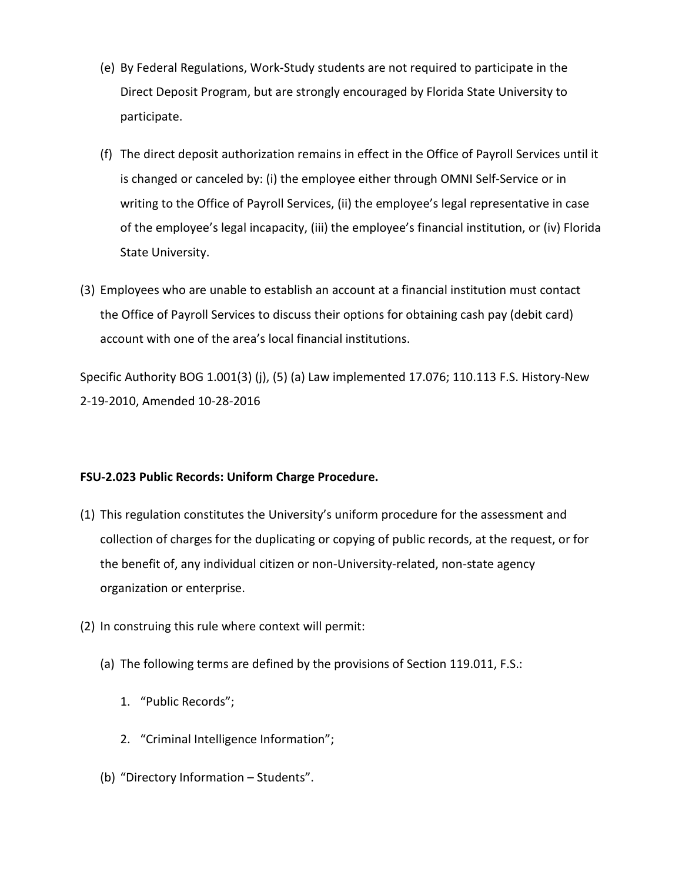- (e) By Federal Regulations, Work-Study students are not required to participate in the Direct Deposit Program, but are strongly encouraged by Florida State University to participate.
- (f) The direct deposit authorization remains in effect in the Office of Payroll Services until it is changed or canceled by: (i) the employee either through OMNI Self-Service or in writing to the Office of Payroll Services, (ii) the employee's legal representative in case of the employee's legal incapacity, (iii) the employee's financial institution, or (iv) Florida State University.
- (3) Employees who are unable to establish an account at a financial institution must contact the Office of Payroll Services to discuss their options for obtaining cash pay (debit card) account with one of the area's local financial institutions.

Specific Authority BOG 1.001(3) (j), (5) (a) Law implemented 17.076; 110.113 F.S. History-New 2-19-2010, Amended 10-28-2016

## **FSU-2.023 Public Records: Uniform Charge Procedure.**

- (1) This regulation constitutes the University's uniform procedure for the assessment and collection of charges for the duplicating or copying of public records, at the request, or for the benefit of, any individual citizen or non-University-related, non-state agency organization or enterprise.
- (2) In construing this rule where context will permit:
	- (a) The following terms are defined by the provisions of Section 119.011, F.S.:
		- 1. "Public Records";
		- 2. "Criminal Intelligence Information";
	- (b) "Directory Information Students".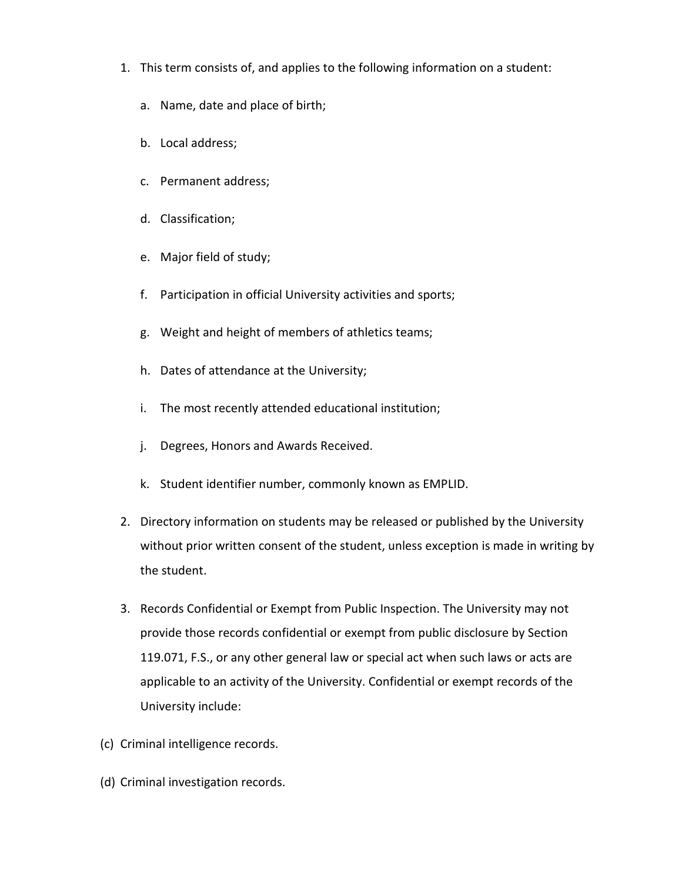- 1. This term consists of, and applies to the following information on a student:
	- a. Name, date and place of birth;
	- b. Local address;
	- c. Permanent address;
	- d. Classification;
	- e. Major field of study;
	- f. Participation in official University activities and sports;
	- g. Weight and height of members of athletics teams;
	- h. Dates of attendance at the University;
	- i. The most recently attended educational institution;
	- j. Degrees, Honors and Awards Received.
	- k. Student identifier number, commonly known as EMPLID.
- 2. Directory information on students may be released or published by the University without prior written consent of the student, unless exception is made in writing by the student.
- 3. Records Confidential or Exempt from Public Inspection. The University may not provide those records confidential or exempt from public disclosure by Section 119.071, F.S., or any other general law or special act when such laws or acts are applicable to an activity of the University. Confidential or exempt records of the University include:
- (c) Criminal intelligence records.
- (d) Criminal investigation records.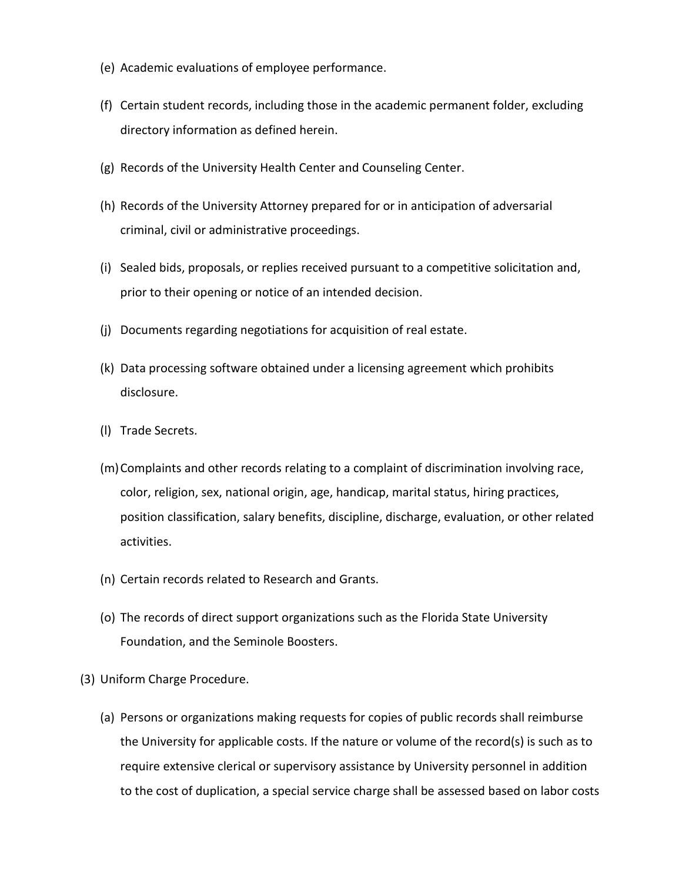- (e) Academic evaluations of employee performance.
- (f) Certain student records, including those in the academic permanent folder, excluding directory information as defined herein.
- (g) Records of the University Health Center and Counseling Center.
- (h) Records of the University Attorney prepared for or in anticipation of adversarial criminal, civil or administrative proceedings.
- (i) Sealed bids, proposals, or replies received pursuant to a competitive solicitation and, prior to their opening or notice of an intended decision.
- (j) Documents regarding negotiations for acquisition of real estate.
- (k) Data processing software obtained under a licensing agreement which prohibits disclosure.
- (l) Trade Secrets.
- (m)Complaints and other records relating to a complaint of discrimination involving race, color, religion, sex, national origin, age, handicap, marital status, hiring practices, position classification, salary benefits, discipline, discharge, evaluation, or other related activities.
- (n) Certain records related to Research and Grants.
- (o) The records of direct support organizations such as the Florida State University Foundation, and the Seminole Boosters.
- (3) Uniform Charge Procedure.
	- (a) Persons or organizations making requests for copies of public records shall reimburse the University for applicable costs. If the nature or volume of the record(s) is such as to require extensive clerical or supervisory assistance by University personnel in addition to the cost of duplication, a special service charge shall be assessed based on labor costs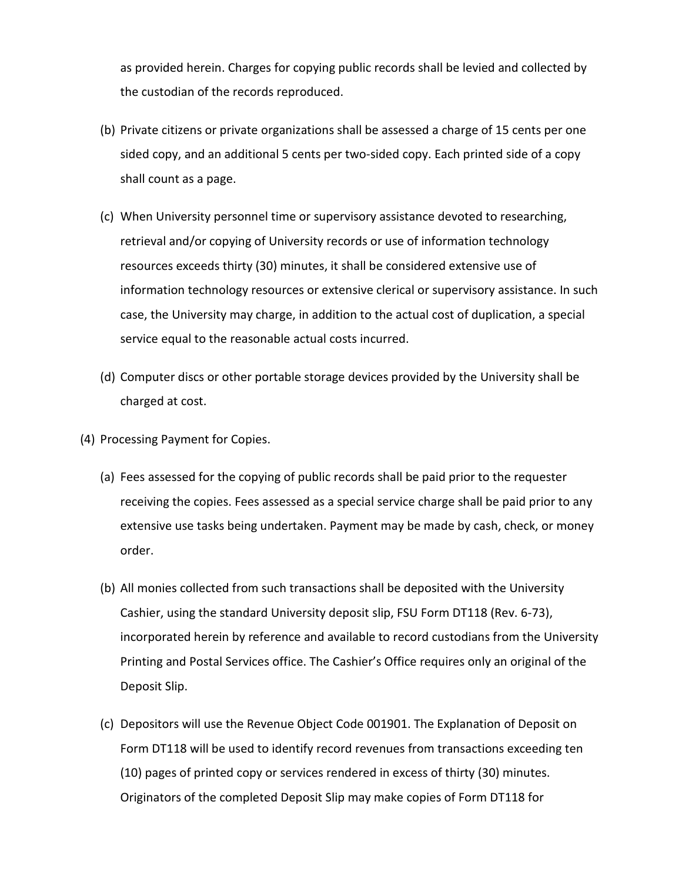as provided herein. Charges for copying public records shall be levied and collected by the custodian of the records reproduced.

- (b) Private citizens or private organizations shall be assessed a charge of 15 cents per one sided copy, and an additional 5 cents per two-sided copy. Each printed side of a copy shall count as a page.
- (c) When University personnel time or supervisory assistance devoted to researching, retrieval and/or copying of University records or use of information technology resources exceeds thirty (30) minutes, it shall be considered extensive use of information technology resources or extensive clerical or supervisory assistance. In such case, the University may charge, in addition to the actual cost of duplication, a special service equal to the reasonable actual costs incurred.
- (d) Computer discs or other portable storage devices provided by the University shall be charged at cost.
- (4) Processing Payment for Copies.
	- (a) Fees assessed for the copying of public records shall be paid prior to the requester receiving the copies. Fees assessed as a special service charge shall be paid prior to any extensive use tasks being undertaken. Payment may be made by cash, check, or money order.
	- (b) All monies collected from such transactions shall be deposited with the University Cashier, using the standard University deposit slip, FSU Form DT118 (Rev. 6-73), incorporated herein by reference and available to record custodians from the University Printing and Postal Services office. The Cashier's Office requires only an original of the Deposit Slip.
	- (c) Depositors will use the Revenue Object Code 001901. The Explanation of Deposit on Form DT118 will be used to identify record revenues from transactions exceeding ten (10) pages of printed copy or services rendered in excess of thirty (30) minutes. Originators of the completed Deposit Slip may make copies of Form DT118 for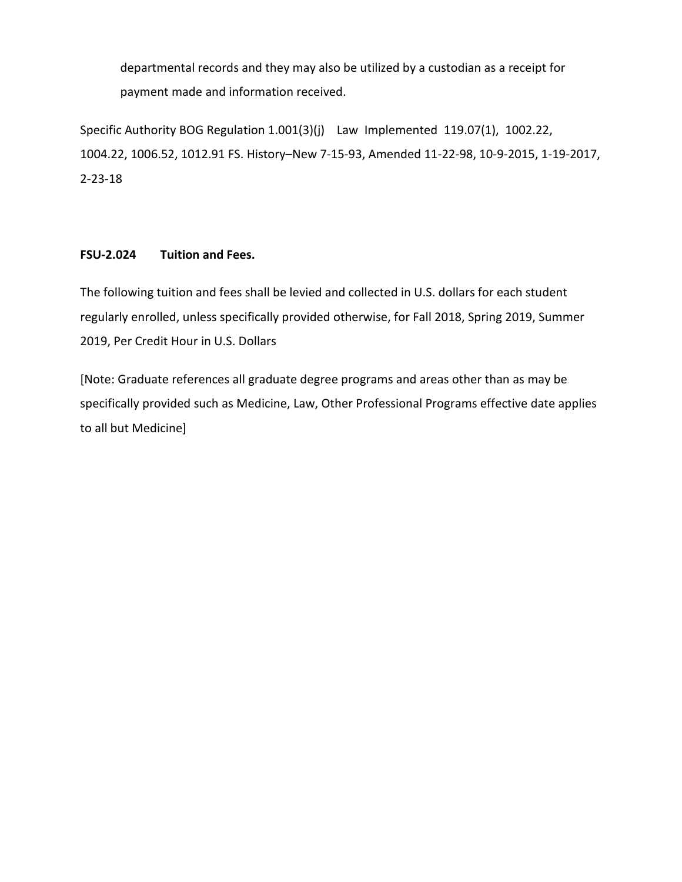departmental records and they may also be utilized by a custodian as a receipt for payment made and information received.

Specific Authority BOG Regulation 1.001(3)(j) Law Implemented 119.07(1), 1002.22, 1004.22, 1006.52, 1012.91 FS. History–New 7-15-93, Amended 11-22-98, 10-9-2015, 1-19-2017, 2-23-18

# **FSU-2.024 Tuition and Fees.**

The following tuition and fees shall be levied and collected in U.S. dollars for each student regularly enrolled, unless specifically provided otherwise, for Fall 2018, Spring 2019, Summer 2019, Per Credit Hour in U.S. Dollars

[Note: Graduate references all graduate degree programs and areas other than as may be specifically provided such as Medicine, Law, Other Professional Programs effective date applies to all but Medicine]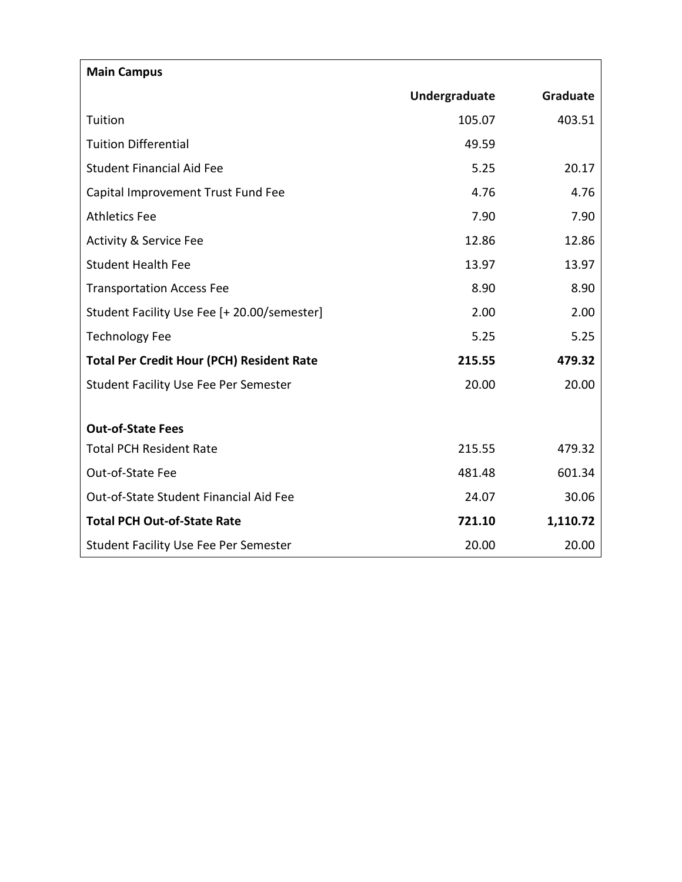| <b>Main Campus</b>                               |               |          |
|--------------------------------------------------|---------------|----------|
|                                                  | Undergraduate | Graduate |
| Tuition                                          | 105.07        | 403.51   |
| <b>Tuition Differential</b>                      | 49.59         |          |
| <b>Student Financial Aid Fee</b>                 | 5.25          | 20.17    |
| Capital Improvement Trust Fund Fee               | 4.76          | 4.76     |
| <b>Athletics Fee</b>                             | 7.90          | 7.90     |
| <b>Activity &amp; Service Fee</b>                | 12.86         | 12.86    |
| <b>Student Health Fee</b>                        | 13.97         | 13.97    |
| <b>Transportation Access Fee</b>                 | 8.90          | 8.90     |
| Student Facility Use Fee [+ 20.00/semester]      | 2.00          | 2.00     |
| <b>Technology Fee</b>                            | 5.25          | 5.25     |
| <b>Total Per Credit Hour (PCH) Resident Rate</b> | 215.55        | 479.32   |
| <b>Student Facility Use Fee Per Semester</b>     | 20.00         | 20.00    |
|                                                  |               |          |
| <b>Out-of-State Fees</b>                         |               |          |
| <b>Total PCH Resident Rate</b>                   | 215.55        | 479.32   |
| Out-of-State Fee                                 | 481.48        | 601.34   |
| Out-of-State Student Financial Aid Fee           | 24.07         | 30.06    |
| <b>Total PCH Out-of-State Rate</b>               | 721.10        | 1,110.72 |
| <b>Student Facility Use Fee Per Semester</b>     | 20.00         | 20.00    |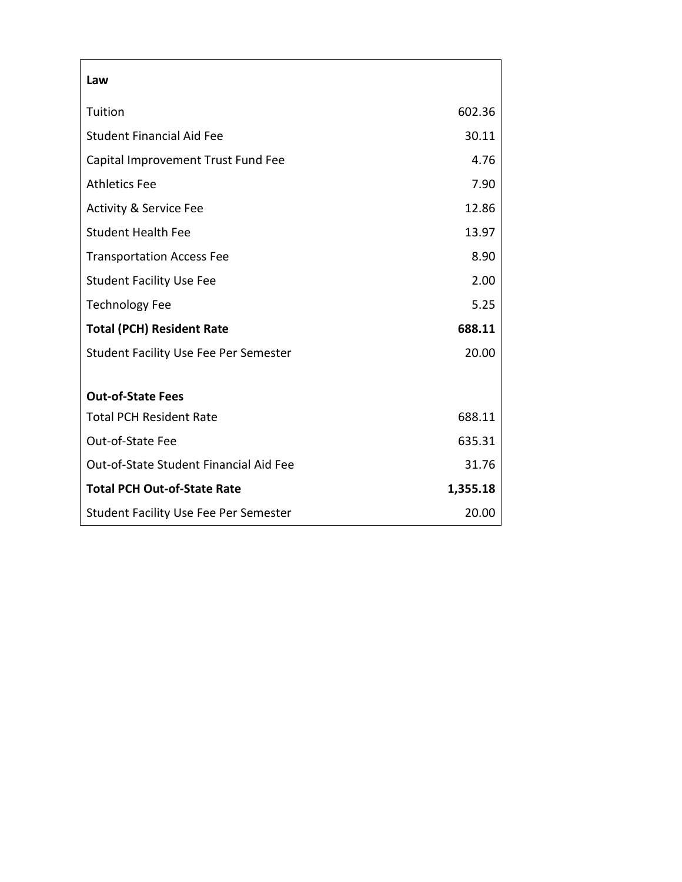| Law                                          |          |
|----------------------------------------------|----------|
| Tuition                                      | 602.36   |
| Student Financial Aid Fee                    | 30.11    |
| Capital Improvement Trust Fund Fee           | 4.76     |
| <b>Athletics Fee</b>                         | 7.90     |
| <b>Activity &amp; Service Fee</b>            | 12.86    |
| <b>Student Health Fee</b>                    | 13.97    |
| <b>Transportation Access Fee</b>             | 8.90     |
| <b>Student Facility Use Fee</b>              | 2.00     |
| <b>Technology Fee</b>                        | 5.25     |
| <b>Total (PCH) Resident Rate</b>             | 688.11   |
| <b>Student Facility Use Fee Per Semester</b> | 20.00    |
|                                              |          |
| <b>Out-of-State Fees</b>                     |          |
| <b>Total PCH Resident Rate</b>               | 688.11   |
| Out-of-State Fee                             | 635.31   |
| Out-of-State Student Financial Aid Fee       | 31.76    |
| <b>Total PCH Out-of-State Rate</b>           | 1,355.18 |
| <b>Student Facility Use Fee Per Semester</b> | 20.00    |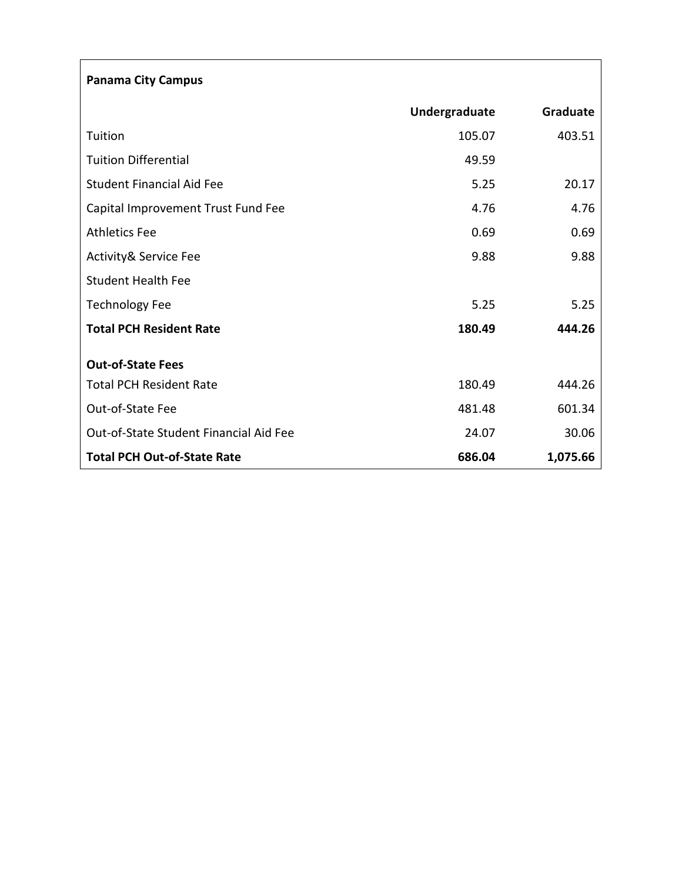| <b>Panama City Campus</b>              |               |          |
|----------------------------------------|---------------|----------|
|                                        | Undergraduate | Graduate |
| Tuition                                | 105.07        | 403.51   |
| <b>Tuition Differential</b>            | 49.59         |          |
| <b>Student Financial Aid Fee</b>       | 5.25          | 20.17    |
| Capital Improvement Trust Fund Fee     | 4.76          | 4.76     |
| <b>Athletics Fee</b>                   | 0.69          | 0.69     |
| <b>Activity&amp; Service Fee</b>       | 9.88          | 9.88     |
| <b>Student Health Fee</b>              |               |          |
| <b>Technology Fee</b>                  | 5.25          | 5.25     |
| <b>Total PCH Resident Rate</b>         | 180.49        | 444.26   |
| <b>Out-of-State Fees</b>               |               |          |
| <b>Total PCH Resident Rate</b>         | 180.49        | 444.26   |
| Out-of-State Fee                       | 481.48        | 601.34   |
| Out-of-State Student Financial Aid Fee | 24.07         | 30.06    |
| <b>Total PCH Out-of-State Rate</b>     | 686.04        | 1,075.66 |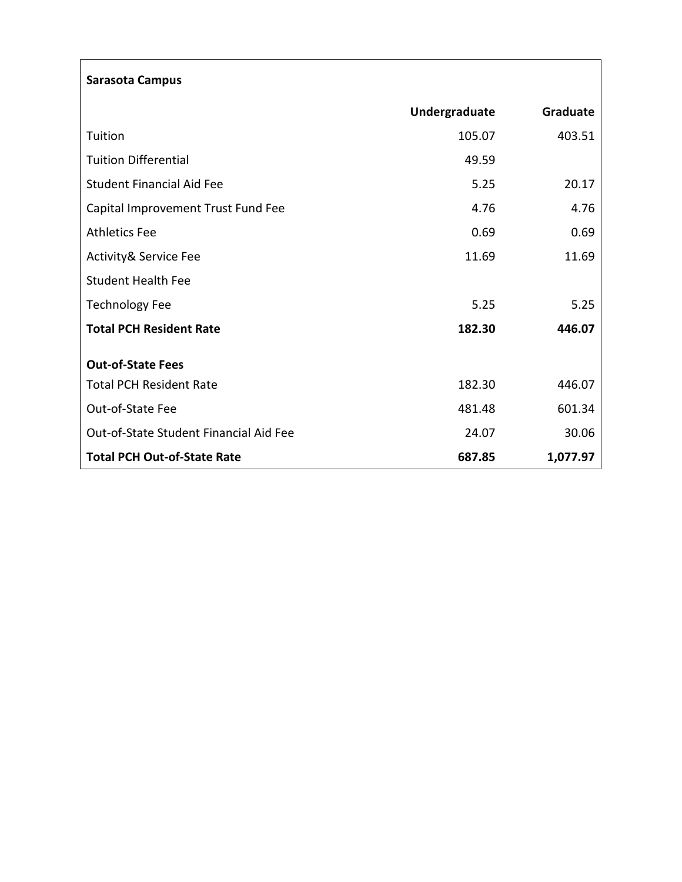| <b>Sarasota Campus</b>                 |               |          |  |
|----------------------------------------|---------------|----------|--|
|                                        | Undergraduate | Graduate |  |
| Tuition                                | 105.07        | 403.51   |  |
| <b>Tuition Differential</b>            | 49.59         |          |  |
| <b>Student Financial Aid Fee</b>       | 5.25          | 20.17    |  |
| Capital Improvement Trust Fund Fee     | 4.76          | 4.76     |  |
| <b>Athletics Fee</b>                   | 0.69          | 0.69     |  |
| <b>Activity&amp; Service Fee</b>       | 11.69         | 11.69    |  |
| <b>Student Health Fee</b>              |               |          |  |
| <b>Technology Fee</b>                  | 5.25          | 5.25     |  |
| <b>Total PCH Resident Rate</b>         | 182.30        | 446.07   |  |
| <b>Out-of-State Fees</b>               |               |          |  |
| <b>Total PCH Resident Rate</b>         | 182.30        | 446.07   |  |
| Out-of-State Fee                       | 481.48        | 601.34   |  |
| Out-of-State Student Financial Aid Fee | 24.07         | 30.06    |  |
| <b>Total PCH Out-of-State Rate</b>     | 687.85        | 1,077.97 |  |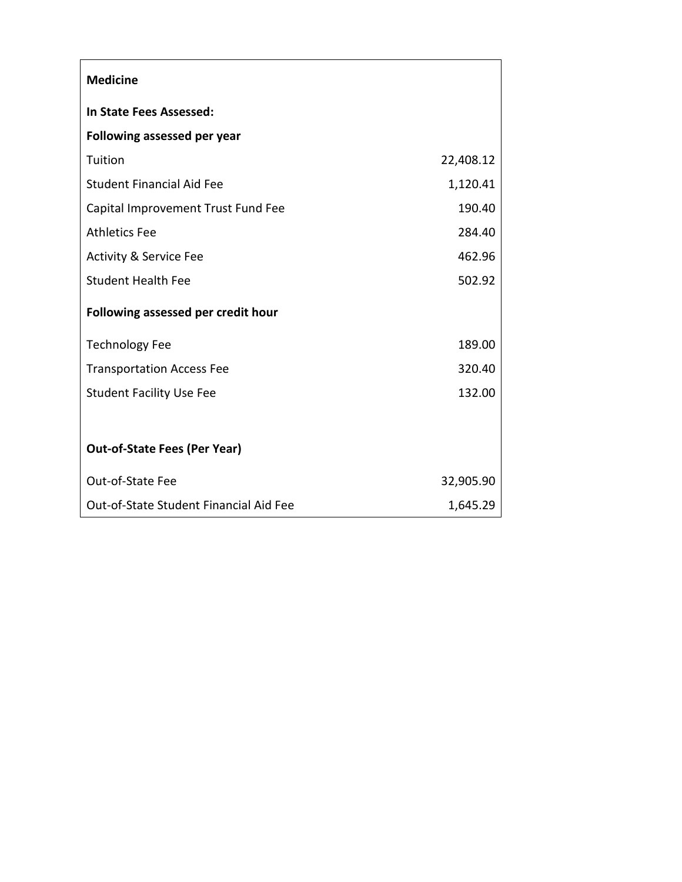| <b>Medicine</b>                        |           |
|----------------------------------------|-----------|
| In State Fees Assessed:                |           |
| Following assessed per year            |           |
| Tuition                                | 22,408.12 |
| Student Financial Aid Fee              | 1,120.41  |
| Capital Improvement Trust Fund Fee     | 190.40    |
| <b>Athletics Fee</b>                   | 284.40    |
| <b>Activity &amp; Service Fee</b>      | 462.96    |
| <b>Student Health Fee</b>              | 502.92    |
| Following assessed per credit hour     |           |
| <b>Technology Fee</b>                  | 189.00    |
| <b>Transportation Access Fee</b>       | 320.40    |
| <b>Student Facility Use Fee</b>        | 132.00    |
|                                        |           |
| <b>Out-of-State Fees (Per Year)</b>    |           |
| Out-of-State Fee                       | 32,905.90 |
| Out-of-State Student Financial Aid Fee | 1,645.29  |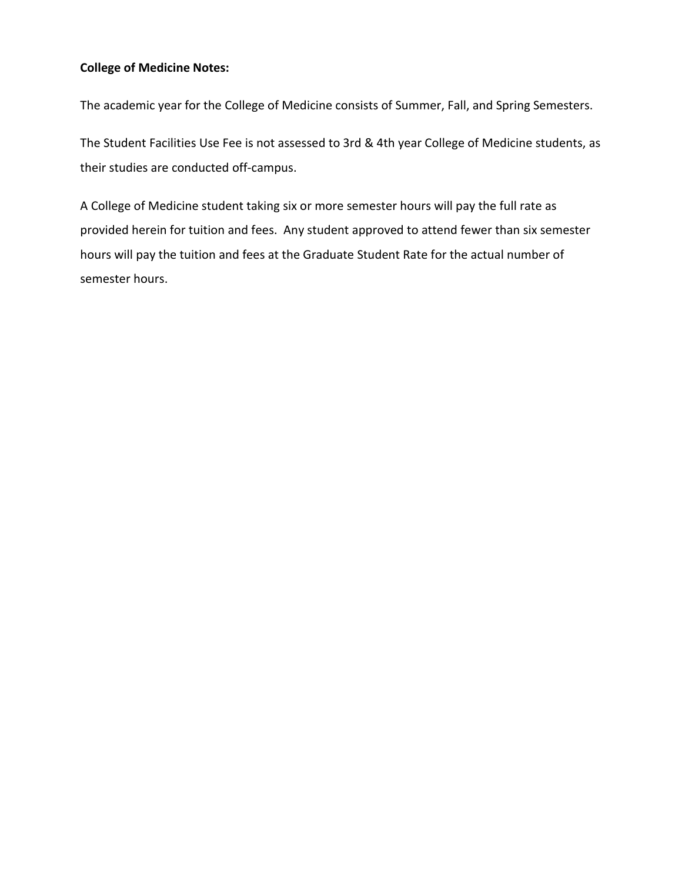# **College of Medicine Notes:**

The academic year for the College of Medicine consists of Summer, Fall, and Spring Semesters.

The Student Facilities Use Fee is not assessed to 3rd & 4th year College of Medicine students, as their studies are conducted off-campus.

A College of Medicine student taking six or more semester hours will pay the full rate as provided herein for tuition and fees. Any student approved to attend fewer than six semester hours will pay the tuition and fees at the Graduate Student Rate for the actual number of semester hours.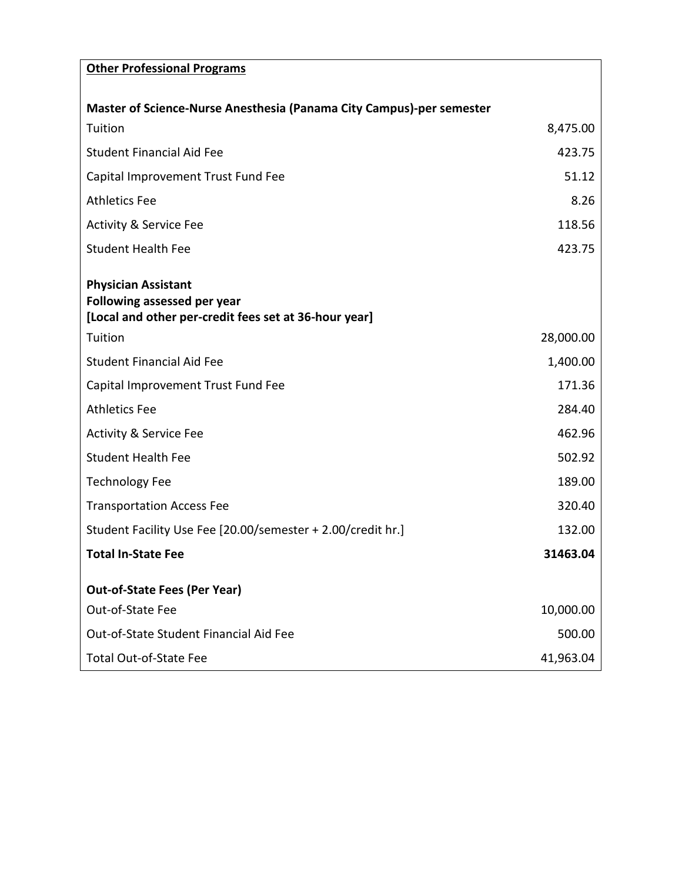| <b>Other Professional Programs</b>                                                                                 |           |
|--------------------------------------------------------------------------------------------------------------------|-----------|
|                                                                                                                    |           |
| <b>Master of Science-Nurse Anesthesia (Panama City Campus)-per semester</b>                                        |           |
| Tuition                                                                                                            | 8,475.00  |
| <b>Student Financial Aid Fee</b>                                                                                   | 423.75    |
| Capital Improvement Trust Fund Fee                                                                                 | 51.12     |
| <b>Athletics Fee</b>                                                                                               | 8.26      |
| <b>Activity &amp; Service Fee</b>                                                                                  | 118.56    |
| <b>Student Health Fee</b>                                                                                          | 423.75    |
| <b>Physician Assistant</b><br>Following assessed per year<br>[Local and other per-credit fees set at 36-hour year] |           |
| Tuition                                                                                                            | 28,000.00 |
| <b>Student Financial Aid Fee</b>                                                                                   | 1,400.00  |
| Capital Improvement Trust Fund Fee                                                                                 | 171.36    |
| <b>Athletics Fee</b>                                                                                               | 284.40    |
| <b>Activity &amp; Service Fee</b>                                                                                  | 462.96    |
| <b>Student Health Fee</b>                                                                                          | 502.92    |
| <b>Technology Fee</b>                                                                                              | 189.00    |
| <b>Transportation Access Fee</b>                                                                                   | 320.40    |
| Student Facility Use Fee [20.00/semester + 2.00/credit hr.]                                                        | 132.00    |
| <b>Total In-State Fee</b>                                                                                          | 31463.04  |
| <b>Out-of-State Fees (Per Year)</b>                                                                                |           |
| Out-of-State Fee                                                                                                   | 10,000.00 |
| Out-of-State Student Financial Aid Fee                                                                             | 500.00    |
| <b>Total Out-of-State Fee</b>                                                                                      | 41,963.04 |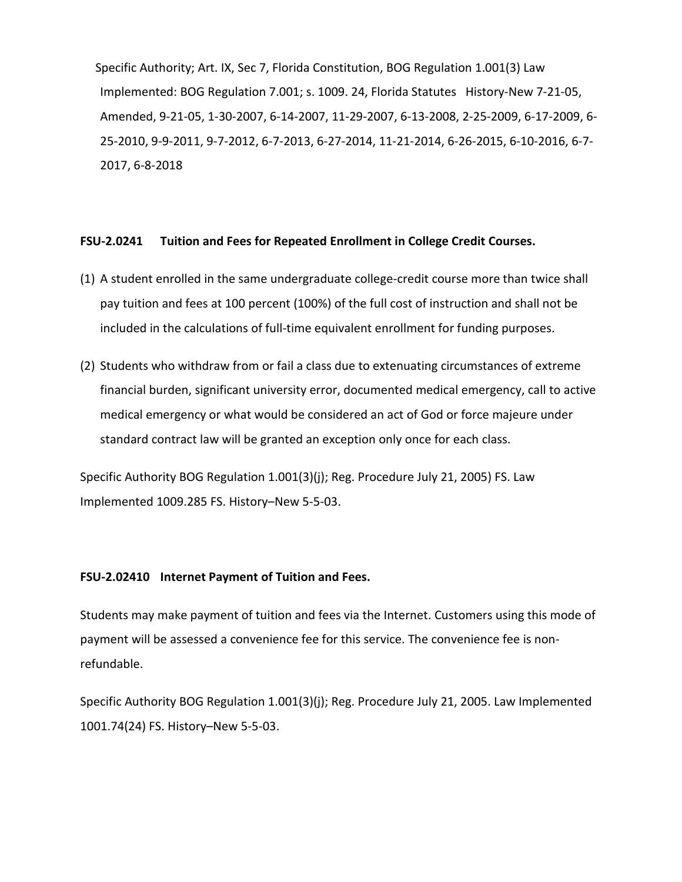Specific Authority; Art. IX, Sec 7, Florida Constitution, BOG Regulation 1.001(3) Law Implemented: BOG Regulation 7.001; s. 1009. 24, Florida Statutes History-New 7-21-05, Amended, 9-21-05, 1-30-2007, 6-14-2007, 11-29-2007, 6-13-2008, 2-25-2009, 6-17-2009, 6- 25-2010, 9-9-2011, 9-7-2012, 6-7-2013, 6-27-2014, 11-21-2014, 6-26-2015, 6-10-2016, 6-7- 2017, 6-8-2018

## **FSU-2.0241 Tuition and Fees for Repeated Enrollment in College Credit Courses.**

- (1) A student enrolled in the same undergraduate college-credit course more than twice shall pay tuition and fees at 100 percent (100%) of the full cost of instruction and shall not be included in the calculations of full-time equivalent enrollment for funding purposes.
- (2) Students who withdraw from or fail a class due to extenuating circumstances of extreme financial burden, significant university error, documented medical emergency, call to active medical emergency or what would be considered an act of God or force majeure under standard contract law will be granted an exception only once for each class.

Specific Authority BOG Regulation 1.001(3)(j); Reg. Procedure July 21, 2005) FS. Law Implemented 1009.285 FS. History–New 5-5-03.

### **FSU-2.02410 Internet Payment of Tuition and Fees.**

Students may make payment of tuition and fees via the Internet. Customers using this mode of payment will be assessed a convenience fee for this service. The convenience fee is nonrefundable.

Specific Authority BOG Regulation 1.001(3)(j); Reg. Procedure July 21, 2005. Law Implemented 1001.74(24) FS. History–New 5-5-03.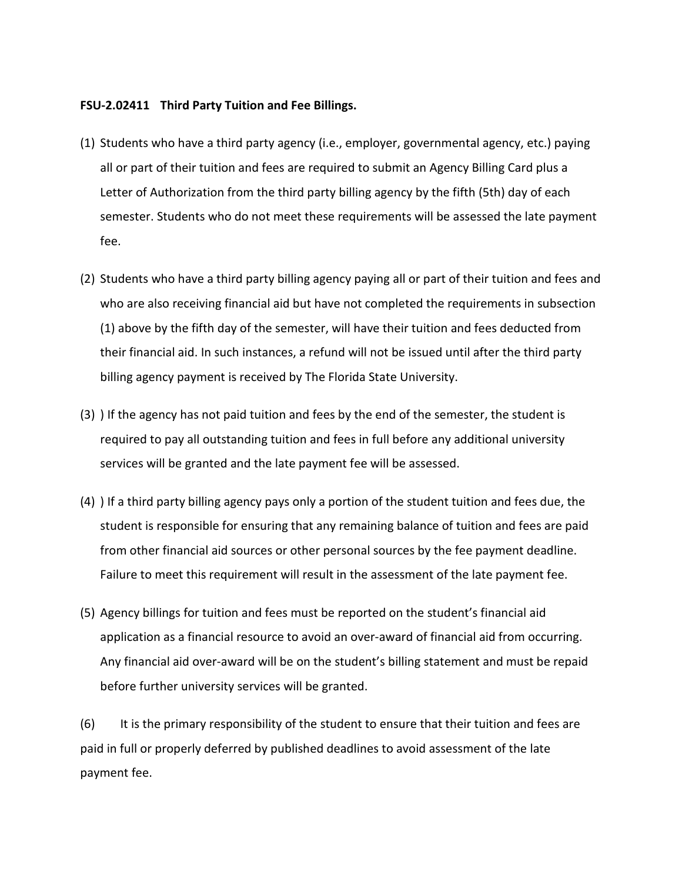#### **FSU-2.02411 Third Party Tuition and Fee Billings.**

- (1) Students who have a third party agency (i.e., employer, governmental agency, etc.) paying all or part of their tuition and fees are required to submit an Agency Billing Card plus a Letter of Authorization from the third party billing agency by the fifth (5th) day of each semester. Students who do not meet these requirements will be assessed the late payment fee.
- (2) Students who have a third party billing agency paying all or part of their tuition and fees and who are also receiving financial aid but have not completed the requirements in subsection (1) above by the fifth day of the semester, will have their tuition and fees deducted from their financial aid. In such instances, a refund will not be issued until after the third party billing agency payment is received by The Florida State University.
- (3) ) If the agency has not paid tuition and fees by the end of the semester, the student is required to pay all outstanding tuition and fees in full before any additional university services will be granted and the late payment fee will be assessed.
- (4) ) If a third party billing agency pays only a portion of the student tuition and fees due, the student is responsible for ensuring that any remaining balance of tuition and fees are paid from other financial aid sources or other personal sources by the fee payment deadline. Failure to meet this requirement will result in the assessment of the late payment fee.
- (5) Agency billings for tuition and fees must be reported on the student's financial aid application as a financial resource to avoid an over-award of financial aid from occurring. Any financial aid over-award will be on the student's billing statement and must be repaid before further university services will be granted.

(6) It is the primary responsibility of the student to ensure that their tuition and fees are paid in full or properly deferred by published deadlines to avoid assessment of the late payment fee.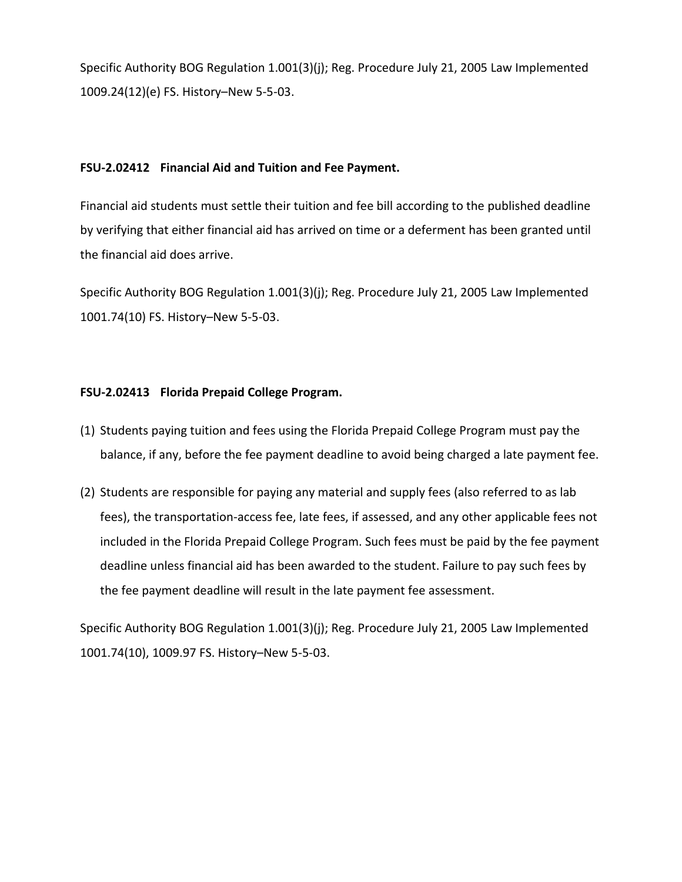Specific Authority BOG Regulation 1.001(3)(j); Reg. Procedure July 21, 2005 Law Implemented 1009.24(12)(e) FS. History–New 5-5-03.

# **FSU-2.02412 Financial Aid and Tuition and Fee Payment.**

Financial aid students must settle their tuition and fee bill according to the published deadline by verifying that either financial aid has arrived on time or a deferment has been granted until the financial aid does arrive.

Specific Authority BOG Regulation 1.001(3)(j); Reg. Procedure July 21, 2005 Law Implemented 1001.74(10) FS. History–New 5-5-03.

# **FSU-2.02413 Florida Prepaid College Program.**

- (1) Students paying tuition and fees using the Florida Prepaid College Program must pay the balance, if any, before the fee payment deadline to avoid being charged a late payment fee.
- (2) Students are responsible for paying any material and supply fees (also referred to as lab fees), the transportation-access fee, late fees, if assessed, and any other applicable fees not included in the Florida Prepaid College Program. Such fees must be paid by the fee payment deadline unless financial aid has been awarded to the student. Failure to pay such fees by the fee payment deadline will result in the late payment fee assessment.

Specific Authority BOG Regulation 1.001(3)(j); Reg. Procedure July 21, 2005 Law Implemented 1001.74(10), 1009.97 FS. History–New 5-5-03.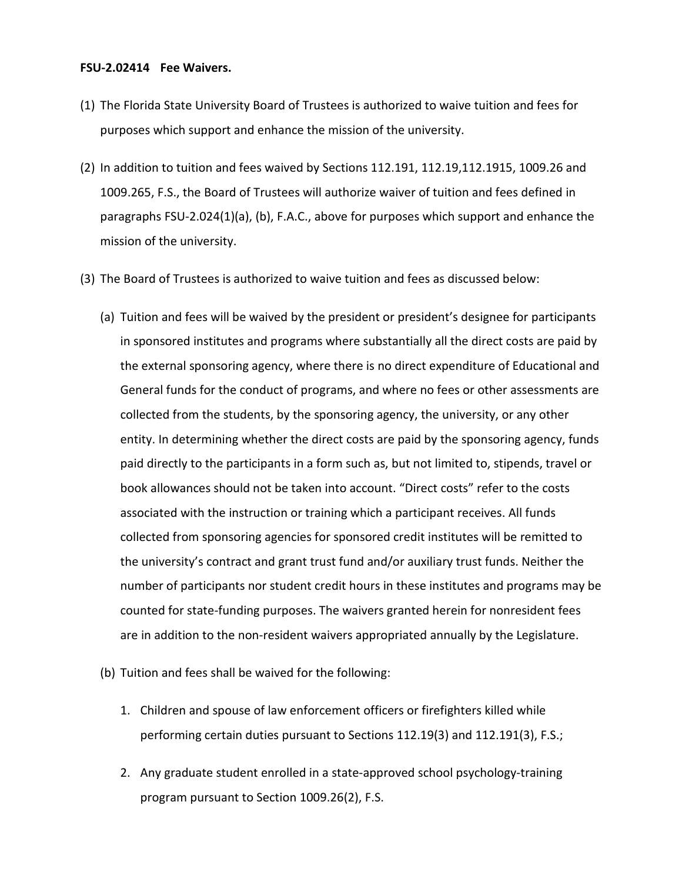#### **FSU-2.02414 Fee Waivers.**

- (1) The Florida State University Board of Trustees is authorized to waive tuition and fees for purposes which support and enhance the mission of the university.
- (2) In addition to tuition and fees waived by Sections 112.191, 112.19,112.1915, 1009.26 and 1009.265, F.S., the Board of Trustees will authorize waiver of tuition and fees defined in paragraphs FSU-2.024(1)(a), (b), F.A.C., above for purposes which support and enhance the mission of the university.
- (3) The Board of Trustees is authorized to waive tuition and fees as discussed below:
	- (a) Tuition and fees will be waived by the president or president's designee for participants in sponsored institutes and programs where substantially all the direct costs are paid by the external sponsoring agency, where there is no direct expenditure of Educational and General funds for the conduct of programs, and where no fees or other assessments are collected from the students, by the sponsoring agency, the university, or any other entity. In determining whether the direct costs are paid by the sponsoring agency, funds paid directly to the participants in a form such as, but not limited to, stipends, travel or book allowances should not be taken into account. "Direct costs" refer to the costs associated with the instruction or training which a participant receives. All funds collected from sponsoring agencies for sponsored credit institutes will be remitted to the university's contract and grant trust fund and/or auxiliary trust funds. Neither the number of participants nor student credit hours in these institutes and programs may be counted for state-funding purposes. The waivers granted herein for nonresident fees are in addition to the non-resident waivers appropriated annually by the Legislature.
	- (b) Tuition and fees shall be waived for the following:
		- 1. Children and spouse of law enforcement officers or firefighters killed while performing certain duties pursuant to Sections 112.19(3) and 112.191(3), F.S.;
		- 2. Any graduate student enrolled in a state-approved school psychology-training program pursuant to Section 1009.26(2), F.S.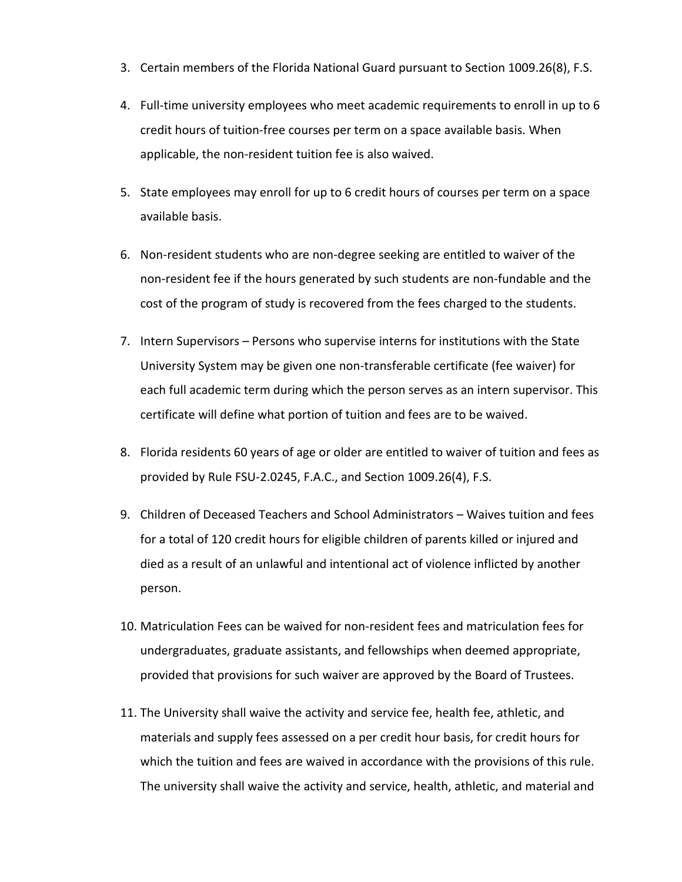- 3. Certain members of the Florida National Guard pursuant to Section 1009.26(8), F.S.
- 4. Full-time university employees who meet academic requirements to enroll in up to 6 credit hours of tuition-free courses per term on a space available basis. When applicable, the non-resident tuition fee is also waived.
- 5. State employees may enroll for up to 6 credit hours of courses per term on a space available basis.
- 6. Non-resident students who are non-degree seeking are entitled to waiver of the non-resident fee if the hours generated by such students are non-fundable and the cost of the program of study is recovered from the fees charged to the students.
- 7. Intern Supervisors Persons who supervise interns for institutions with the State University System may be given one non-transferable certificate (fee waiver) for each full academic term during which the person serves as an intern supervisor. This certificate will define what portion of tuition and fees are to be waived.
- 8. Florida residents 60 years of age or older are entitled to waiver of tuition and fees as provided by Rule FSU-2.0245, F.A.C., and Section 1009.26(4), F.S.
- 9. Children of Deceased Teachers and School Administrators Waives tuition and fees for a total of 120 credit hours for eligible children of parents killed or injured and died as a result of an unlawful and intentional act of violence inflicted by another person.
- 10. Matriculation Fees can be waived for non-resident fees and matriculation fees for undergraduates, graduate assistants, and fellowships when deemed appropriate, provided that provisions for such waiver are approved by the Board of Trustees.
- 11. The University shall waive the activity and service fee, health fee, athletic, and materials and supply fees assessed on a per credit hour basis, for credit hours for which the tuition and fees are waived in accordance with the provisions of this rule. The university shall waive the activity and service, health, athletic, and material and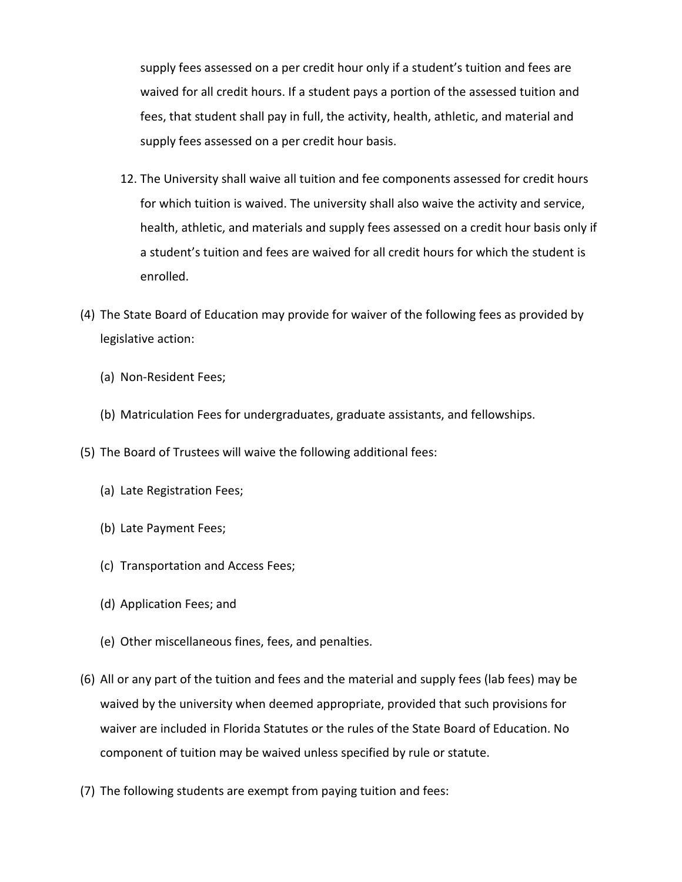supply fees assessed on a per credit hour only if a student's tuition and fees are waived for all credit hours. If a student pays a portion of the assessed tuition and fees, that student shall pay in full, the activity, health, athletic, and material and supply fees assessed on a per credit hour basis.

- 12. The University shall waive all tuition and fee components assessed for credit hours for which tuition is waived. The university shall also waive the activity and service, health, athletic, and materials and supply fees assessed on a credit hour basis only if a student's tuition and fees are waived for all credit hours for which the student is enrolled.
- (4) The State Board of Education may provide for waiver of the following fees as provided by legislative action:
	- (a) Non-Resident Fees;
	- (b) Matriculation Fees for undergraduates, graduate assistants, and fellowships.
- (5) The Board of Trustees will waive the following additional fees:
	- (a) Late Registration Fees;
	- (b) Late Payment Fees;
	- (c) Transportation and Access Fees;
	- (d) Application Fees; and
	- (e) Other miscellaneous fines, fees, and penalties.
- (6) All or any part of the tuition and fees and the material and supply fees (lab fees) may be waived by the university when deemed appropriate, provided that such provisions for waiver are included in Florida Statutes or the rules of the State Board of Education. No component of tuition may be waived unless specified by rule or statute.
- (7) The following students are exempt from paying tuition and fees: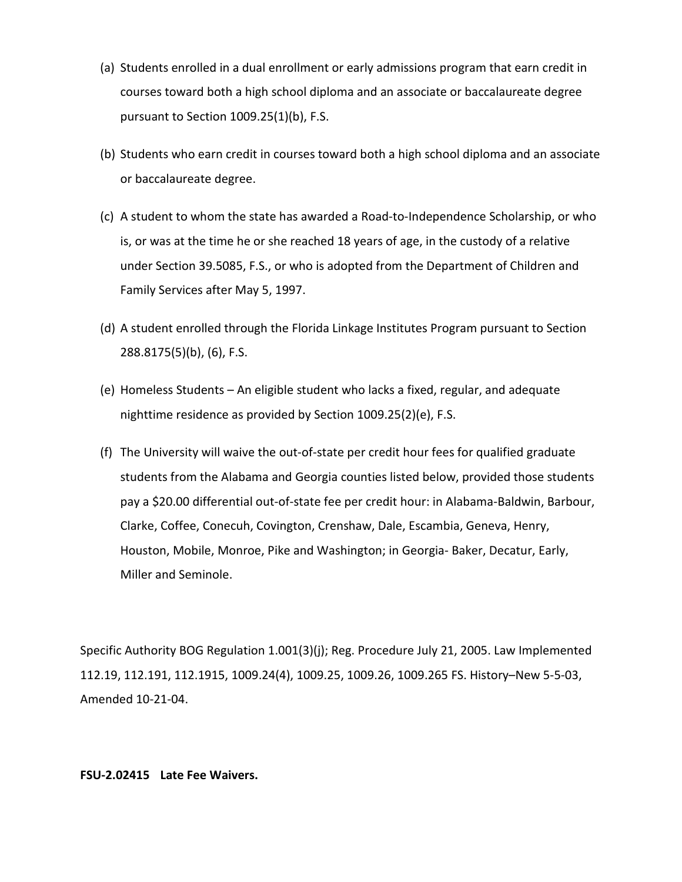- (a) Students enrolled in a dual enrollment or early admissions program that earn credit in courses toward both a high school diploma and an associate or baccalaureate degree pursuant to Section 1009.25(1)(b), F.S.
- (b) Students who earn credit in courses toward both a high school diploma and an associate or baccalaureate degree.
- (c) A student to whom the state has awarded a Road-to-Independence Scholarship, or who is, or was at the time he or she reached 18 years of age, in the custody of a relative under Section 39.5085, F.S., or who is adopted from the Department of Children and Family Services after May 5, 1997.
- (d) A student enrolled through the Florida Linkage Institutes Program pursuant to Section 288.8175(5)(b), (6), F.S.
- (e) Homeless Students An eligible student who lacks a fixed, regular, and adequate nighttime residence as provided by Section 1009.25(2)(e), F.S.
- (f) The University will waive the out-of-state per credit hour fees for qualified graduate students from the Alabama and Georgia counties listed below, provided those students pay a \$20.00 differential out-of-state fee per credit hour: in Alabama-Baldwin, Barbour, Clarke, Coffee, Conecuh, Covington, Crenshaw, Dale, Escambia, Geneva, Henry, Houston, Mobile, Monroe, Pike and Washington; in Georgia- Baker, Decatur, Early, Miller and Seminole.

Specific Authority BOG Regulation 1.001(3)(j); Reg. Procedure July 21, 2005. Law Implemented 112.19, 112.191, 112.1915, 1009.24(4), 1009.25, 1009.26, 1009.265 FS. History–New 5-5-03, Amended 10-21-04.

#### **FSU-2.02415 Late Fee Waivers.**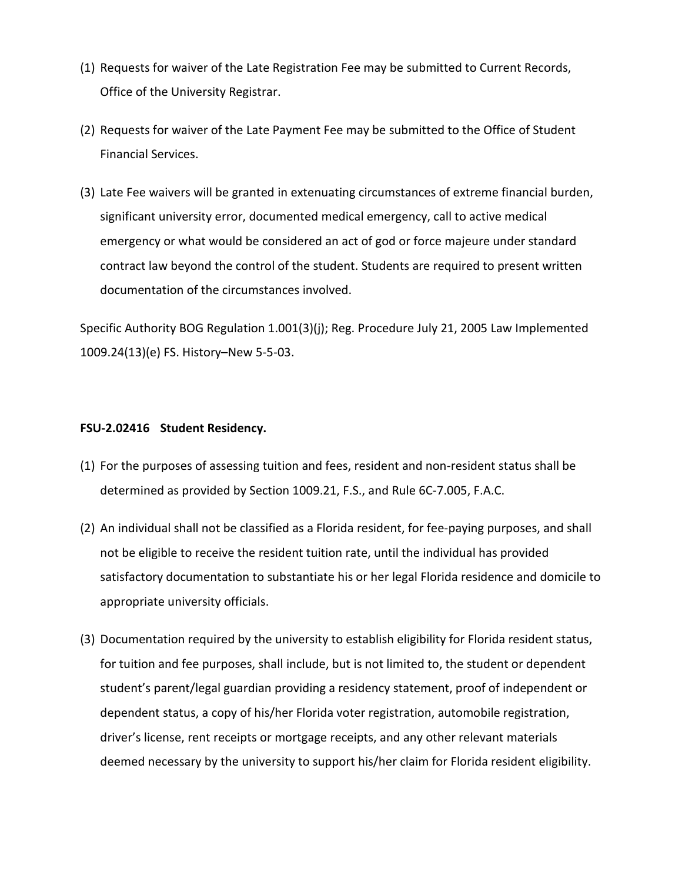- (1) Requests for waiver of the Late Registration Fee may be submitted to Current Records, Office of the University Registrar.
- (2) Requests for waiver of the Late Payment Fee may be submitted to the Office of Student Financial Services.
- (3) Late Fee waivers will be granted in extenuating circumstances of extreme financial burden, significant university error, documented medical emergency, call to active medical emergency or what would be considered an act of god or force majeure under standard contract law beyond the control of the student. Students are required to present written documentation of the circumstances involved.

Specific Authority BOG Regulation 1.001(3)(j); Reg. Procedure July 21, 2005 Law Implemented 1009.24(13)(e) FS. History–New 5-5-03.

### **FSU-2.02416 Student Residency.**

- (1) For the purposes of assessing tuition and fees, resident and non-resident status shall be determined as provided by Section 1009.21, F.S., and Rule 6C-7.005, F.A.C.
- (2) An individual shall not be classified as a Florida resident, for fee-paying purposes, and shall not be eligible to receive the resident tuition rate, until the individual has provided satisfactory documentation to substantiate his or her legal Florida residence and domicile to appropriate university officials.
- (3) Documentation required by the university to establish eligibility for Florida resident status, for tuition and fee purposes, shall include, but is not limited to, the student or dependent student's parent/legal guardian providing a residency statement, proof of independent or dependent status, a copy of his/her Florida voter registration, automobile registration, driver's license, rent receipts or mortgage receipts, and any other relevant materials deemed necessary by the university to support his/her claim for Florida resident eligibility.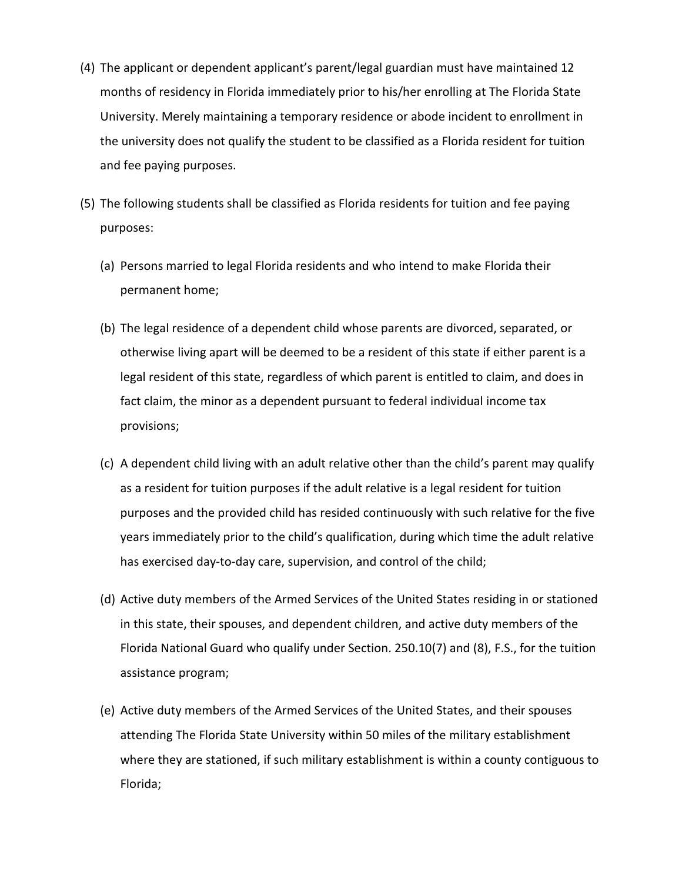- (4) The applicant or dependent applicant's parent/legal guardian must have maintained 12 months of residency in Florida immediately prior to his/her enrolling at The Florida State University. Merely maintaining a temporary residence or abode incident to enrollment in the university does not qualify the student to be classified as a Florida resident for tuition and fee paying purposes.
- (5) The following students shall be classified as Florida residents for tuition and fee paying purposes:
	- (a) Persons married to legal Florida residents and who intend to make Florida their permanent home;
	- (b) The legal residence of a dependent child whose parents are divorced, separated, or otherwise living apart will be deemed to be a resident of this state if either parent is a legal resident of this state, regardless of which parent is entitled to claim, and does in fact claim, the minor as a dependent pursuant to federal individual income tax provisions;
	- (c) A dependent child living with an adult relative other than the child's parent may qualify as a resident for tuition purposes if the adult relative is a legal resident for tuition purposes and the provided child has resided continuously with such relative for the five years immediately prior to the child's qualification, during which time the adult relative has exercised day-to-day care, supervision, and control of the child;
	- (d) Active duty members of the Armed Services of the United States residing in or stationed in this state, their spouses, and dependent children, and active duty members of the Florida National Guard who qualify under Section. 250.10(7) and (8), F.S., for the tuition assistance program;
	- (e) Active duty members of the Armed Services of the United States, and their spouses attending The Florida State University within 50 miles of the military establishment where they are stationed, if such military establishment is within a county contiguous to Florida;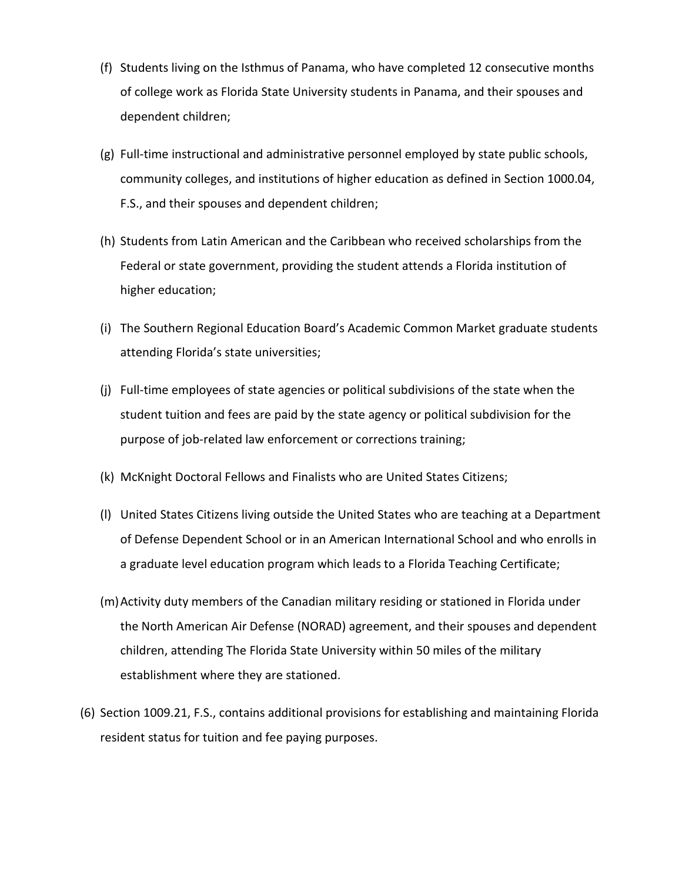- (f) Students living on the Isthmus of Panama, who have completed 12 consecutive months of college work as Florida State University students in Panama, and their spouses and dependent children;
- (g) Full-time instructional and administrative personnel employed by state public schools, community colleges, and institutions of higher education as defined in Section 1000.04, F.S., and their spouses and dependent children;
- (h) Students from Latin American and the Caribbean who received scholarships from the Federal or state government, providing the student attends a Florida institution of higher education;
- (i) The Southern Regional Education Board's Academic Common Market graduate students attending Florida's state universities;
- (j) Full-time employees of state agencies or political subdivisions of the state when the student tuition and fees are paid by the state agency or political subdivision for the purpose of job-related law enforcement or corrections training;
- (k) McKnight Doctoral Fellows and Finalists who are United States Citizens;
- (l) United States Citizens living outside the United States who are teaching at a Department of Defense Dependent School or in an American International School and who enrolls in a graduate level education program which leads to a Florida Teaching Certificate;
- (m)Activity duty members of the Canadian military residing or stationed in Florida under the North American Air Defense (NORAD) agreement, and their spouses and dependent children, attending The Florida State University within 50 miles of the military establishment where they are stationed.
- (6) Section 1009.21, F.S., contains additional provisions for establishing and maintaining Florida resident status for tuition and fee paying purposes.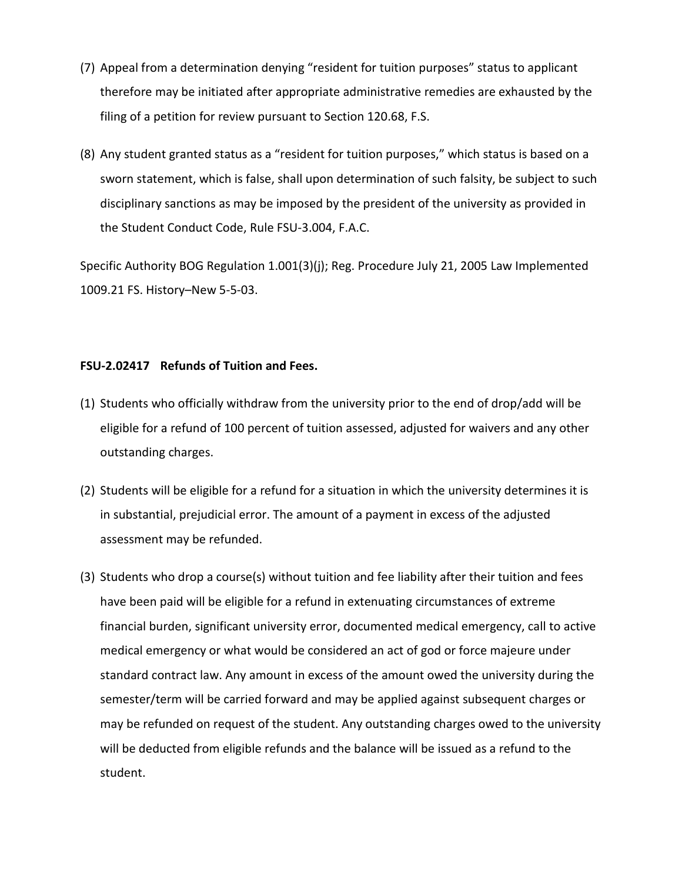- (7) Appeal from a determination denying "resident for tuition purposes" status to applicant therefore may be initiated after appropriate administrative remedies are exhausted by the filing of a petition for review pursuant to Section 120.68, F.S.
- (8) Any student granted status as a "resident for tuition purposes," which status is based on a sworn statement, which is false, shall upon determination of such falsity, be subject to such disciplinary sanctions as may be imposed by the president of the university as provided in the Student Conduct Code, Rule FSU-3.004, F.A.C.

Specific Authority BOG Regulation 1.001(3)(j); Reg. Procedure July 21, 2005 Law Implemented 1009.21 FS. History–New 5-5-03.

## **FSU-2.02417 Refunds of Tuition and Fees.**

- (1) Students who officially withdraw from the university prior to the end of drop/add will be eligible for a refund of 100 percent of tuition assessed, adjusted for waivers and any other outstanding charges.
- (2) Students will be eligible for a refund for a situation in which the university determines it is in substantial, prejudicial error. The amount of a payment in excess of the adjusted assessment may be refunded.
- (3) Students who drop a course(s) without tuition and fee liability after their tuition and fees have been paid will be eligible for a refund in extenuating circumstances of extreme financial burden, significant university error, documented medical emergency, call to active medical emergency or what would be considered an act of god or force majeure under standard contract law. Any amount in excess of the amount owed the university during the semester/term will be carried forward and may be applied against subsequent charges or may be refunded on request of the student. Any outstanding charges owed to the university will be deducted from eligible refunds and the balance will be issued as a refund to the student.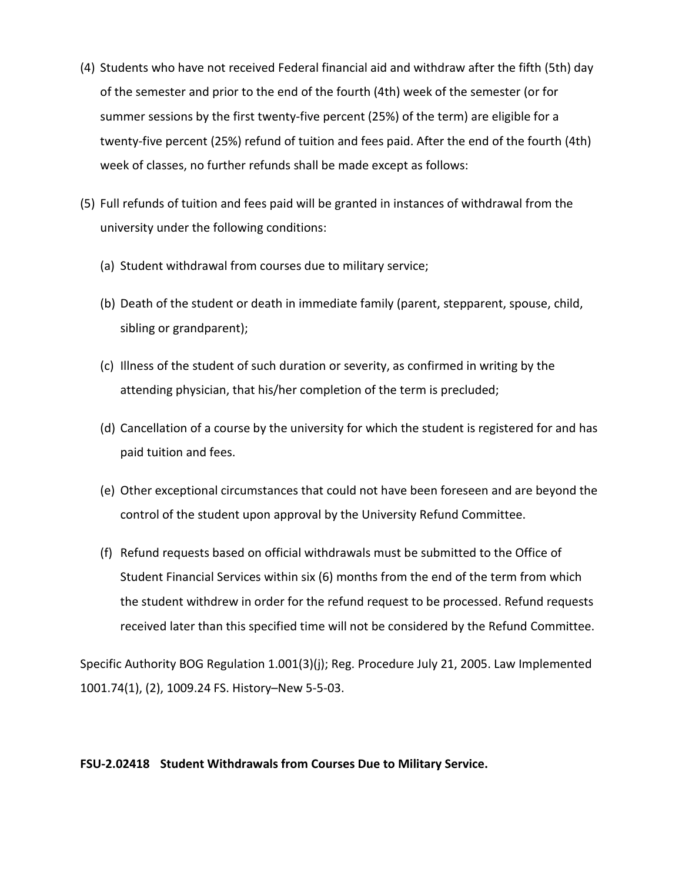- (4) Students who have not received Federal financial aid and withdraw after the fifth (5th) day of the semester and prior to the end of the fourth (4th) week of the semester (or for summer sessions by the first twenty-five percent (25%) of the term) are eligible for a twenty-five percent (25%) refund of tuition and fees paid. After the end of the fourth (4th) week of classes, no further refunds shall be made except as follows:
- (5) Full refunds of tuition and fees paid will be granted in instances of withdrawal from the university under the following conditions:
	- (a) Student withdrawal from courses due to military service;
	- (b) Death of the student or death in immediate family (parent, stepparent, spouse, child, sibling or grandparent);
	- (c) Illness of the student of such duration or severity, as confirmed in writing by the attending physician, that his/her completion of the term is precluded;
	- (d) Cancellation of a course by the university for which the student is registered for and has paid tuition and fees.
	- (e) Other exceptional circumstances that could not have been foreseen and are beyond the control of the student upon approval by the University Refund Committee.
	- (f) Refund requests based on official withdrawals must be submitted to the Office of Student Financial Services within six (6) months from the end of the term from which the student withdrew in order for the refund request to be processed. Refund requests received later than this specified time will not be considered by the Refund Committee.

Specific Authority BOG Regulation 1.001(3)(j); Reg. Procedure July 21, 2005. Law Implemented 1001.74(1), (2), 1009.24 FS. History–New 5-5-03.

## **FSU-2.02418 Student Withdrawals from Courses Due to Military Service.**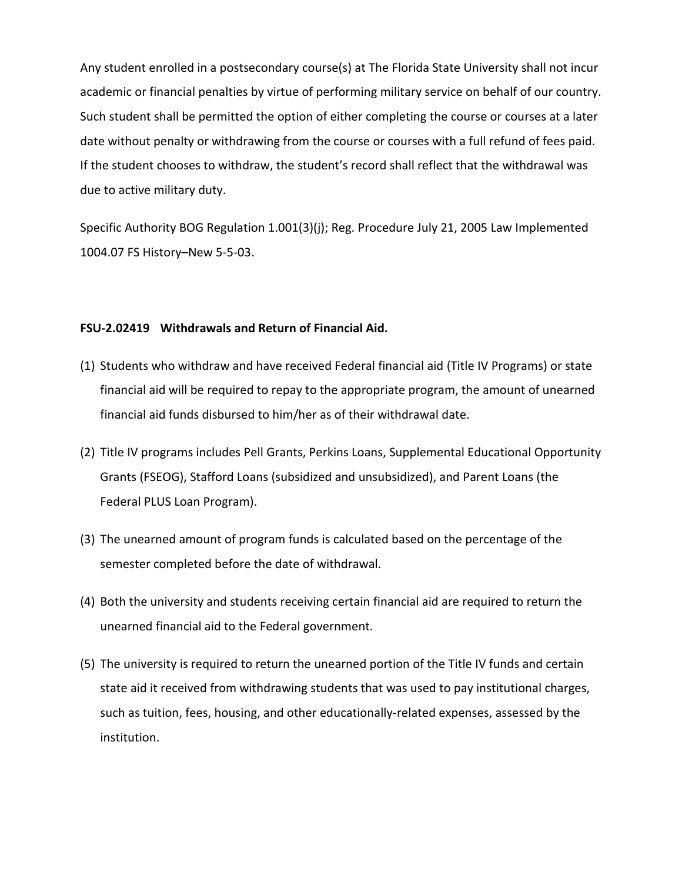Any student enrolled in a postsecondary course(s) at The Florida State University shall not incur academic or financial penalties by virtue of performing military service on behalf of our country. Such student shall be permitted the option of either completing the course or courses at a later date without penalty or withdrawing from the course or courses with a full refund of fees paid. If the student chooses to withdraw, the student's record shall reflect that the withdrawal was due to active military duty.

Specific Authority BOG Regulation 1.001(3)(j); Reg. Procedure July 21, 2005 Law Implemented 1004.07 FS History–New 5-5-03.

### **FSU-2.02419 Withdrawals and Return of Financial Aid.**

- (1) Students who withdraw and have received Federal financial aid (Title IV Programs) or state financial aid will be required to repay to the appropriate program, the amount of unearned financial aid funds disbursed to him/her as of their withdrawal date.
- (2) Title IV programs includes Pell Grants, Perkins Loans, Supplemental Educational Opportunity Grants (FSEOG), Stafford Loans (subsidized and unsubsidized), and Parent Loans (the Federal PLUS Loan Program).
- (3) The unearned amount of program funds is calculated based on the percentage of the semester completed before the date of withdrawal.
- (4) Both the university and students receiving certain financial aid are required to return the unearned financial aid to the Federal government.
- (5) The university is required to return the unearned portion of the Title IV funds and certain state aid it received from withdrawing students that was used to pay institutional charges, such as tuition, fees, housing, and other educationally-related expenses, assessed by the institution.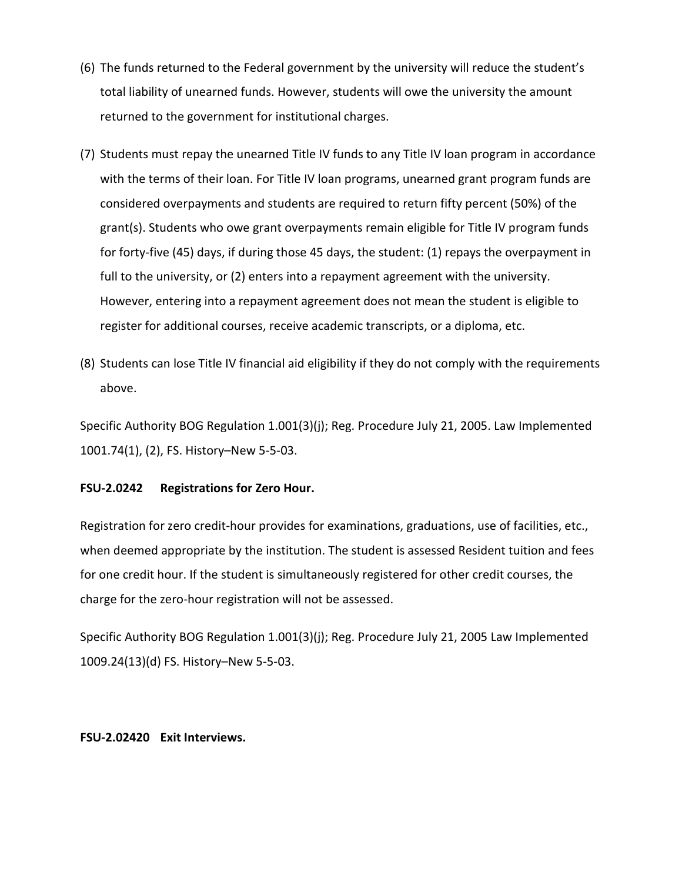- (6) The funds returned to the Federal government by the university will reduce the student's total liability of unearned funds. However, students will owe the university the amount returned to the government for institutional charges.
- (7) Students must repay the unearned Title IV funds to any Title IV loan program in accordance with the terms of their loan. For Title IV loan programs, unearned grant program funds are considered overpayments and students are required to return fifty percent (50%) of the grant(s). Students who owe grant overpayments remain eligible for Title IV program funds for forty-five (45) days, if during those 45 days, the student: (1) repays the overpayment in full to the university, or (2) enters into a repayment agreement with the university. However, entering into a repayment agreement does not mean the student is eligible to register for additional courses, receive academic transcripts, or a diploma, etc.
- (8) Students can lose Title IV financial aid eligibility if they do not comply with the requirements above.

Specific Authority BOG Regulation 1.001(3)(j); Reg. Procedure July 21, 2005. Law Implemented 1001.74(1), (2), FS. History–New 5-5-03.

### **FSU-2.0242 Registrations for Zero Hour.**

Registration for zero credit-hour provides for examinations, graduations, use of facilities, etc., when deemed appropriate by the institution. The student is assessed Resident tuition and fees for one credit hour. If the student is simultaneously registered for other credit courses, the charge for the zero-hour registration will not be assessed.

Specific Authority BOG Regulation 1.001(3)(j); Reg. Procedure July 21, 2005 Law Implemented 1009.24(13)(d) FS. History–New 5-5-03.

### **FSU-2.02420 Exit Interviews.**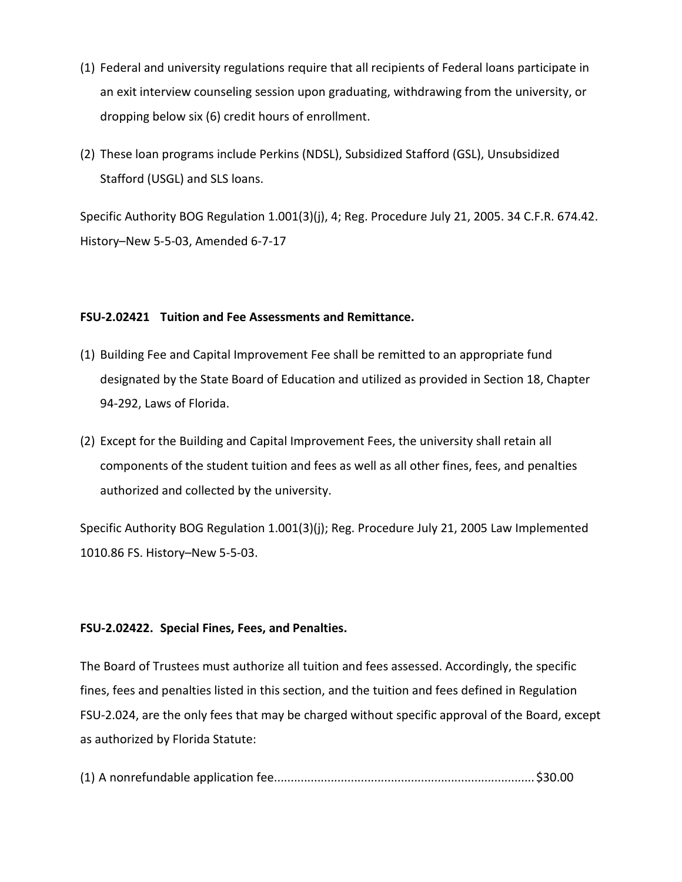- (1) Federal and university regulations require that all recipients of Federal loans participate in an exit interview counseling session upon graduating, withdrawing from the university, or dropping below six (6) credit hours of enrollment.
- (2) These loan programs include Perkins (NDSL), Subsidized Stafford (GSL), Unsubsidized Stafford (USGL) and SLS loans.

Specific Authority BOG Regulation 1.001(3)(j), 4; Reg. Procedure July 21, 2005. 34 C.F.R. 674.42. History–New 5-5-03, Amended 6-7-17

## **FSU-2.02421 Tuition and Fee Assessments and Remittance.**

- (1) Building Fee and Capital Improvement Fee shall be remitted to an appropriate fund designated by the State Board of Education and utilized as provided in Section 18, Chapter 94-292, Laws of Florida.
- (2) Except for the Building and Capital Improvement Fees, the university shall retain all components of the student tuition and fees as well as all other fines, fees, and penalties authorized and collected by the university.

Specific Authority BOG Regulation 1.001(3)(j); Reg. Procedure July 21, 2005 Law Implemented 1010.86 FS. History–New 5-5-03.

# **FSU-2.02422. Special Fines, Fees, and Penalties.**

The Board of Trustees must authorize all tuition and fees assessed. Accordingly, the specific fines, fees and penalties listed in this section, and the tuition and fees defined in Regulation FSU-2.024, are the only fees that may be charged without specific approval of the Board, except as authorized by Florida Statute:

(1) A nonrefundable application fee.............................................................................. \$30.00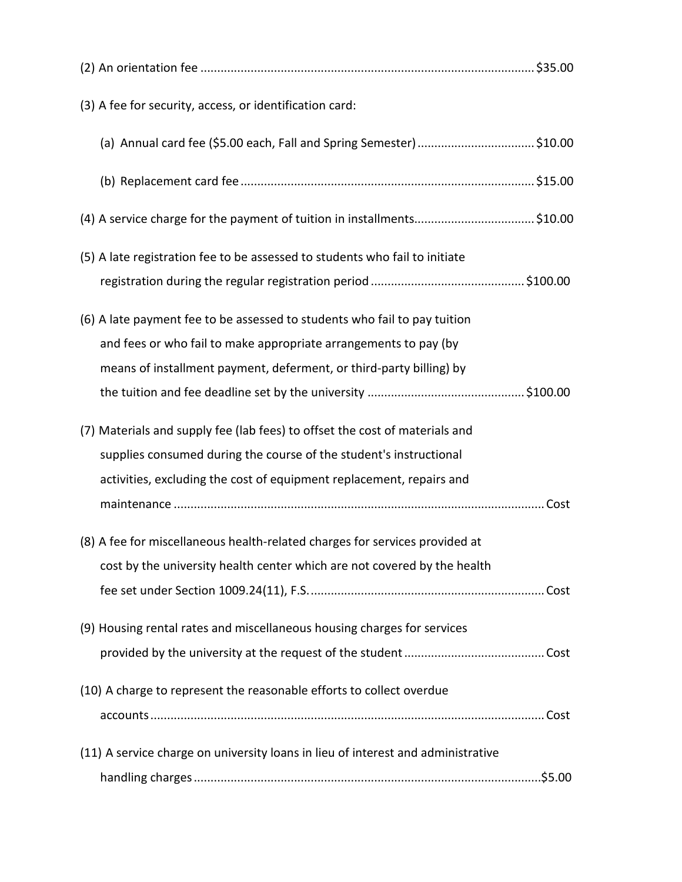| (3) A fee for security, access, or identification card:                          |
|----------------------------------------------------------------------------------|
| (a) Annual card fee (\$5.00 each, Fall and Spring Semester) \$10.00              |
|                                                                                  |
| (4) A service charge for the payment of tuition in installments\$10.00           |
| (5) A late registration fee to be assessed to students who fail to initiate      |
|                                                                                  |
| (6) A late payment fee to be assessed to students who fail to pay tuition        |
| and fees or who fail to make appropriate arrangements to pay (by                 |
| means of installment payment, deferment, or third-party billing) by              |
|                                                                                  |
| (7) Materials and supply fee (lab fees) to offset the cost of materials and      |
| supplies consumed during the course of the student's instructional               |
| activities, excluding the cost of equipment replacement, repairs and             |
|                                                                                  |
| (8) A fee for miscellaneous health-related charges for services provided at      |
| cost by the university health center which are not covered by the health         |
|                                                                                  |
| (9) Housing rental rates and miscellaneous housing charges for services          |
|                                                                                  |
| (10) A charge to represent the reasonable efforts to collect overdue             |
|                                                                                  |
| (11) A service charge on university loans in lieu of interest and administrative |
|                                                                                  |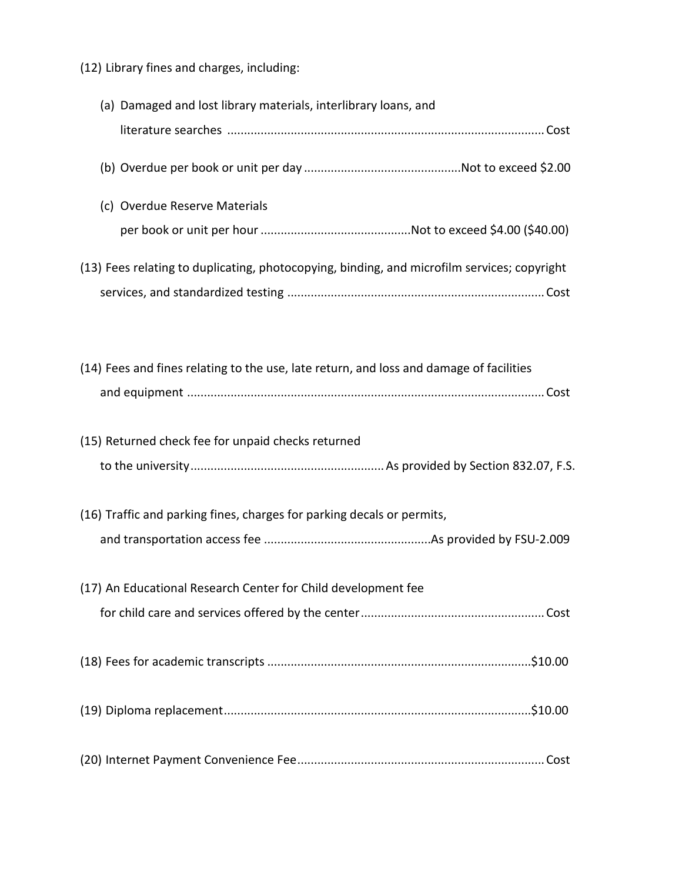(12) Library fines and charges, including:

| (a) Damaged and lost library materials, interlibrary loans, and                             |
|---------------------------------------------------------------------------------------------|
|                                                                                             |
|                                                                                             |
| (c) Overdue Reserve Materials                                                               |
|                                                                                             |
| (13) Fees relating to duplicating, photocopying, binding, and microfilm services; copyright |
|                                                                                             |
| (14) Fees and fines relating to the use, late return, and loss and damage of facilities     |
|                                                                                             |
| (15) Returned check fee for unpaid checks returned                                          |
|                                                                                             |
| (16) Traffic and parking fines, charges for parking decals or permits,                      |
|                                                                                             |
| (17) An Educational Research Center for Child development fee                               |
|                                                                                             |
|                                                                                             |
|                                                                                             |
|                                                                                             |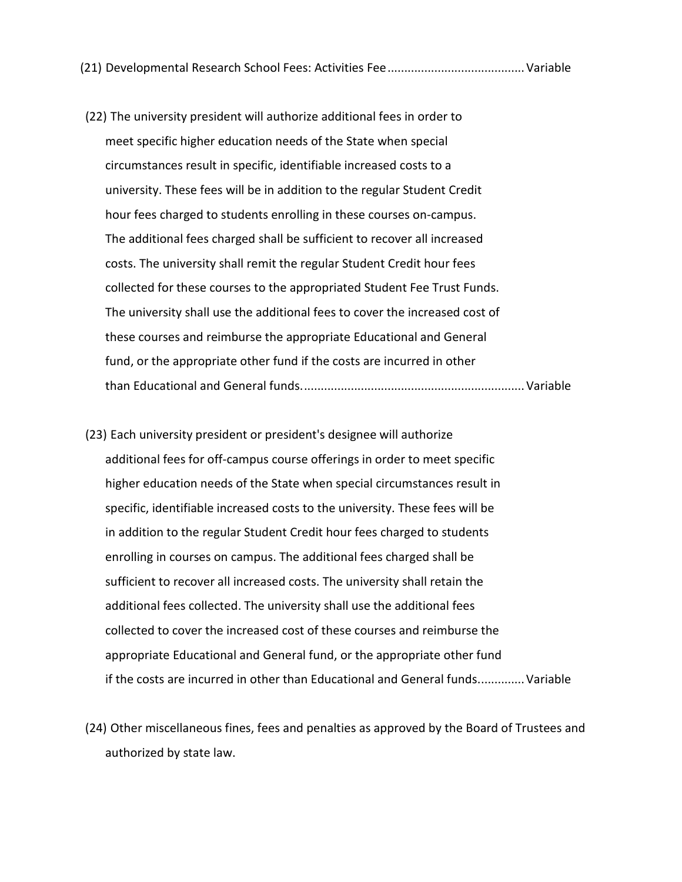(21) Developmental Research School Fees: Activities Fee.........................................Variable

- (22) The university president will authorize additional fees in order to meet specific higher education needs of the State when special circumstances result in specific, identifiable increased costs to a university. These fees will be in addition to the regular Student Credit hour fees charged to students enrolling in these courses on-campus. The additional fees charged shall be sufficient to recover all increased costs. The university shall remit the regular Student Credit hour fees collected for these courses to the appropriated Student Fee Trust Funds. The university shall use the additional fees to cover the increased cost of these courses and reimburse the appropriate Educational and General fund, or the appropriate other fund if the costs are incurred in other than Educational and General funds...................................................................Variable
- (23) Each university president or president's designee will authorize additional fees for off-campus course offerings in order to meet specific higher education needs of the State when special circumstances result in specific, identifiable increased costs to the university. These fees will be in addition to the regular Student Credit hour fees charged to students enrolling in courses on campus. The additional fees charged shall be sufficient to recover all increased costs. The university shall retain the additional fees collected. The university shall use the additional fees collected to cover the increased cost of these courses and reimburse the appropriate Educational and General fund, or the appropriate other fund if the costs are incurred in other than Educational and General funds..............Variable
- (24) Other miscellaneous fines, fees and penalties as approved by the Board of Trustees and authorized by state law.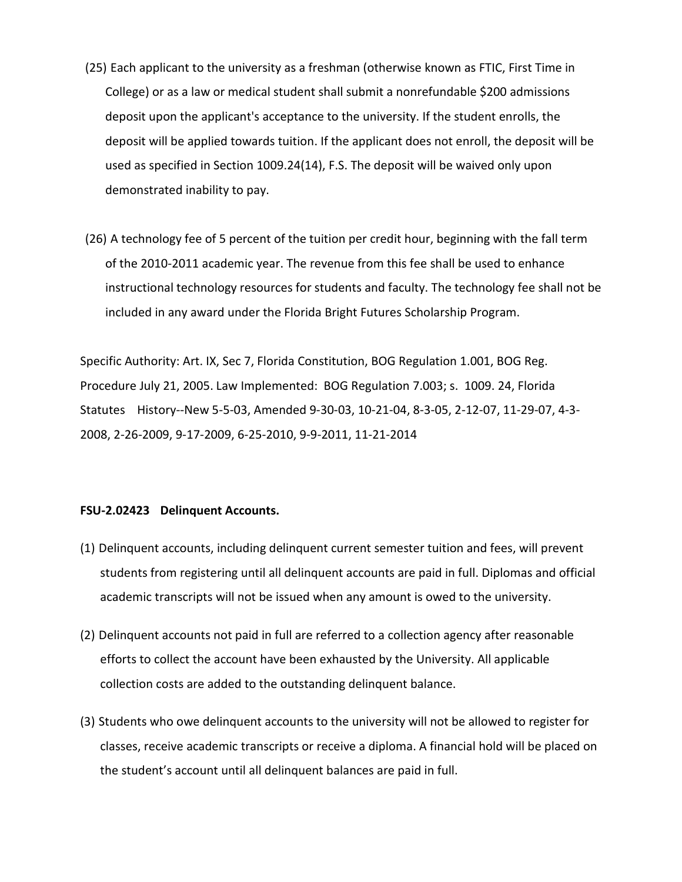- (25) Each applicant to the university as a freshman (otherwise known as FTIC, First Time in College) or as a law or medical student shall submit a nonrefundable \$200 admissions deposit upon the applicant's acceptance to the university. If the student enrolls, the deposit will be applied towards tuition. If the applicant does not enroll, the deposit will be used as specified in Section 1009.24(14), F.S. The deposit will be waived only upon demonstrated inability to pay.
- (26) A technology fee of 5 percent of the tuition per credit hour, beginning with the fall term of the 2010-2011 academic year. The revenue from this fee shall be used to enhance instructional technology resources for students and faculty. The technology fee shall not be included in any award under the Florida Bright Futures Scholarship Program.

Specific Authority: Art. IX, Sec 7, Florida Constitution, BOG Regulation 1.001, BOG Reg. Procedure July 21, 2005. Law Implemented: BOG Regulation 7.003; s. 1009. 24, Florida Statutes History--New 5-5-03, Amended 9-30-03, 10-21-04, 8-3-05, 2-12-07, 11-29-07, 4-3- 2008, 2-26-2009, 9-17-2009, 6-25-2010, 9-9-2011, 11-21-2014

### **FSU-2.02423 Delinquent Accounts.**

- (1) Delinquent accounts, including delinquent current semester tuition and fees, will prevent students from registering until all delinquent accounts are paid in full. Diplomas and official academic transcripts will not be issued when any amount is owed to the university.
- (2) Delinquent accounts not paid in full are referred to a collection agency after reasonable efforts to collect the account have been exhausted by the University. All applicable collection costs are added to the outstanding delinquent balance.
- (3) Students who owe delinquent accounts to the university will not be allowed to register for classes, receive academic transcripts or receive a diploma. A financial hold will be placed on the student's account until all delinquent balances are paid in full.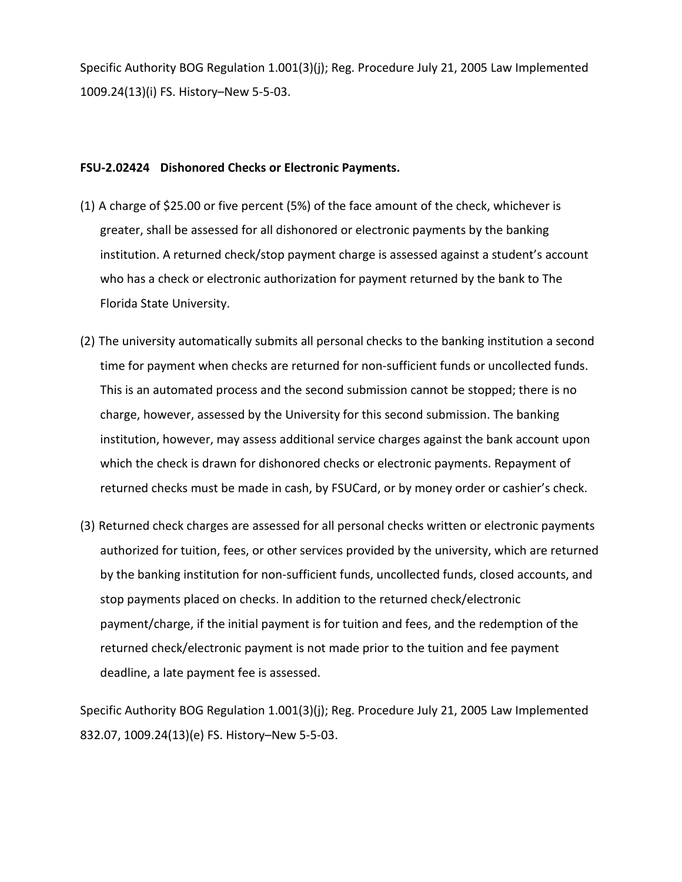Specific Authority BOG Regulation 1.001(3)(j); Reg. Procedure July 21, 2005 Law Implemented 1009.24(13)(i) FS. History–New 5-5-03.

## **FSU-2.02424 Dishonored Checks or Electronic Payments.**

- (1) A charge of \$25.00 or five percent (5%) of the face amount of the check, whichever is greater, shall be assessed for all dishonored or electronic payments by the banking institution. A returned check/stop payment charge is assessed against a student's account who has a check or electronic authorization for payment returned by the bank to The Florida State University.
- (2) The university automatically submits all personal checks to the banking institution a second time for payment when checks are returned for non-sufficient funds or uncollected funds. This is an automated process and the second submission cannot be stopped; there is no charge, however, assessed by the University for this second submission. The banking institution, however, may assess additional service charges against the bank account upon which the check is drawn for dishonored checks or electronic payments. Repayment of returned checks must be made in cash, by FSUCard, or by money order or cashier's check.
- (3) Returned check charges are assessed for all personal checks written or electronic payments authorized for tuition, fees, or other services provided by the university, which are returned by the banking institution for non-sufficient funds, uncollected funds, closed accounts, and stop payments placed on checks. In addition to the returned check/electronic payment/charge, if the initial payment is for tuition and fees, and the redemption of the returned check/electronic payment is not made prior to the tuition and fee payment deadline, a late payment fee is assessed.

Specific Authority BOG Regulation 1.001(3)(j); Reg. Procedure July 21, 2005 Law Implemented 832.07, 1009.24(13)(e) FS. History–New 5-5-03.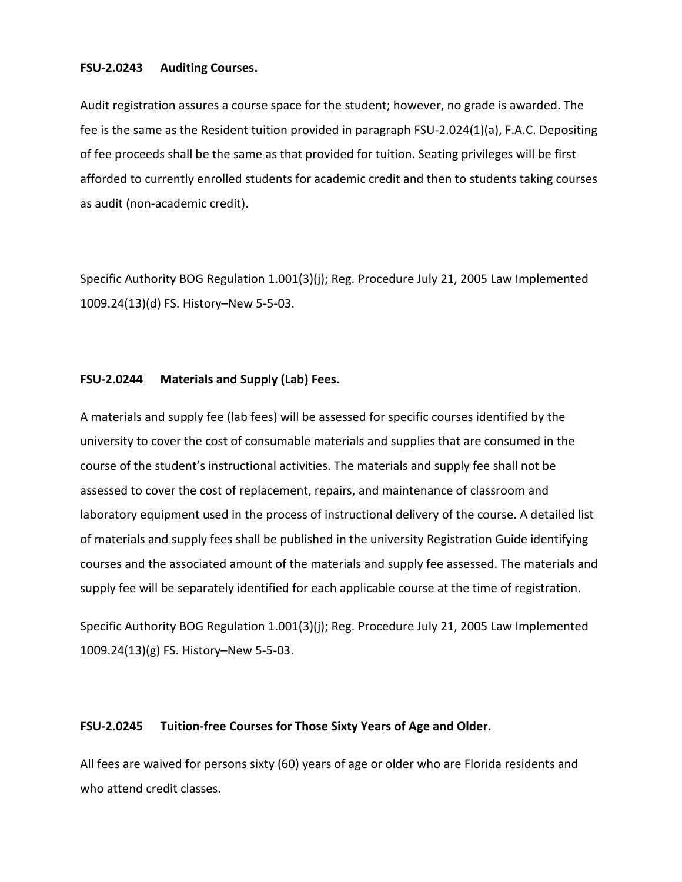#### **FSU-2.0243 Auditing Courses.**

Audit registration assures a course space for the student; however, no grade is awarded. The fee is the same as the Resident tuition provided in paragraph FSU-2.024(1)(a), F.A.C. Depositing of fee proceeds shall be the same as that provided for tuition. Seating privileges will be first afforded to currently enrolled students for academic credit and then to students taking courses as audit (non-academic credit).

Specific Authority BOG Regulation 1.001(3)(j); Reg. Procedure July 21, 2005 Law Implemented 1009.24(13)(d) FS. History–New 5-5-03.

### **FSU-2.0244 Materials and Supply (Lab) Fees.**

A materials and supply fee (lab fees) will be assessed for specific courses identified by the university to cover the cost of consumable materials and supplies that are consumed in the course of the student's instructional activities. The materials and supply fee shall not be assessed to cover the cost of replacement, repairs, and maintenance of classroom and laboratory equipment used in the process of instructional delivery of the course. A detailed list of materials and supply fees shall be published in the university Registration Guide identifying courses and the associated amount of the materials and supply fee assessed. The materials and supply fee will be separately identified for each applicable course at the time of registration.

Specific Authority BOG Regulation 1.001(3)(j); Reg. Procedure July 21, 2005 Law Implemented 1009.24(13)(g) FS. History–New 5-5-03.

#### **FSU-2.0245 Tuition-free Courses for Those Sixty Years of Age and Older.**

All fees are waived for persons sixty (60) years of age or older who are Florida residents and who attend credit classes.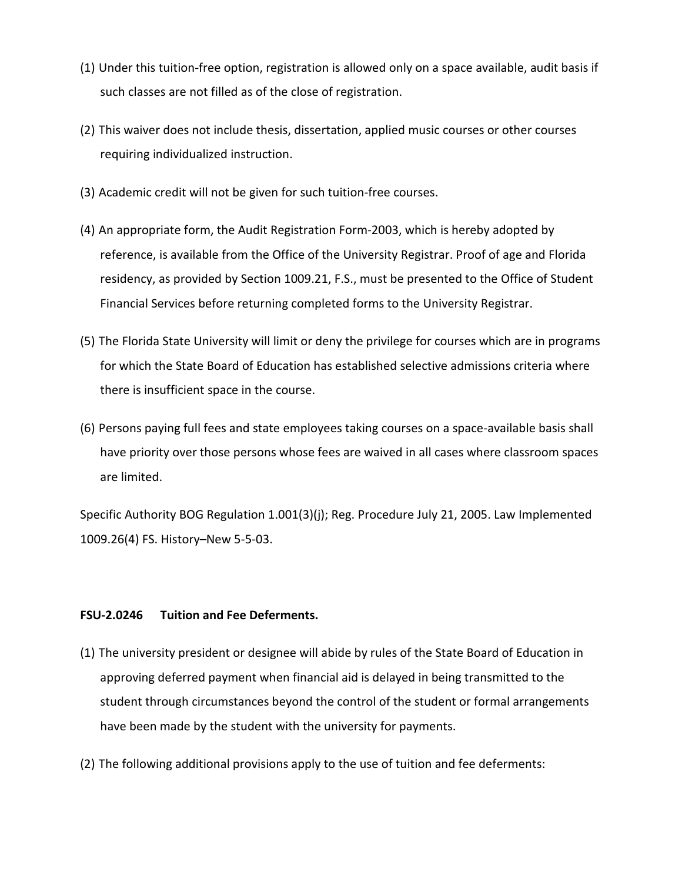- (1) Under this tuition-free option, registration is allowed only on a space available, audit basis if such classes are not filled as of the close of registration.
- (2) This waiver does not include thesis, dissertation, applied music courses or other courses requiring individualized instruction.
- (3) Academic credit will not be given for such tuition-free courses.
- (4) An appropriate form, the Audit Registration Form-2003, which is hereby adopted by reference, is available from the Office of the University Registrar. Proof of age and Florida residency, as provided by Section 1009.21, F.S., must be presented to the Office of Student Financial Services before returning completed forms to the University Registrar.
- (5) The Florida State University will limit or deny the privilege for courses which are in programs for which the State Board of Education has established selective admissions criteria where there is insufficient space in the course.
- (6) Persons paying full fees and state employees taking courses on a space-available basis shall have priority over those persons whose fees are waived in all cases where classroom spaces are limited.

Specific Authority BOG Regulation 1.001(3)(j); Reg. Procedure July 21, 2005. Law Implemented 1009.26(4) FS. History–New 5-5-03.

## **FSU-2.0246 Tuition and Fee Deferments.**

- (1) The university president or designee will abide by rules of the State Board of Education in approving deferred payment when financial aid is delayed in being transmitted to the student through circumstances beyond the control of the student or formal arrangements have been made by the student with the university for payments.
- (2) The following additional provisions apply to the use of tuition and fee deferments: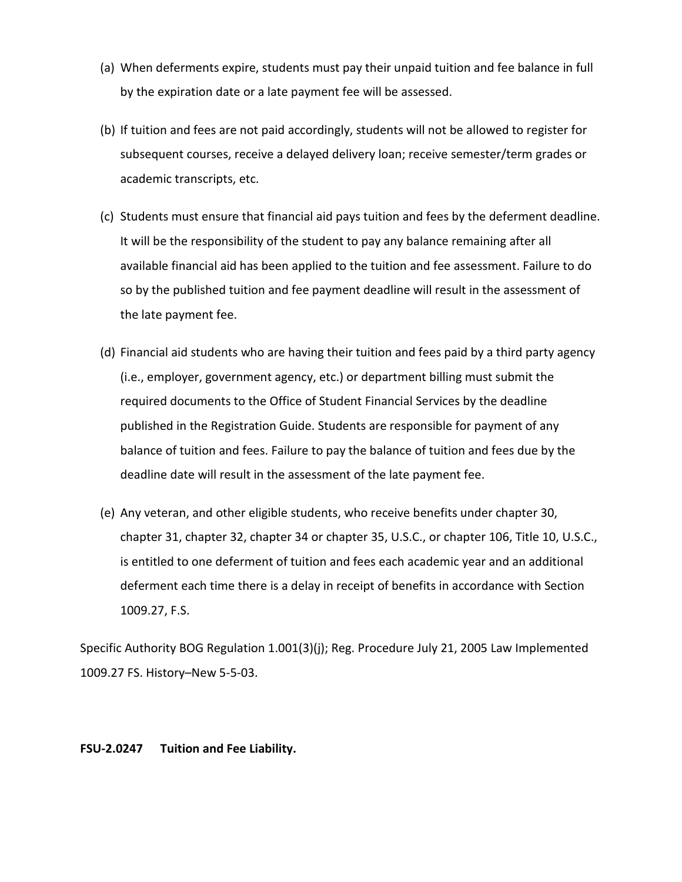- (a) When deferments expire, students must pay their unpaid tuition and fee balance in full by the expiration date or a late payment fee will be assessed.
- (b) If tuition and fees are not paid accordingly, students will not be allowed to register for subsequent courses, receive a delayed delivery loan; receive semester/term grades or academic transcripts, etc.
- (c) Students must ensure that financial aid pays tuition and fees by the deferment deadline. It will be the responsibility of the student to pay any balance remaining after all available financial aid has been applied to the tuition and fee assessment. Failure to do so by the published tuition and fee payment deadline will result in the assessment of the late payment fee.
- (d) Financial aid students who are having their tuition and fees paid by a third party agency (i.e., employer, government agency, etc.) or department billing must submit the required documents to the Office of Student Financial Services by the deadline published in the Registration Guide. Students are responsible for payment of any balance of tuition and fees. Failure to pay the balance of tuition and fees due by the deadline date will result in the assessment of the late payment fee.
- (e) Any veteran, and other eligible students, who receive benefits under chapter 30, chapter 31, chapter 32, chapter 34 or chapter 35, U.S.C., or chapter 106, Title 10, U.S.C., is entitled to one deferment of tuition and fees each academic year and an additional deferment each time there is a delay in receipt of benefits in accordance with Section 1009.27, F.S.

Specific Authority BOG Regulation 1.001(3)(j); Reg. Procedure July 21, 2005 Law Implemented 1009.27 FS. History–New 5-5-03.

## **FSU-2.0247 Tuition and Fee Liability.**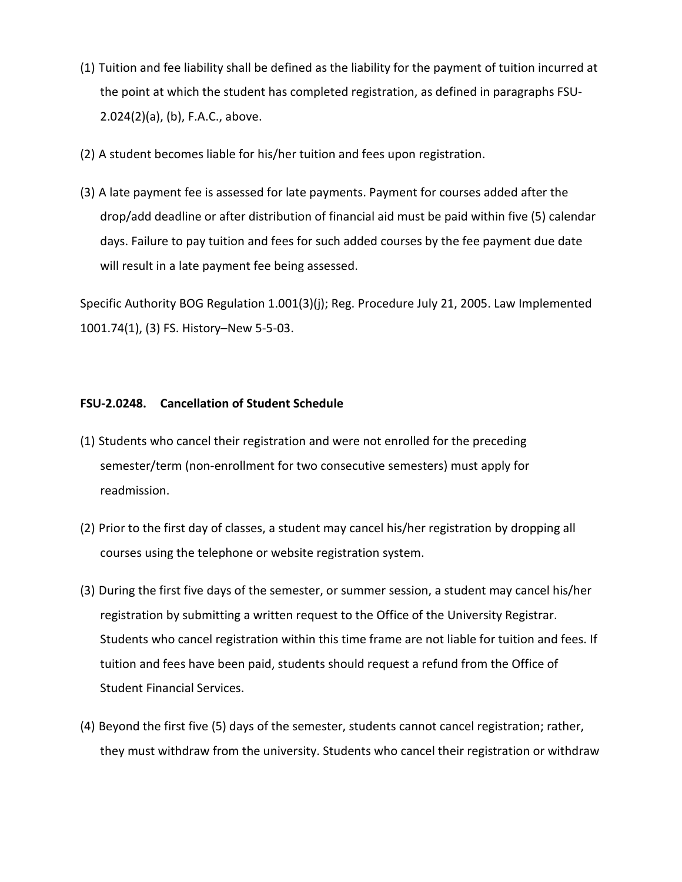- (1) Tuition and fee liability shall be defined as the liability for the payment of tuition incurred at the point at which the student has completed registration, as defined in paragraphs FSU-2.024(2)(a), (b), F.A.C., above.
- (2) A student becomes liable for his/her tuition and fees upon registration.
- (3) A late payment fee is assessed for late payments. Payment for courses added after the drop/add deadline or after distribution of financial aid must be paid within five (5) calendar days. Failure to pay tuition and fees for such added courses by the fee payment due date will result in a late payment fee being assessed.

Specific Authority BOG Regulation 1.001(3)(j); Reg. Procedure July 21, 2005. Law Implemented 1001.74(1), (3) FS. History–New 5-5-03.

## **FSU-2.0248. Cancellation of Student Schedule**

- (1) Students who cancel their registration and were not enrolled for the preceding semester/term (non-enrollment for two consecutive semesters) must apply for readmission.
- (2) Prior to the first day of classes, a student may cancel his/her registration by dropping all courses using the telephone or website registration system.
- (3) During the first five days of the semester, or summer session, a student may cancel his/her registration by submitting a written request to the Office of the University Registrar. Students who cancel registration within this time frame are not liable for tuition and fees. If tuition and fees have been paid, students should request a refund from the Office of Student Financial Services.
- (4) Beyond the first five (5) days of the semester, students cannot cancel registration; rather, they must withdraw from the university. Students who cancel their registration or withdraw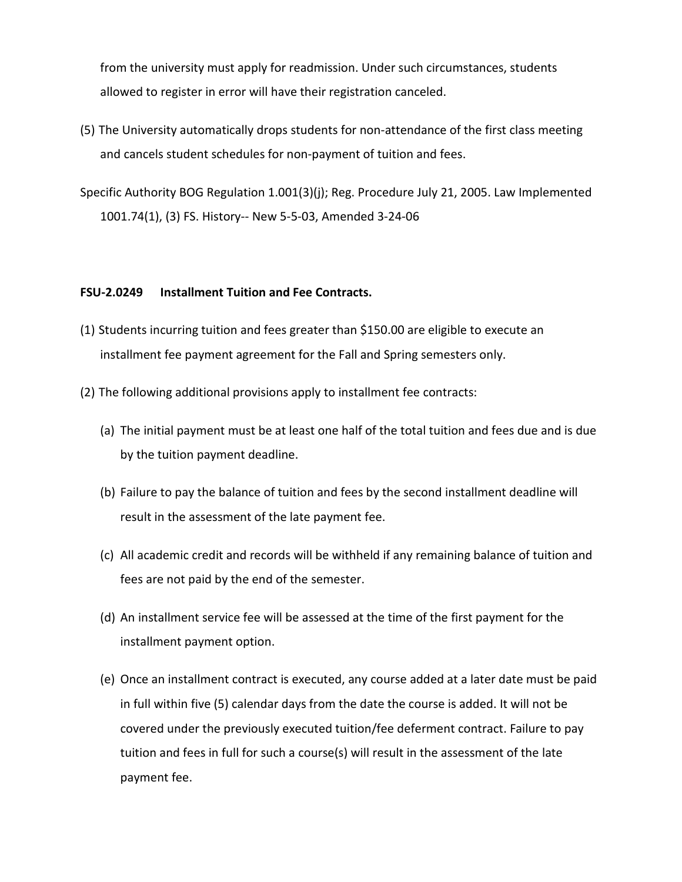from the university must apply for readmission. Under such circumstances, students allowed to register in error will have their registration canceled.

- (5) The University automatically drops students for non-attendance of the first class meeting and cancels student schedules for non-payment of tuition and fees.
- Specific Authority BOG Regulation 1.001(3)(j); Reg. Procedure July 21, 2005. Law Implemented 1001.74(1), (3) FS. History-- New 5-5-03, Amended 3-24-06

### **FSU-2.0249 Installment Tuition and Fee Contracts.**

- (1) Students incurring tuition and fees greater than \$150.00 are eligible to execute an installment fee payment agreement for the Fall and Spring semesters only.
- (2) The following additional provisions apply to installment fee contracts:
	- (a) The initial payment must be at least one half of the total tuition and fees due and is due by the tuition payment deadline.
	- (b) Failure to pay the balance of tuition and fees by the second installment deadline will result in the assessment of the late payment fee.
	- (c) All academic credit and records will be withheld if any remaining balance of tuition and fees are not paid by the end of the semester.
	- (d) An installment service fee will be assessed at the time of the first payment for the installment payment option.
	- (e) Once an installment contract is executed, any course added at a later date must be paid in full within five (5) calendar days from the date the course is added. It will not be covered under the previously executed tuition/fee deferment contract. Failure to pay tuition and fees in full for such a course(s) will result in the assessment of the late payment fee.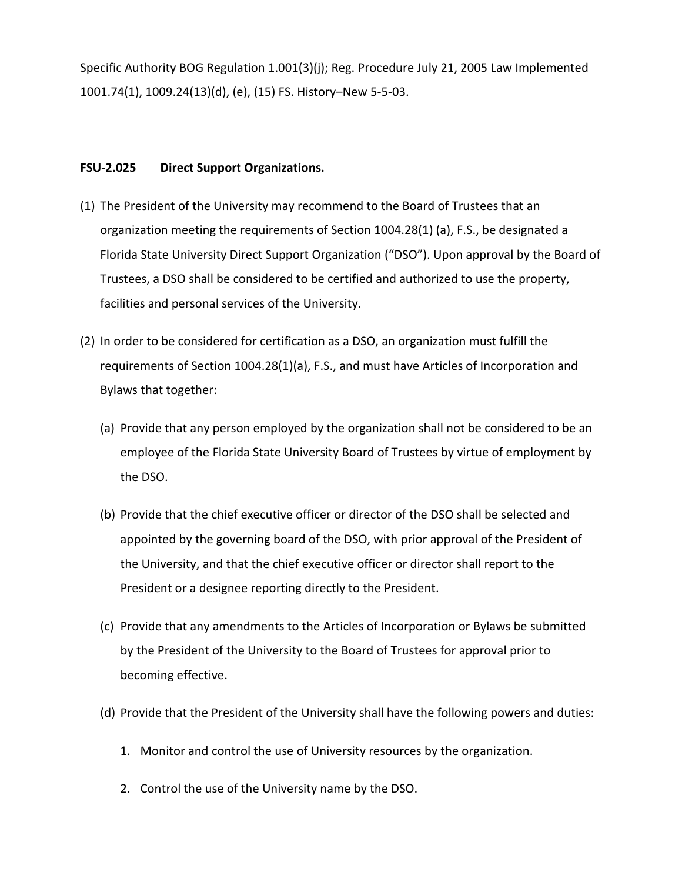Specific Authority BOG Regulation 1.001(3)(j); Reg. Procedure July 21, 2005 Law Implemented 1001.74(1), 1009.24(13)(d), (e), (15) FS. History–New 5-5-03.

# **FSU-2.025 Direct Support Organizations.**

- (1) The President of the University may recommend to the Board of Trustees that an organization meeting the requirements of Section 1004.28(1) (a), F.S., be designated a Florida State University Direct Support Organization ("DSO"). Upon approval by the Board of Trustees, a DSO shall be considered to be certified and authorized to use the property, facilities and personal services of the University.
- (2) In order to be considered for certification as a DSO, an organization must fulfill the requirements of Section 1004.28(1)(a), F.S., and must have Articles of Incorporation and Bylaws that together:
	- (a) Provide that any person employed by the organization shall not be considered to be an employee of the Florida State University Board of Trustees by virtue of employment by the DSO.
	- (b) Provide that the chief executive officer or director of the DSO shall be selected and appointed by the governing board of the DSO, with prior approval of the President of the University, and that the chief executive officer or director shall report to the President or a designee reporting directly to the President.
	- (c) Provide that any amendments to the Articles of Incorporation or Bylaws be submitted by the President of the University to the Board of Trustees for approval prior to becoming effective.
	- (d) Provide that the President of the University shall have the following powers and duties:
		- 1. Monitor and control the use of University resources by the organization.
		- 2. Control the use of the University name by the DSO.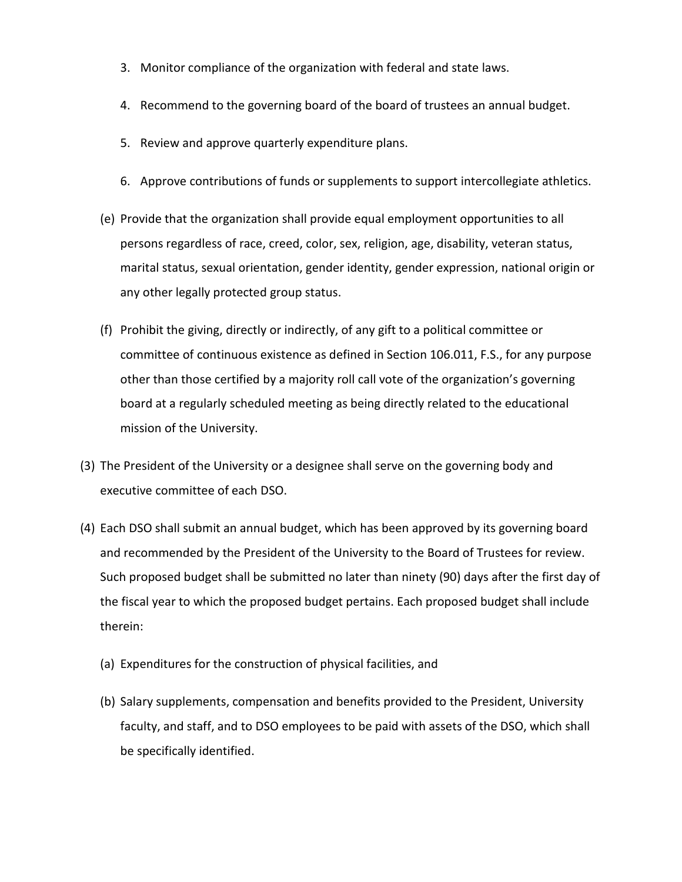- 3. Monitor compliance of the organization with federal and state laws.
- 4. Recommend to the governing board of the board of trustees an annual budget.
- 5. Review and approve quarterly expenditure plans.
- 6. Approve contributions of funds or supplements to support intercollegiate athletics.
- (e) Provide that the organization shall provide equal employment opportunities to all persons regardless of race, creed, color, sex, religion, age, disability, veteran status, marital status, sexual orientation, gender identity, gender expression, national origin or any other legally protected group status.
- (f) Prohibit the giving, directly or indirectly, of any gift to a political committee or committee of continuous existence as defined in Section 106.011, F.S., for any purpose other than those certified by a majority roll call vote of the organization's governing board at a regularly scheduled meeting as being directly related to the educational mission of the University.
- (3) The President of the University or a designee shall serve on the governing body and executive committee of each DSO.
- (4) Each DSO shall submit an annual budget, which has been approved by its governing board and recommended by the President of the University to the Board of Trustees for review. Such proposed budget shall be submitted no later than ninety (90) days after the first day of the fiscal year to which the proposed budget pertains. Each proposed budget shall include therein:
	- (a) Expenditures for the construction of physical facilities, and
	- (b) Salary supplements, compensation and benefits provided to the President, University faculty, and staff, and to DSO employees to be paid with assets of the DSO, which shall be specifically identified.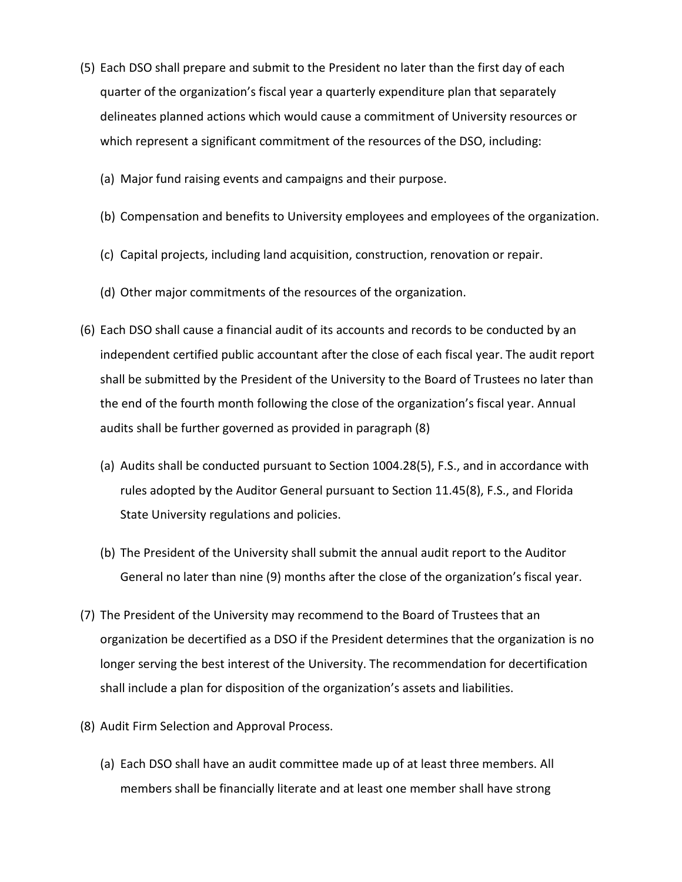- (5) Each DSO shall prepare and submit to the President no later than the first day of each quarter of the organization's fiscal year a quarterly expenditure plan that separately delineates planned actions which would cause a commitment of University resources or which represent a significant commitment of the resources of the DSO, including:
	- (a) Major fund raising events and campaigns and their purpose.
	- (b) Compensation and benefits to University employees and employees of the organization.
	- (c) Capital projects, including land acquisition, construction, renovation or repair.
	- (d) Other major commitments of the resources of the organization.
- (6) Each DSO shall cause a financial audit of its accounts and records to be conducted by an independent certified public accountant after the close of each fiscal year. The audit report shall be submitted by the President of the University to the Board of Trustees no later than the end of the fourth month following the close of the organization's fiscal year. Annual audits shall be further governed as provided in paragraph (8)
	- (a) Audits shall be conducted pursuant to Section 1004.28(5), F.S., and in accordance with rules adopted by the Auditor General pursuant to Section 11.45(8), F.S., and Florida State University regulations and policies.
	- (b) The President of the University shall submit the annual audit report to the Auditor General no later than nine (9) months after the close of the organization's fiscal year.
- (7) The President of the University may recommend to the Board of Trustees that an organization be decertified as a DSO if the President determines that the organization is no longer serving the best interest of the University. The recommendation for decertification shall include a plan for disposition of the organization's assets and liabilities.
- (8) Audit Firm Selection and Approval Process.
	- (a) Each DSO shall have an audit committee made up of at least three members. All members shall be financially literate and at least one member shall have strong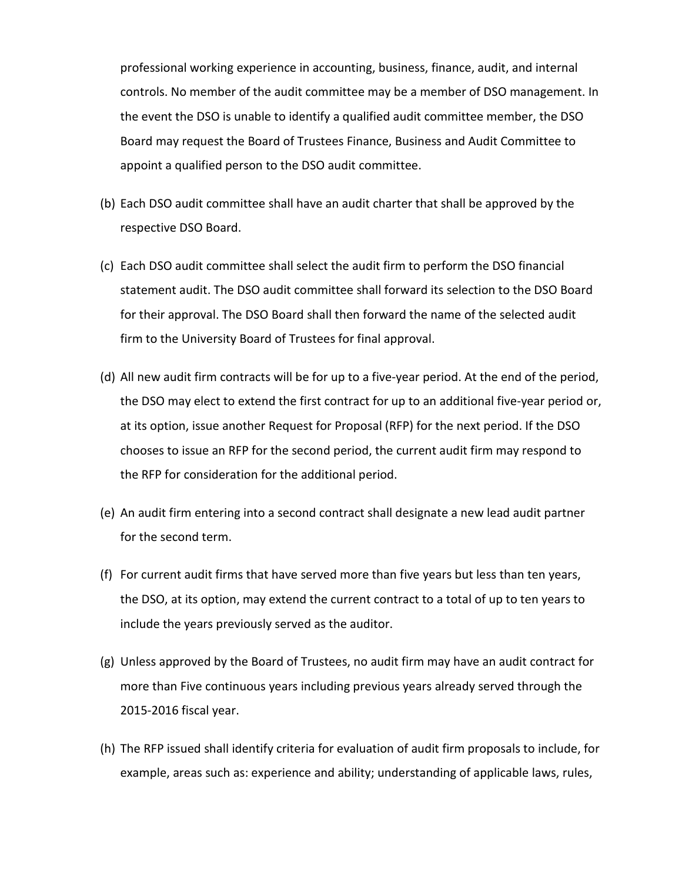professional working experience in accounting, business, finance, audit, and internal controls. No member of the audit committee may be a member of DSO management. In the event the DSO is unable to identify a qualified audit committee member, the DSO Board may request the Board of Trustees Finance, Business and Audit Committee to appoint a qualified person to the DSO audit committee.

- (b) Each DSO audit committee shall have an audit charter that shall be approved by the respective DSO Board.
- (c) Each DSO audit committee shall select the audit firm to perform the DSO financial statement audit. The DSO audit committee shall forward its selection to the DSO Board for their approval. The DSO Board shall then forward the name of the selected audit firm to the University Board of Trustees for final approval.
- (d) All new audit firm contracts will be for up to a five-year period. At the end of the period, the DSO may elect to extend the first contract for up to an additional five-year period or, at its option, issue another Request for Proposal (RFP) for the next period. If the DSO chooses to issue an RFP for the second period, the current audit firm may respond to the RFP for consideration for the additional period.
- (e) An audit firm entering into a second contract shall designate a new lead audit partner for the second term.
- (f) For current audit firms that have served more than five years but less than ten years, the DSO, at its option, may extend the current contract to a total of up to ten years to include the years previously served as the auditor.
- (g) Unless approved by the Board of Trustees, no audit firm may have an audit contract for more than Five continuous years including previous years already served through the 2015-2016 fiscal year.
- (h) The RFP issued shall identify criteria for evaluation of audit firm proposals to include, for example, areas such as: experience and ability; understanding of applicable laws, rules,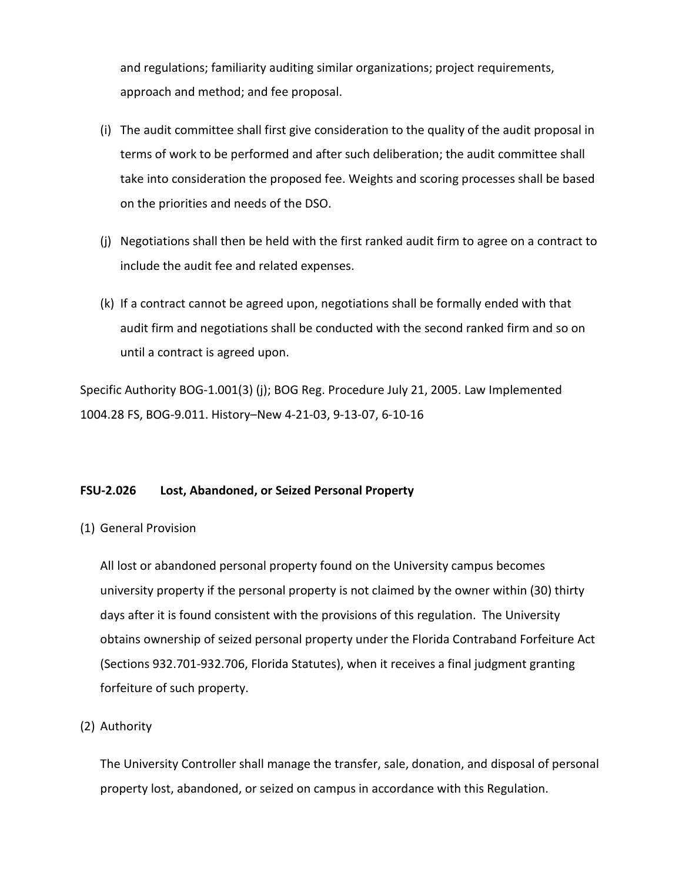and regulations; familiarity auditing similar organizations; project requirements, approach and method; and fee proposal.

- (i) The audit committee shall first give consideration to the quality of the audit proposal in terms of work to be performed and after such deliberation; the audit committee shall take into consideration the proposed fee. Weights and scoring processes shall be based on the priorities and needs of the DSO.
- (j) Negotiations shall then be held with the first ranked audit firm to agree on a contract to include the audit fee and related expenses.
- (k) If a contract cannot be agreed upon, negotiations shall be formally ended with that audit firm and negotiations shall be conducted with the second ranked firm and so on until a contract is agreed upon.

Specific Authority BOG-1.001(3) (j); BOG Reg. Procedure July 21, 2005. Law Implemented 1004.28 FS, BOG-9.011. History–New 4-21-03, 9-13-07, 6-10-16

# **FSU-2.026 Lost, Abandoned, or Seized Personal Property**

(1) General Provision

All lost or abandoned personal property found on the University campus becomes university property if the personal property is not claimed by the owner within (30) thirty days after it is found consistent with the provisions of this regulation. The University obtains ownership of seized personal property under the Florida Contraband Forfeiture Act (Sections 932.701-932.706, Florida Statutes), when it receives a final judgment granting forfeiture of such property.

# (2) Authority

The University Controller shall manage the transfer, sale, donation, and disposal of personal property lost, abandoned, or seized on campus in accordance with this Regulation.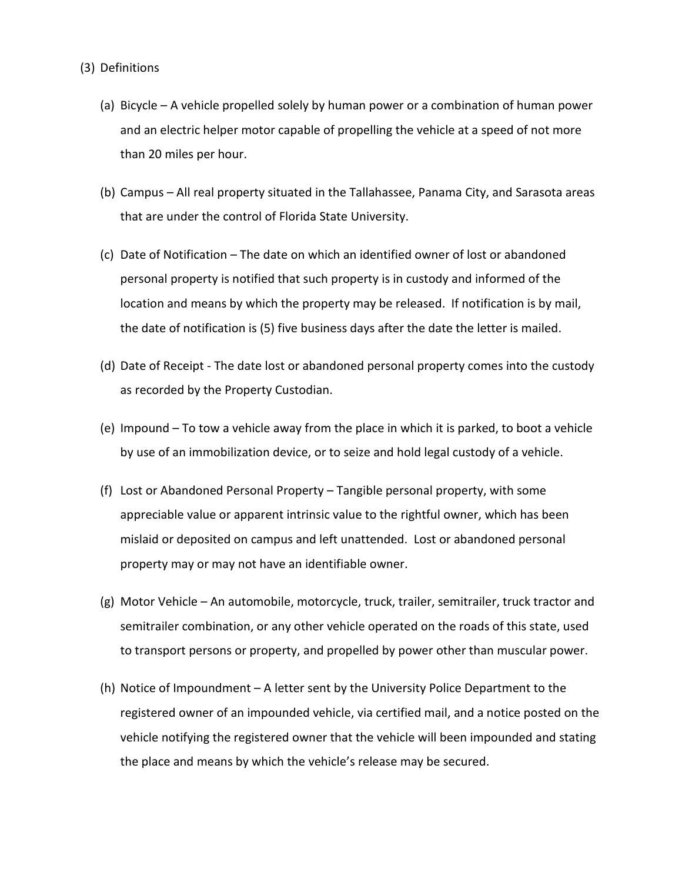- (3) Definitions
	- (a) Bicycle A vehicle propelled solely by human power or a combination of human power and an electric helper motor capable of propelling the vehicle at a speed of not more than 20 miles per hour.
	- (b) Campus All real property situated in the Tallahassee, Panama City, and Sarasota areas that are under the control of Florida State University.
	- (c) Date of Notification The date on which an identified owner of lost or abandoned personal property is notified that such property is in custody and informed of the location and means by which the property may be released. If notification is by mail, the date of notification is (5) five business days after the date the letter is mailed.
	- (d) Date of Receipt The date lost or abandoned personal property comes into the custody as recorded by the Property Custodian.
	- (e) Impound To tow a vehicle away from the place in which it is parked, to boot a vehicle by use of an immobilization device, or to seize and hold legal custody of a vehicle.
	- (f) Lost or Abandoned Personal Property Tangible personal property, with some appreciable value or apparent intrinsic value to the rightful owner, which has been mislaid or deposited on campus and left unattended. Lost or abandoned personal property may or may not have an identifiable owner.
	- (g) Motor Vehicle An automobile, motorcycle, truck, trailer, semitrailer, truck tractor and semitrailer combination, or any other vehicle operated on the roads of this state, used to transport persons or property, and propelled by power other than muscular power.
	- (h) Notice of Impoundment A letter sent by the University Police Department to the registered owner of an impounded vehicle, via certified mail, and a notice posted on the vehicle notifying the registered owner that the vehicle will been impounded and stating the place and means by which the vehicle's release may be secured.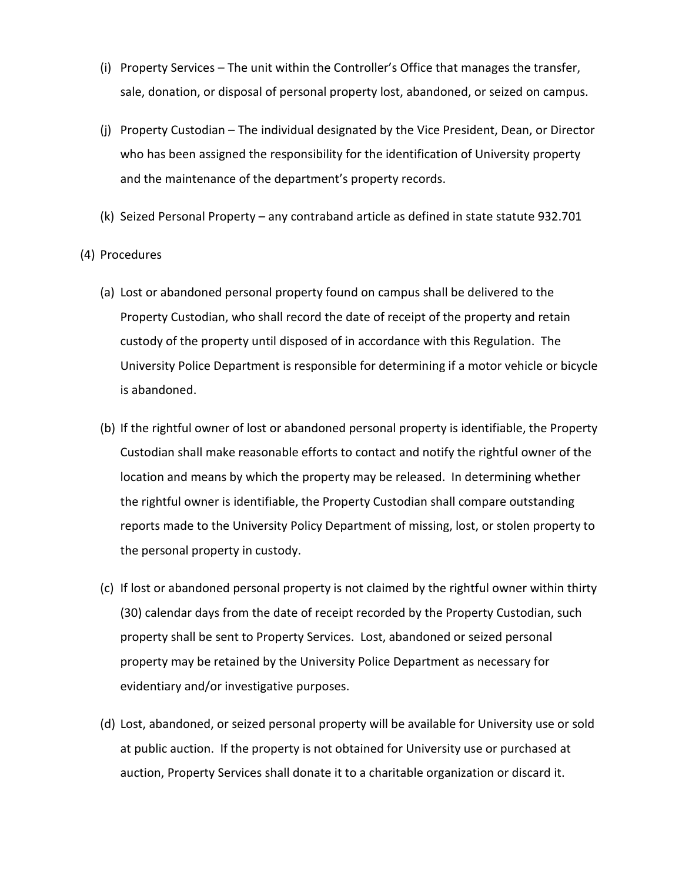- (i) Property Services The unit within the Controller's Office that manages the transfer, sale, donation, or disposal of personal property lost, abandoned, or seized on campus.
- (j) Property Custodian The individual designated by the Vice President, Dean, or Director who has been assigned the responsibility for the identification of University property and the maintenance of the department's property records.
- (k) Seized Personal Property any contraband article as defined in state statute 932.701
- (4) Procedures
	- (a) Lost or abandoned personal property found on campus shall be delivered to the Property Custodian, who shall record the date of receipt of the property and retain custody of the property until disposed of in accordance with this Regulation. The University Police Department is responsible for determining if a motor vehicle or bicycle is abandoned.
	- (b) If the rightful owner of lost or abandoned personal property is identifiable, the Property Custodian shall make reasonable efforts to contact and notify the rightful owner of the location and means by which the property may be released. In determining whether the rightful owner is identifiable, the Property Custodian shall compare outstanding reports made to the University Policy Department of missing, lost, or stolen property to the personal property in custody.
	- (c) If lost or abandoned personal property is not claimed by the rightful owner within thirty (30) calendar days from the date of receipt recorded by the Property Custodian, such property shall be sent to Property Services. Lost, abandoned or seized personal property may be retained by the University Police Department as necessary for evidentiary and/or investigative purposes.
	- (d) Lost, abandoned, or seized personal property will be available for University use or sold at public auction. If the property is not obtained for University use or purchased at auction, Property Services shall donate it to a charitable organization or discard it.